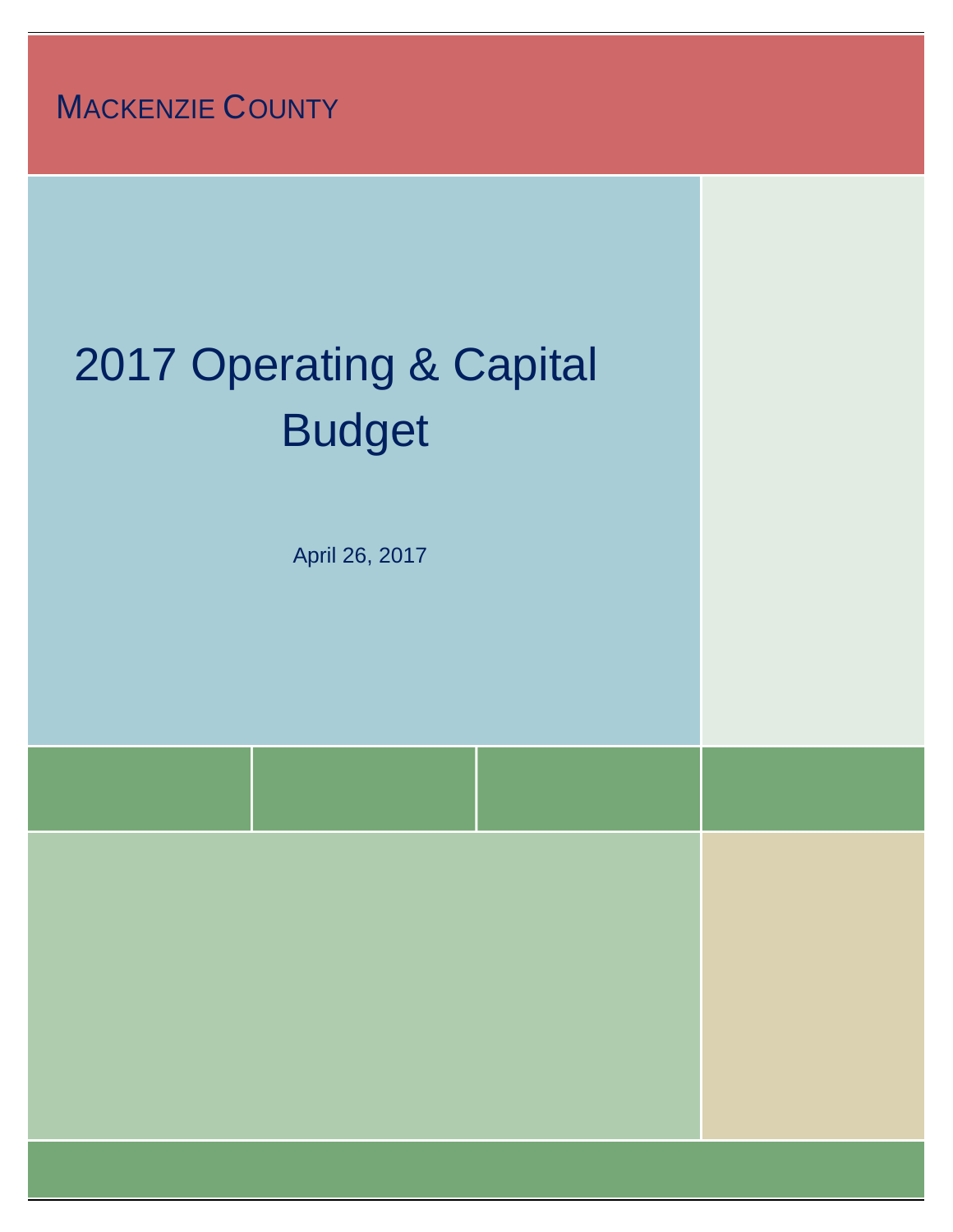**MACKENZIE COUNTY** 

# 2017 Operating & Capital Budget

April 26, 2017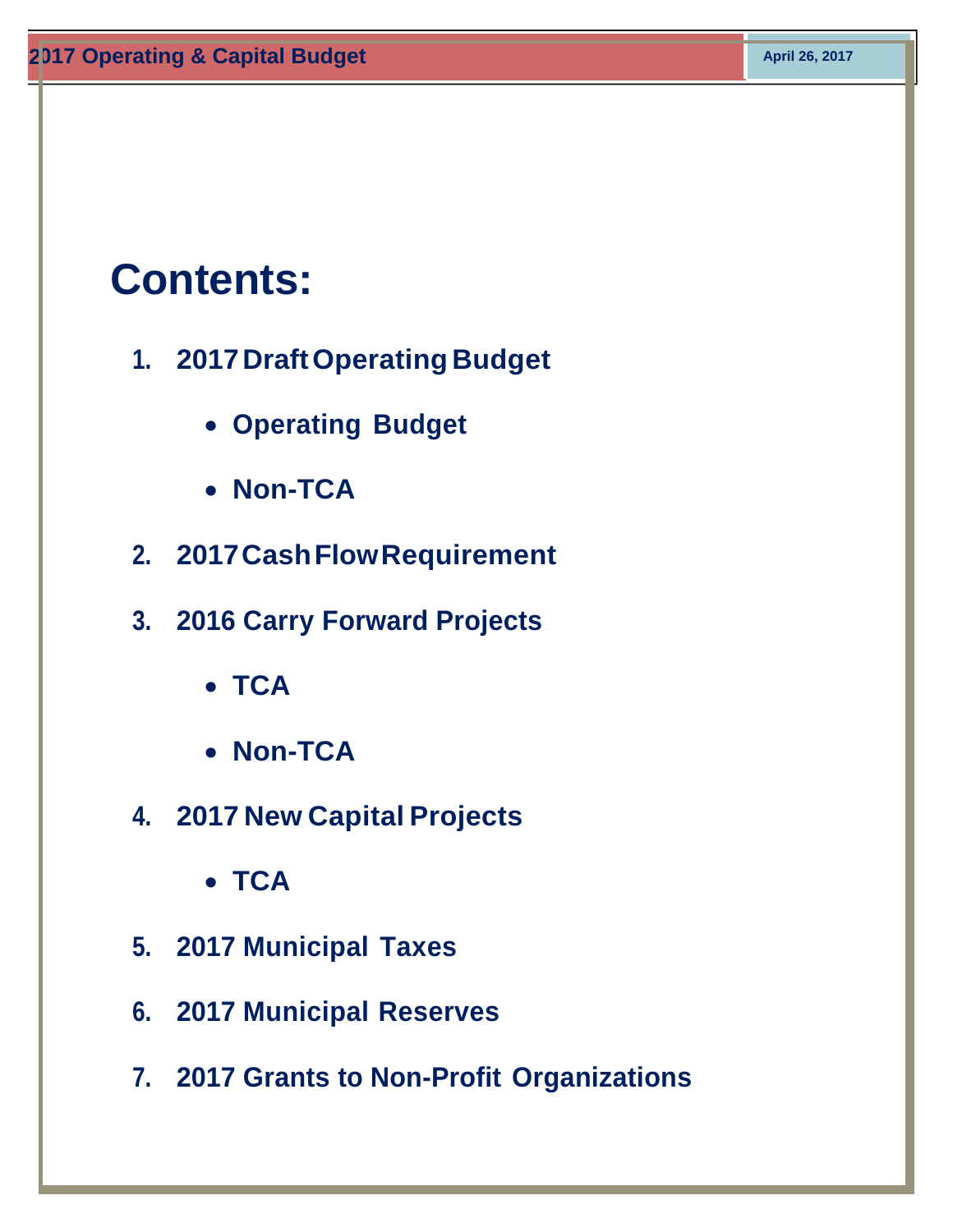# **Contents:**

- **1. 2017 Draft Operating Budget**
	- **Operating Budget**
	- **Non-TCA**
- **2. 2017 Cash Flow Requirement**
- **3. 2016 Carry Forward Projects**
	- **TCA**
	- **Non-TCA**
- **4. 2017 New Capital Projects**
	- **TCA**
- **5. 2017 Municipal Taxes**
- **6. 2017 Municipal Reserves**
- **7. 2017 Grants to Non-Profit Organizations**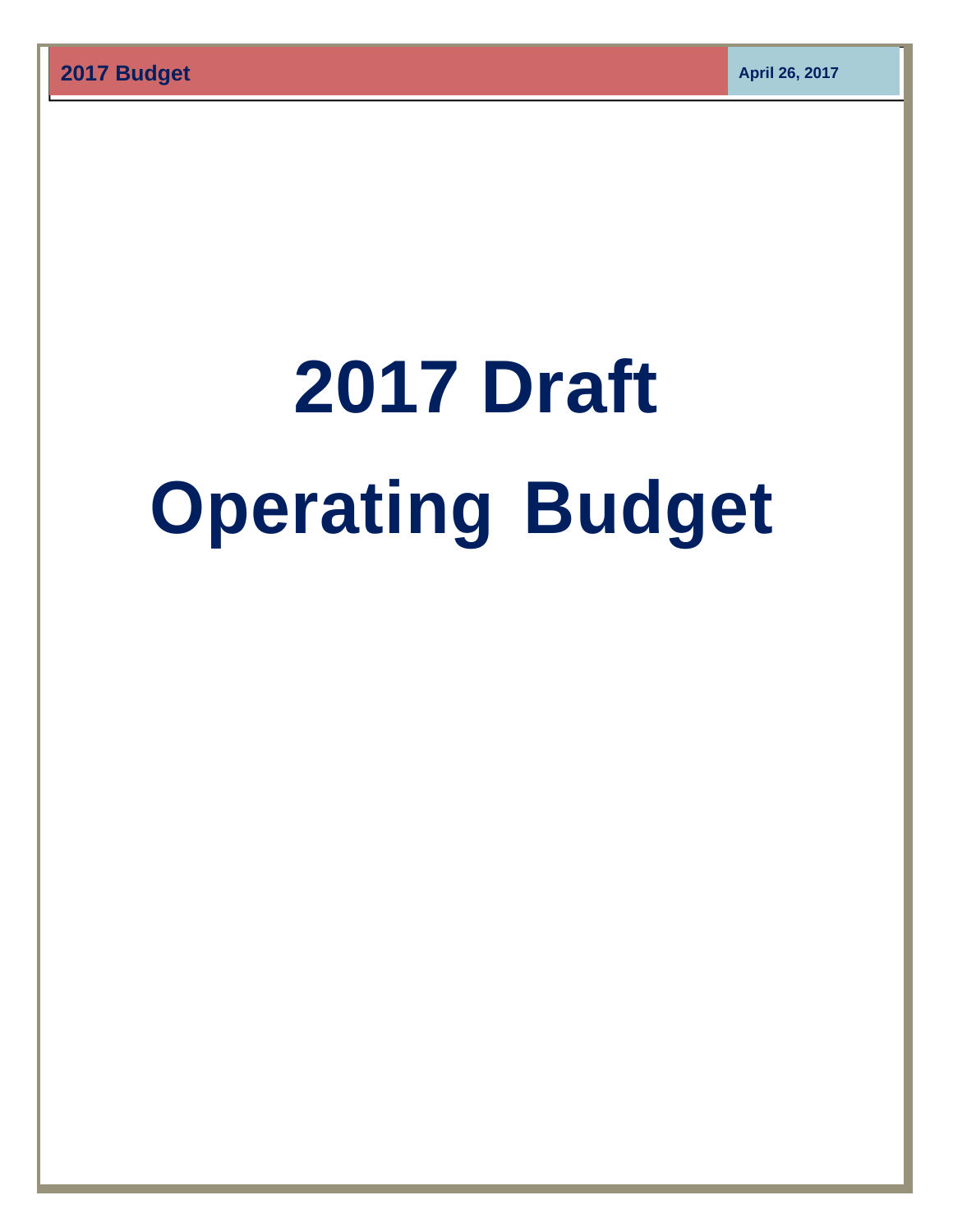# **2017 Draft Operating Budget**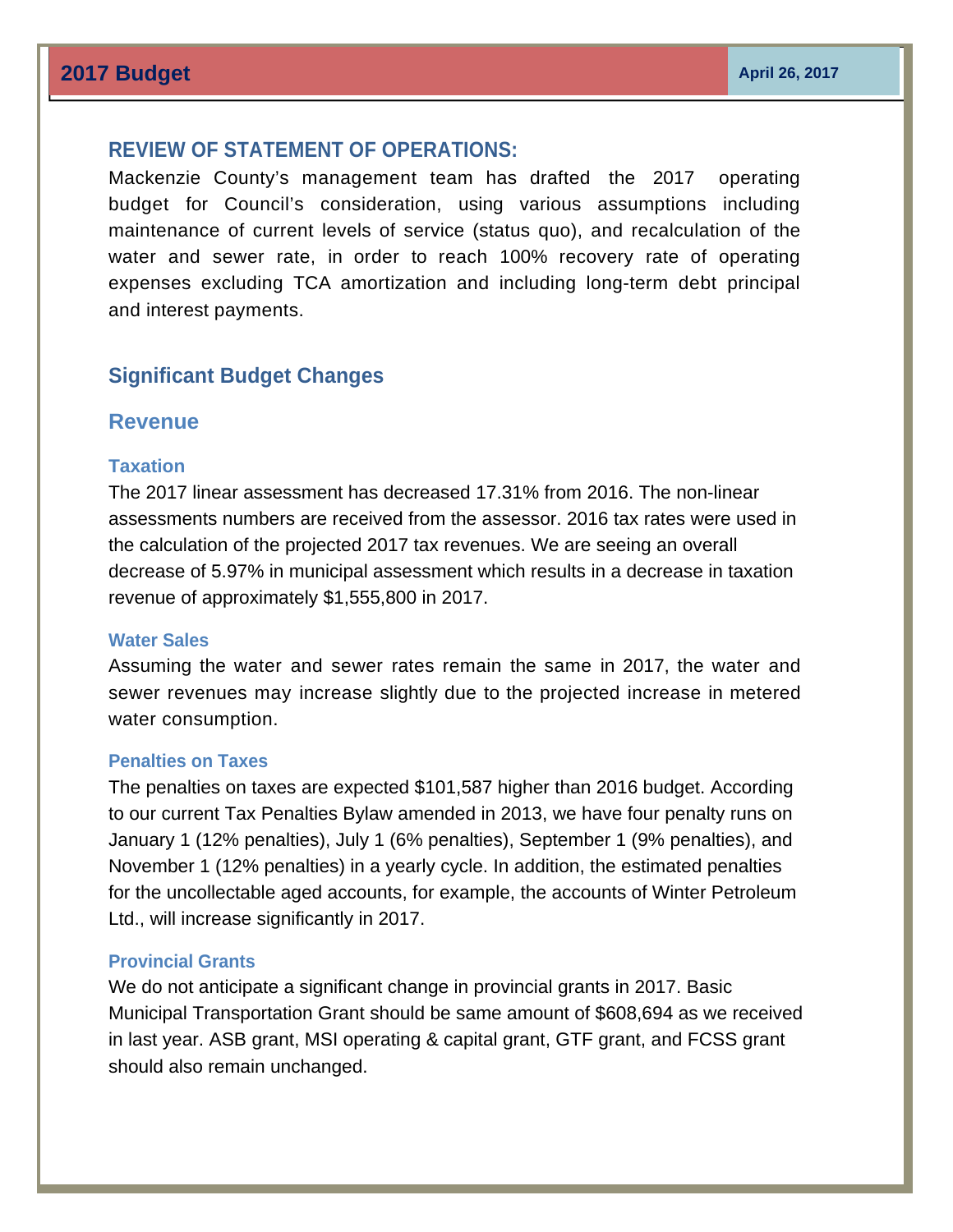# **REVIEW OF STATEMENT OF OPERATIONS:**

Mackenzie County's management team has drafted the 2017 operating budget for Council's consideration, using various assumptions including maintenance of current levels of service (status quo), and recalculation of the water and sewer rate, in order to reach 100% recovery rate of operating expenses excluding TCA amortization and including long-term debt principal and interest payments.

# **Significant Budget Changes**

# **Revenue**

#### **Taxation**

The 2017 linear assessment has decreased 17.31% from 2016. The non-linear assessments numbers are received from the assessor. 2016 tax rates were used in the calculation of the projected 2017 tax revenues. We are seeing an overall decrease of 5.97% in municipal assessment which results in a decrease in taxation revenue of approximately \$1,555,800 in 2017.

#### **Water Sales**

Assuming the water and sewer rates remain the same in 2017, the water and sewer revenues may increase slightly due to the projected increase in metered water consumption.

#### **Penalties on Taxes**

The penalties on taxes are expected \$101,587 higher than 2016 budget. According to our current Tax Penalties Bylaw amended in 2013, we have four penalty runs on January 1 (12% penalties), July 1 (6% penalties), September 1 (9% penalties), and November 1 (12% penalties) in a yearly cycle. In addition, the estimated penalties for the uncollectable aged accounts, for example, the accounts of Winter Petroleum Ltd., will increase significantly in 2017.

### **Provincial Grants**

We do not anticipate a significant change in provincial grants in 2017. Basic Municipal Transportation Grant should be same amount of \$608,694 as we received in last year. ASB grant, MSI operating & capital grant, GTF grant, and FCSS grant should also remain unchanged.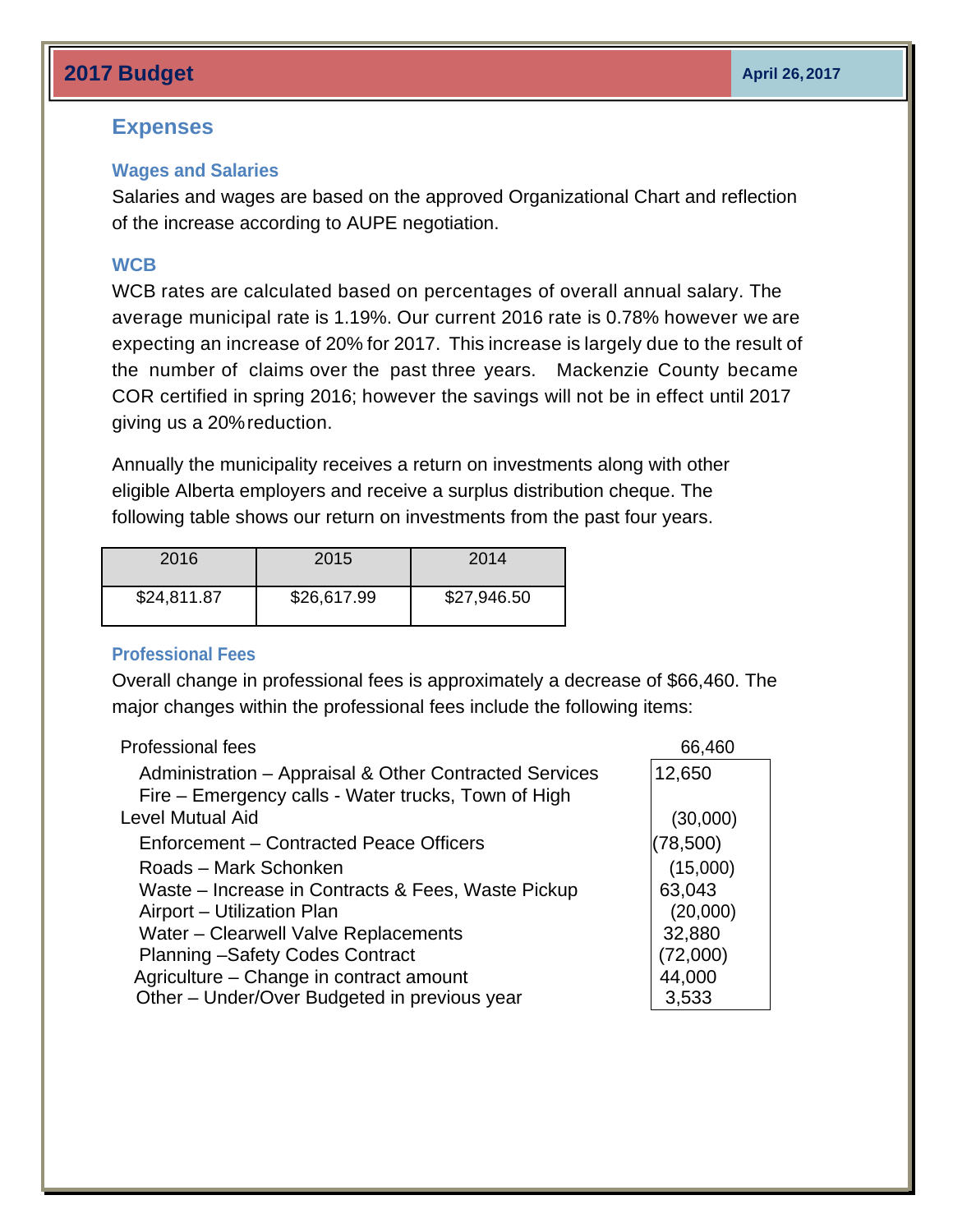# **2017 Budget April 26, 2017** April 26, 2017

## **Expenses**

#### **Wages and Salaries**

Salaries and wages are based on the approved Organizational Chart and reflection of the increase according to AUPE negotiation.

### **WCB**

WCB rates are calculated based on percentages of overall annual salary. The average municipal rate is 1.19%. Our current 2016 rate is 0.78% however we are expecting an increase of 20% for 2017. This increase is largely due to the result of the number of claims over the past three years. Mackenzie County became COR certified in spring 2016; however the savings will not be in effect until 2017 giving us a 20% reduction.

Annually the municipality receives a return on investments along with other eligible Alberta employers and receive a surplus distribution cheque. The following table shows our return on investments from the past four years.

| 2016        | 2015        | 2014        |
|-------------|-------------|-------------|
| \$24,811.87 | \$26,617.99 | \$27,946.50 |

### **Professional Fees**

Overall change in professional fees is approximately a decrease of \$66,460. The major changes within the professional fees include the following items:

| <b>Professional fees</b>                               | 66,460    |
|--------------------------------------------------------|-----------|
| Administration - Appraisal & Other Contracted Services | 12,650    |
| Fire – Emergency calls - Water trucks, Town of High    |           |
| <b>Level Mutual Aid</b>                                | (30,000)  |
| Enforcement – Contracted Peace Officers                | (78, 500) |
| Roads – Mark Schonken                                  | (15,000)  |
| Waste – Increase in Contracts & Fees, Waste Pickup     | 63,043    |
| Airport - Utilization Plan                             | (20,000)  |
| Water - Clearwell Valve Replacements                   | 32,880    |
| <b>Planning -Safety Codes Contract</b>                 | (72,000)  |
| Agriculture - Change in contract amount                | 44,000    |
| Other - Under/Over Budgeted in previous year           | 3,533     |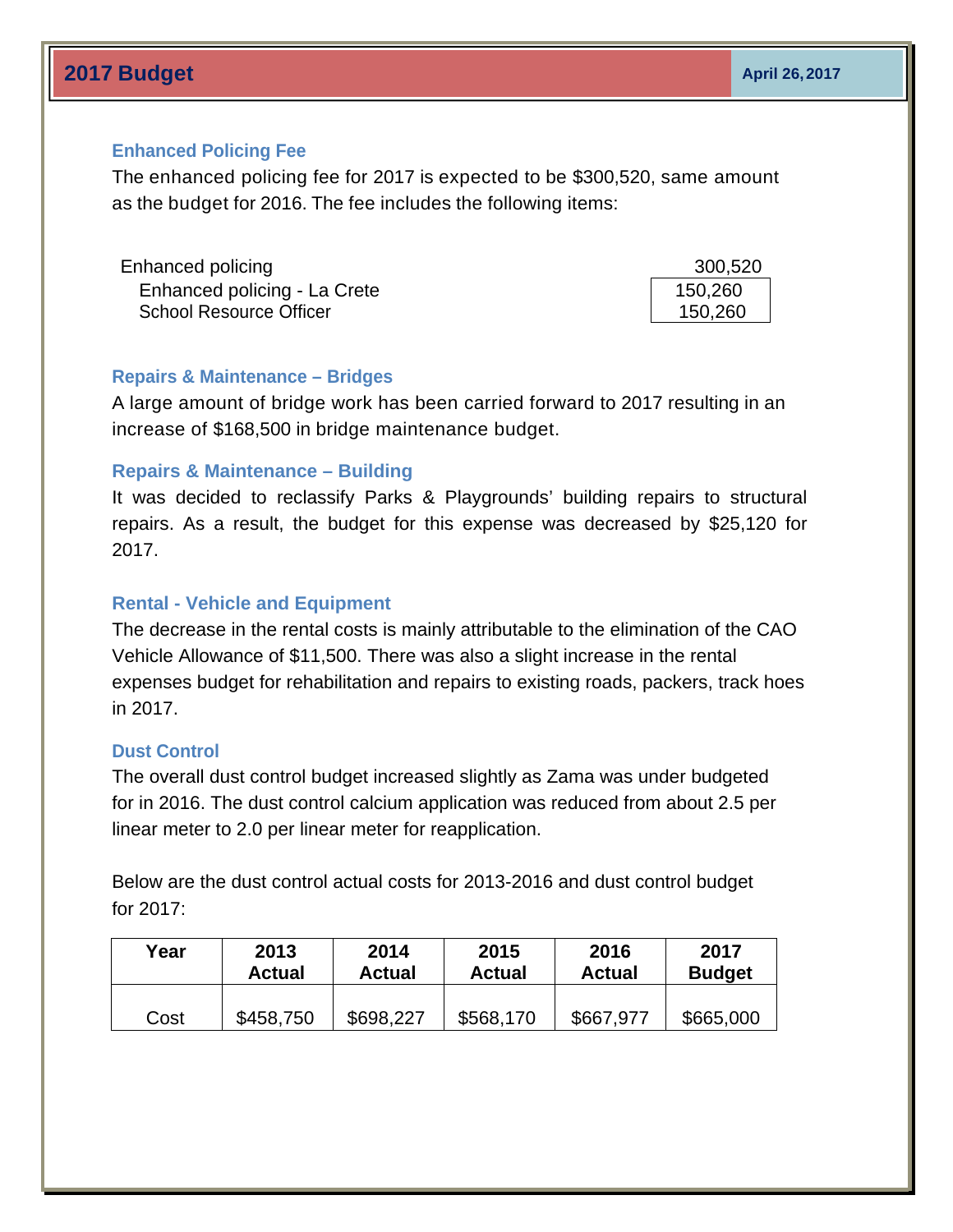# **2017 Budget April 26, 2017** April 26, 2017

## **Enhanced Policing Fee**

The enhanced policing fee for 2017 is expected to be \$300,520, same amount as the budget for 2016. The fee includes the following items:

| Enhanced policing              | 300,520 |
|--------------------------------|---------|
| Enhanced policing - La Crete   | 150,260 |
| <b>School Resource Officer</b> | 150,260 |

### **Repairs & Maintenance – Bridges**

A large amount of bridge work has been carried forward to 2017 resulting in an increase of \$168,500 in bridge maintenance budget.

### **Repairs & Maintenance – Building**

It was decided to reclassify Parks & Playgrounds' building repairs to structural repairs. As a result, the budget for this expense was decreased by \$25,120 for 2017.

### **Rental - Vehicle and Equipment**

The decrease in the rental costs is mainly attributable to the elimination of the CAO Vehicle Allowance of \$11,500. There was also a slight increase in the rental expenses budget for rehabilitation and repairs to existing roads, packers, track hoes in 2017.

### **Dust Control**

The overall dust control budget increased slightly as Zama was under budgeted for in 2016. The dust control calcium application was reduced from about 2.5 per linear meter to 2.0 per linear meter for reapplication.

Below are the dust control actual costs for 2013-2016 and dust control budget for 2017:

| Year | 2013      | 2014      | 2015          | 2016          | 2017          |
|------|-----------|-----------|---------------|---------------|---------------|
|      | Actual    | Actual    | <b>Actual</b> | <b>Actual</b> | <b>Budget</b> |
| Cost | \$458,750 | \$698,227 | \$568,170     | \$667,977     | \$665,000     |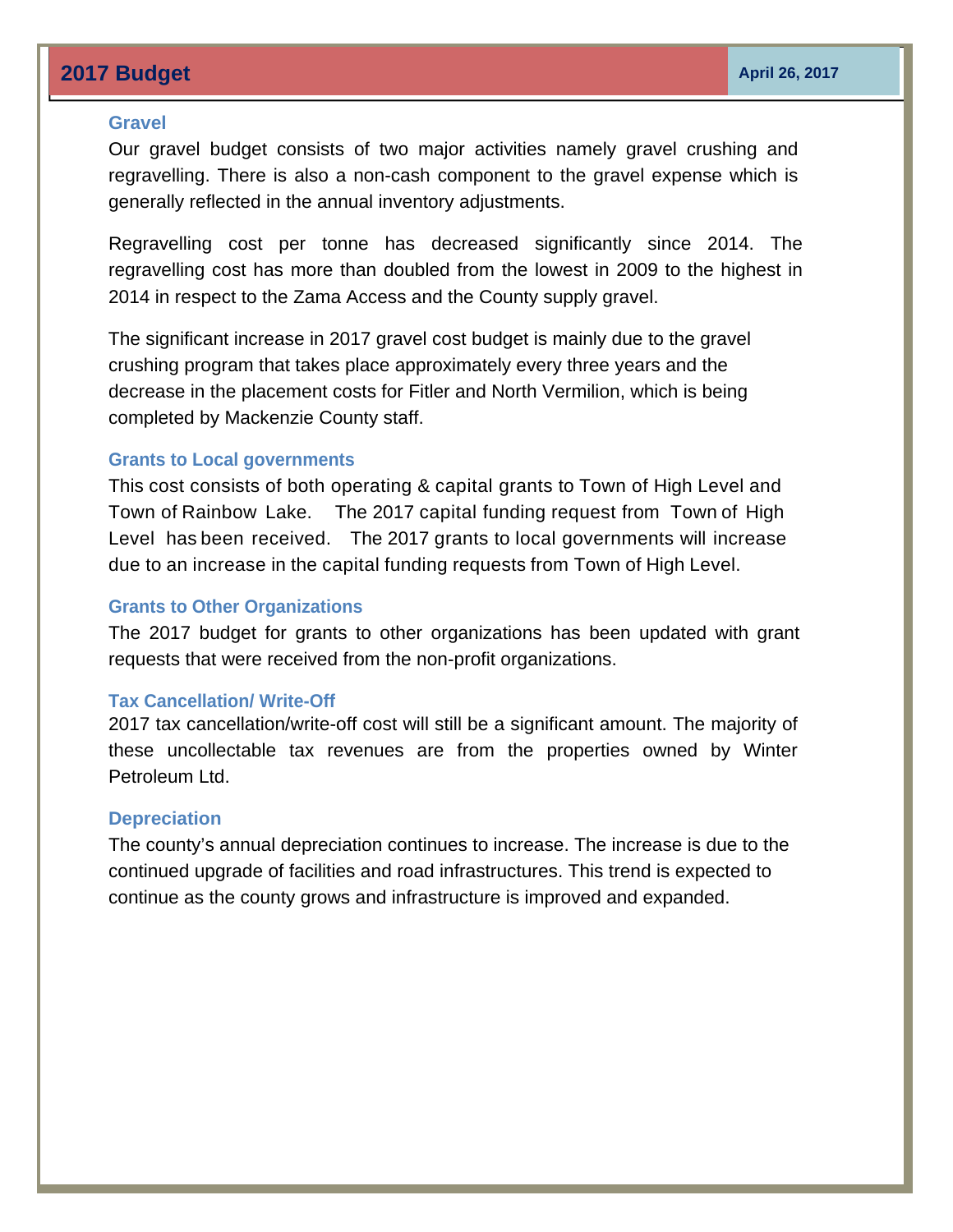# **2017 Budget April 26, 2017 April 26, 2017**

#### **Gravel**

Our gravel budget consists of two major activities namely gravel crushing and regravelling. There is also a non-cash component to the gravel expense which is generally reflected in the annual inventory adjustments.

Regravelling cost per tonne has decreased significantly since 2014. The regravelling cost has more than doubled from the lowest in 2009 to the highest in 2014 in respect to the Zama Access and the County supply gravel.

The significant increase in 2017 gravel cost budget is mainly due to the gravel crushing program that takes place approximately every three years and the decrease in the placement costs for Fitler and North Vermilion, which is being completed by Mackenzie County staff.

#### **Grants to Local governments**

This cost consists of both operating & capital grants to Town of High Level and Town of Rainbow Lake. The 2017 capital funding request from Town of High Level has been received. The 2017 grants to local governments will increase due to an increase in the capital funding requests from Town of High Level.

#### **Grants to Other Organizations**

The 2017 budget for grants to other organizations has been updated with grant requests that were received from the non-profit organizations.

#### **Tax Cancellation/ Write-Off**

2017 tax cancellation/write-off cost will still be a significant amount. The majority of these uncollectable tax revenues are from the properties owned by Winter Petroleum Ltd.

#### **Depreciation**

The county's annual depreciation continues to increase. The increase is due to the continued upgrade of facilities and road infrastructures. This trend is expected to continue as the county grows and infrastructure is improved and expanded.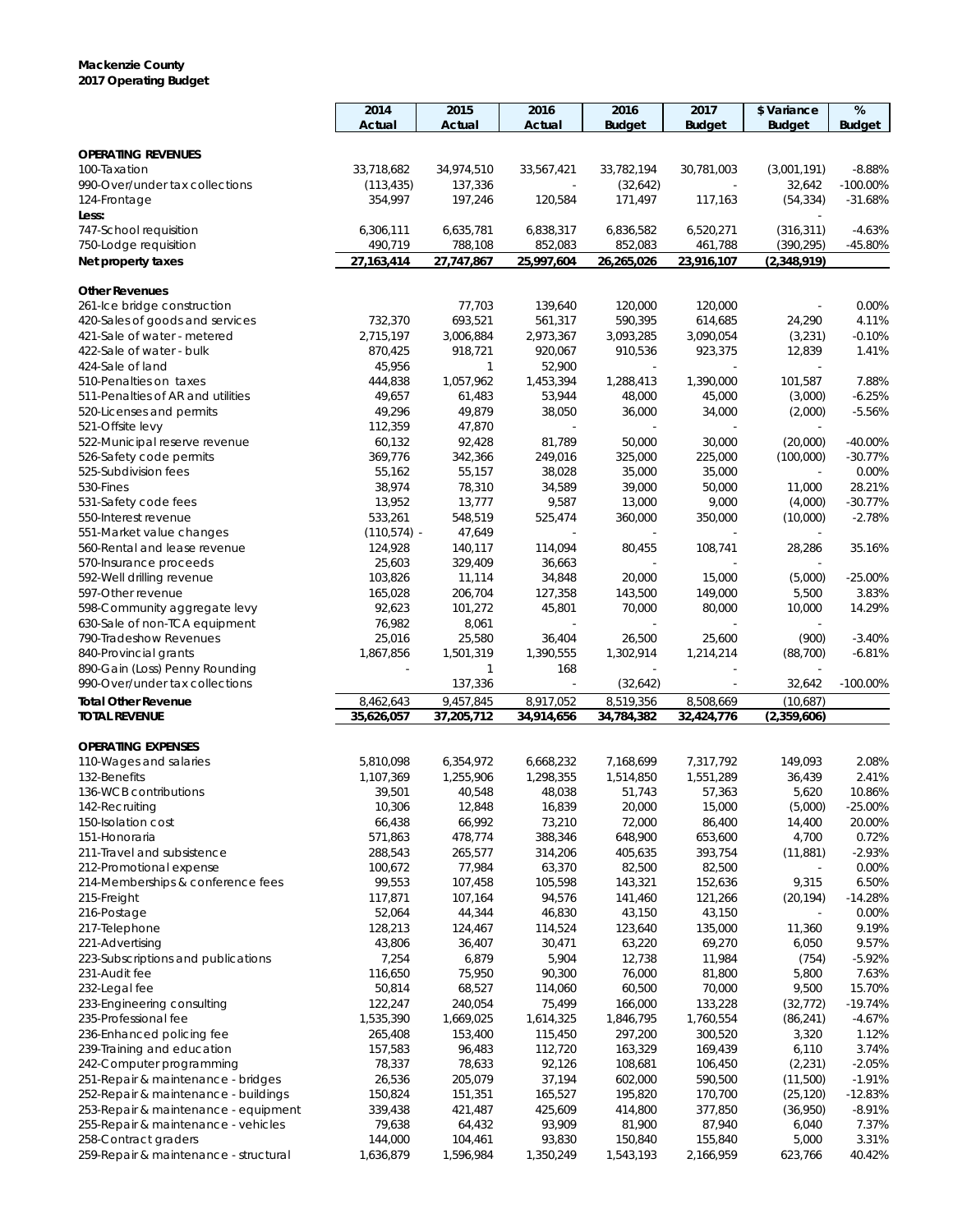#### **Mackenzie County 2017 Operating Budget**

|                                                                  | 2014                    | 2015                    | 2016                    | 2016                    | 2017                    | \$ Variance              | $\%$            |
|------------------------------------------------------------------|-------------------------|-------------------------|-------------------------|-------------------------|-------------------------|--------------------------|-----------------|
|                                                                  | Actual                  | Actual                  | Actual                  | <b>Budget</b>           | <b>Budget</b>           | <b>Budget</b>            | <b>Budget</b>   |
|                                                                  |                         |                         |                         |                         |                         |                          |                 |
| <b>OPERATING REVENUES</b>                                        |                         |                         |                         |                         |                         |                          |                 |
| 100-Taxation                                                     | 33,718,682              | 34,974,510              | 33,567,421              | 33,782,194              | 30,781,003              | (3,001,191)              | $-8.88%$        |
| 990-Over/under tax collections                                   | (113, 435)              | 137,336                 | $\sim$                  | (32,642)                |                         | 32,642                   | $-100.00\%$     |
| 124-Frontage                                                     | 354,997                 | 197,246                 | 120,584                 | 171,497                 | 117,163                 | (54, 334)                | $-31.68%$       |
| Less:                                                            |                         |                         |                         |                         |                         |                          |                 |
| 747-School requisition                                           | 6,306,111               | 6,635,781               | 6,838,317               | 6,836,582               | 6,520,271               | (316, 311)               | $-4.63%$        |
| 750-Lodge requisition                                            | 490,719                 | 788,108                 | 852,083                 | 852,083                 | 461,788                 | (390, 295)               | $-45.80%$       |
| Net property taxes                                               | 27, 163, 414            | 27,747,867              | 25,997,604              | 26,265,026              | 23,916,107              | (2,348,919)              |                 |
| <b>Other Revenues</b>                                            |                         |                         |                         |                         |                         |                          |                 |
| 261-Ice bridge construction                                      |                         | 77,703                  | 139,640                 | 120,000                 | 120,000                 |                          | 0.00%           |
| 420-Sales of goods and services                                  | 732,370                 | 693,521                 | 561,317                 | 590,395                 | 614,685                 | 24,290                   | 4.11%           |
| 421-Sale of water - metered                                      | 2,715,197               | 3,006,884               | 2,973,367               | 3,093,285               | 3,090,054               | (3,231)                  | $-0.10%$        |
| 422-Sale of water - bulk                                         | 870,425                 | 918,721                 | 920,067                 | 910,536                 | 923,375                 | 12,839                   | 1.41%           |
| 424-Sale of land                                                 | 45,956                  | 1                       | 52,900                  |                         |                         |                          |                 |
| 510-Penalties on taxes                                           | 444,838                 | 1,057,962               | 1,453,394               | 1,288,413               | 1,390,000               | 101,587                  | 7.88%           |
| 511-Penalties of AR and utilities                                | 49,657                  | 61,483                  | 53,944                  | 48,000                  | 45,000                  | (3,000)                  | $-6.25%$        |
| 520-Licenses and permits                                         | 49,296                  | 49,879                  | 38,050                  | 36,000                  | 34,000                  | (2,000)                  | $-5.56%$        |
| 521-Offsite levy                                                 | 112,359                 | 47,870                  | $\sim$                  | $\sim$                  | $\sim$                  | $\sim$                   |                 |
| 522-Municipal reserve revenue                                    | 60,132                  | 92,428                  | 81,789                  | 50,000                  | 30,000                  | (20,000)                 | $-40.00%$       |
|                                                                  |                         | 342,366                 |                         |                         |                         |                          | $-30.77%$       |
| 526-Safety code permits                                          | 369,776                 | 55,157                  | 249,016<br>38,028       | 325,000<br>35,000       | 225,000                 | (100,000)                | 0.00%           |
| 525-Subdivision fees                                             | 55,162                  |                         |                         |                         | 35,000                  | $\overline{\phantom{a}}$ |                 |
| 530-Fines                                                        | 38,974                  | 78,310                  | 34,589<br>9,587         | 39,000                  | 50,000                  | 11,000                   | 28.21%          |
| 531-Safety code fees                                             | 13,952<br>533,261       | 13,777                  | 525,474                 | 13,000                  | 9,000                   | (4,000)                  | $-30.77%$       |
| 550-Interest revenue<br>551-Market value changes                 |                         | 548,519<br>47,649       |                         | 360,000                 | 350,000                 | (10,000)                 | $-2.78%$        |
| 560-Rental and lease revenue                                     | $(110, 574)$ -          |                         |                         |                         |                         |                          | 35.16%          |
|                                                                  | 124,928                 | 140,117                 | 114,094                 | 80,455                  | 108,741                 | 28,286                   |                 |
| 570-Insurance proceeds                                           | 25,603                  | 329,409                 | 36,663                  |                         |                         |                          |                 |
| 592-Well drilling revenue                                        | 103,826                 | 11,114                  | 34,848                  | 20,000                  | 15,000                  | (5,000)                  | $-25.00%$       |
| 597-Other revenue                                                | 165,028                 | 206,704                 | 127,358                 | 143,500                 | 149,000                 | 5,500                    | 3.83%           |
| 598-Community aggregate levy                                     | 92,623                  | 101,272                 | 45,801                  | 70,000                  | 80,000                  | 10,000                   | 14.29%          |
| 630-Sale of non-TCA equipment                                    | 76,982                  | 8,061                   |                         |                         |                         |                          |                 |
| 790-Tradeshow Revenues                                           | 25,016                  | 25,580                  | 36,404                  | 26,500                  | 25,600                  | (900)                    | $-3.40%$        |
| 840-Provincial grants                                            | 1,867,856               | 1,501,319               | 1,390,555               | 1,302,914               | 1,214,214               | (88,700)                 | $-6.81%$        |
| 890-Gain (Loss) Penny Rounding<br>990-Over/under tax collections |                         | 1<br>137,336            | 168                     | (32,642)                |                         | 32,642                   | $-100.00\%$     |
|                                                                  |                         |                         |                         |                         |                         |                          |                 |
| <b>Total Other Revenue</b><br><b>TOTAL REVENUE</b>               | 8,462,643<br>35,626,057 | 9,457,845<br>37,205,712 | 8,917,052<br>34,914,656 | 8,519,356<br>34,784,382 | 8,508,669<br>32,424,776 | (10,687)<br>(2,359,606)  |                 |
|                                                                  |                         |                         |                         |                         |                         |                          |                 |
| <b>OPERATING EXPENSES</b>                                        |                         |                         |                         |                         |                         |                          |                 |
| 110-Wages and salaries                                           | 5,810,098               | 6,354,972               | 6,668,232               | 7,168,699               | 7,317,792               | 149,093                  | 2.08%           |
| 132-Benefits                                                     | 1,107,369               | 1,255,906               | 1,298,355               | 1,514,850               | 1,551,289               | 36,439                   | 2.41%           |
| 136-WCB contributions                                            | 39,501                  | 40,548                  | 48,038                  | 51,743                  | 57,363                  | 5,620                    | 10.86%          |
| 142-Recruiting                                                   | 10,306                  | 12,848                  | 16,839                  | 20,000                  | 15,000                  | (5,000)                  | $-25.00%$       |
| 150-Isolation cost                                               | 66,438                  | 66,992                  | 73,210                  | 72,000                  | 86,400                  | 14,400                   | 20.00%          |
| 151-Honoraria                                                    | 571,863                 | 478,774                 | 388,346                 | 648,900                 | 653,600                 | 4,700                    | 0.72%           |
| 211-Travel and subsistence                                       | 288,543                 | 265,577                 | 314,206                 | 405,635                 | 393,754                 | (11, 881)                | $-2.93%$        |
| 212-Promotional expense                                          | 100,672                 | 77,984                  | 63,370                  | 82,500                  | 82,500                  |                          | 0.00%           |
| 214-Memberships & conference fees                                | 99,553                  | 107,458                 | 105,598                 | 143,321                 | 152,636                 | 9,315                    | 6.50%           |
| 215-Freight                                                      | 117,871                 | 107,164                 | 94,576                  | 141,460                 | 121,266                 | (20, 194)                | $-14.28%$       |
| 216-Postage                                                      | 52,064                  | 44,344                  | 46,830                  | 43,150                  | 43,150                  |                          | 0.00%           |
| 217-Telephone                                                    | 128,213                 | 124,467                 | 114,524                 | 123,640                 | 135,000                 | 11,360                   | 9.19%           |
| 221-Advertising                                                  | 43,806                  | 36,407                  | 30,471                  | 63,220                  | 69,270                  | 6,050                    | 9.57%           |
| 223-Subscriptions and publications                               | 7,254                   | 6,879                   | 5,904                   | 12,738                  | 11,984                  | (754)                    | $-5.92%$        |
| 231-Audit fee                                                    | 116,650                 | 75,950                  | 90,300                  | 76,000                  | 81,800                  | 5,800                    | 7.63%           |
| 232-Legal fee                                                    | 50,814                  | 68,527                  | 114,060                 | 60,500                  | 70,000                  | 9,500                    | 15.70%          |
| 233-Engineering consulting                                       | 122,247                 | 240,054                 | 75,499                  | 166,000                 | 133,228                 | (32, 772)                | $-19.74%$       |
| 235-Professional fee                                             | 1,535,390               | 1,669,025               | 1,614,325               | 1,846,795               | 1,760,554               | (86, 241)                | $-4.67%$        |
| 236-Enhanced policing fee                                        | 265,408                 | 153,400                 | 115,450                 | 297,200                 | 300,520                 | 3,320                    | 1.12%           |
| 239-Training and education                                       | 157,583                 | 96,483                  | 112,720                 | 163,329                 | 169,439                 | 6,110                    | 3.74%           |
| 242-Computer programming                                         |                         | 78,633                  | 92,126                  | 108,681                 | 106,450                 | (2, 231)                 | $-2.05%$        |
| 251-Repair & maintenance - bridges                               |                         |                         |                         |                         |                         |                          |                 |
|                                                                  | 78,337                  |                         |                         |                         |                         |                          |                 |
|                                                                  | 26,536                  | 205,079                 | 37,194                  | 602,000                 | 590,500                 | (11,500)                 | $-1.91%$        |
| 252-Repair & maintenance - buildings                             | 150,824                 | 151,351                 | 165,527                 | 195,820                 | 170,700                 | (25, 120)                | $-12.83%$       |
| 253-Repair & maintenance - equipment                             | 339,438                 | 421,487                 | 425,609                 | 414,800                 | 377,850                 | (36,950)                 | $-8.91%$        |
| 255-Repair & maintenance - vehicles                              | 79,638                  | 64,432                  | 93,909                  | 81,900                  | 87,940                  | 6,040                    | 7.37%           |
| 258-Contract graders<br>259-Repair & maintenance - structural    | 144,000<br>1,636,879    | 104,461<br>1,596,984    | 93,830<br>1,350,249     | 150,840<br>1,543,193    | 155,840<br>2,166,959    | 5,000<br>623,766         | 3.31%<br>40.42% |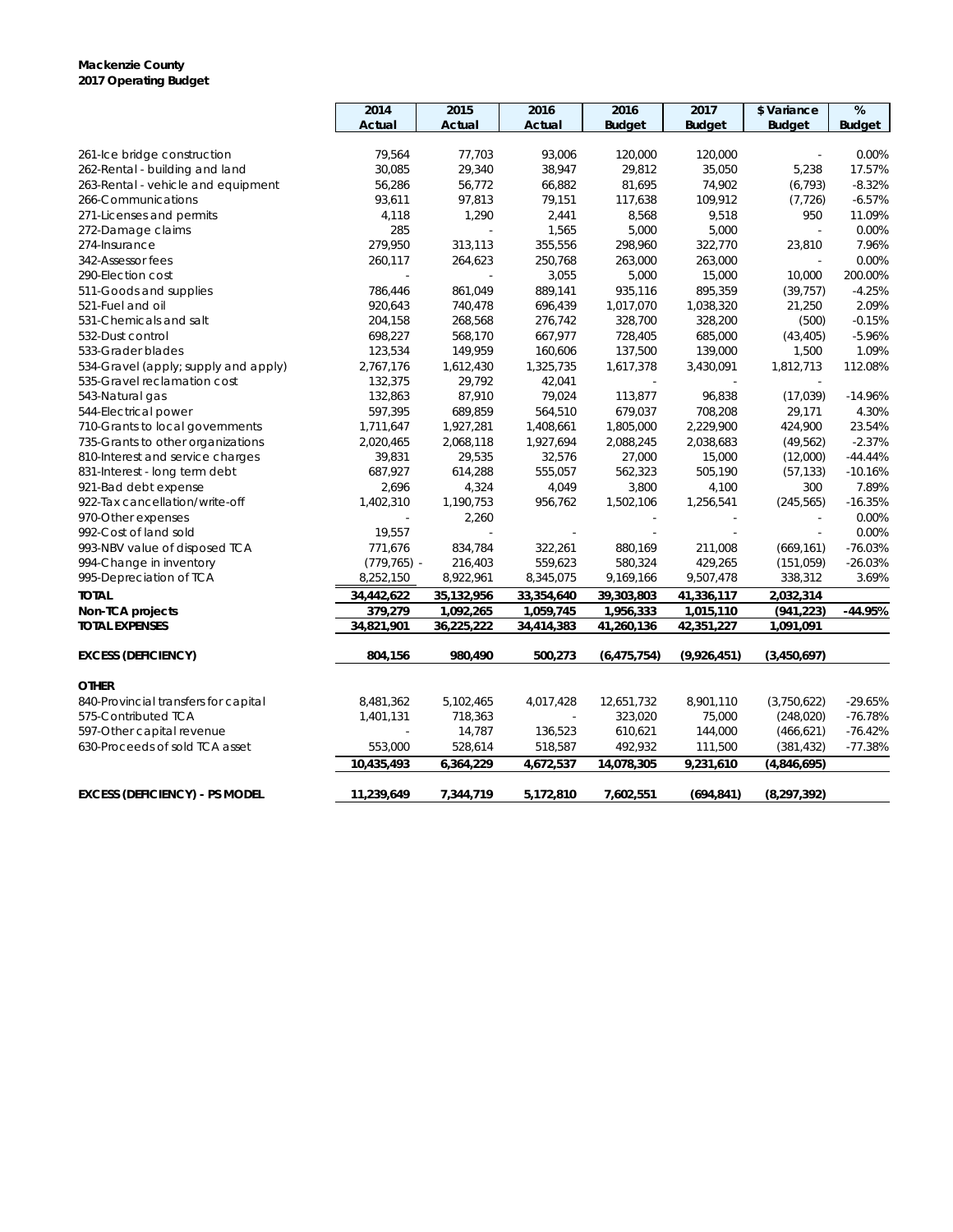#### **Mackenzie County 2017 Operating Budget**

|                                       | 2014           | 2015       | 2016       | 2016          | 2017                    | \$ Variance   | $\%$          |
|---------------------------------------|----------------|------------|------------|---------------|-------------------------|---------------|---------------|
|                                       | Actual         | Actual     | Actual     | <b>Budget</b> | <b>Budget</b>           | <b>Budget</b> | <b>Budget</b> |
|                                       |                |            |            |               |                         |               |               |
| 261-Ice bridge construction           | 79,564         | 77,703     | 93,006     | 120,000       | 120,000                 | $\sim$        | 0.00%         |
| 262-Rental - building and land        | 30,085         | 29,340     | 38,947     | 29,812        | 35,050                  | 5,238         | 17.57%        |
| 263-Rental - vehicle and equipment    | 56,286         | 56,772     | 66,882     | 81,695        | 74,902                  | (6, 793)      | $-8.32%$      |
| 266-Communications                    | 93,611         | 97,813     | 79,151     | 117,638       | 109,912                 | (7, 726)      | $-6.57%$      |
| 271-Licenses and permits              | 4,118          | 1,290      | 2,441      | 8,568         | 9,518                   | 950           | 11.09%        |
| 272-Damage claims                     | 285            |            | 1,565      | 5,000         | 5,000                   | ÷.            | 0.00%         |
| 274-Insurance                         | 279,950        | 313,113    | 355,556    | 298,960       | 322,770                 | 23,810        | 7.96%         |
| 342-Assessor fees                     | 260,117        | 264,623    | 250,768    | 263,000       | 263,000                 |               | 0.00%         |
| 290-Election cost                     | ÷,             | ÷,         | 3,055      | 5,000         | 15,000                  | 10,000        | 200.00%       |
| 511-Goods and supplies                | 786,446        | 861,049    | 889,141    | 935,116       | 895,359                 | (39, 757)     | $-4.25%$      |
| 521-Fuel and oil                      | 920,643        | 740,478    | 696,439    | 1,017,070     | 1,038,320               | 21,250        | 2.09%         |
| 531-Chemicals and salt                | 204,158        | 268,568    | 276,742    | 328,700       | 328,200                 | (500)         | $-0.15%$      |
| 532-Dust control                      | 698,227        | 568,170    | 667,977    | 728,405       | 685,000                 | (43, 405)     | $-5.96%$      |
| 533-Grader blades                     | 123,534        | 149,959    | 160,606    | 137,500       | 139,000                 | 1,500         | 1.09%         |
| 534-Gravel (apply; supply and apply)  | 2,767,176      | 1,612,430  | 1,325,735  | 1,617,378     | 3,430,091               | 1,812,713     | 112.08%       |
| 535-Gravel reclamation cost           | 132,375        | 29,792     | 42,041     |               |                         |               |               |
| 543-Natural gas                       | 132,863        | 87,910     | 79,024     | 113,877       | 96,838                  | (17, 039)     | $-14.96%$     |
| 544-Electrical power                  | 597,395        | 689,859    | 564,510    | 679,037       | 708,208                 | 29,171        | 4.30%         |
| 710-Grants to local governments       | 1,711,647      | 1,927,281  | 1,408,661  | 1,805,000     | 2,229,900               | 424,900       | 23.54%        |
| 735-Grants to other organizations     | 2,020,465      | 2,068,118  | 1,927,694  | 2,088,245     | 2,038,683               | (49, 562)     | $-2.37%$      |
| 810-Interest and service charges      | 39,831         | 29,535     | 32,576     | 27,000        | 15,000                  | (12,000)      | $-44.44%$     |
| 831-Interest - long term debt         | 687,927        | 614,288    | 555,057    | 562,323       | 505,190                 | (57, 133)     | $-10.16%$     |
| 921-Bad debt expense                  | 2,696          | 4,324      | 4,049      | 3,800         | 4,100                   | 300           | 7.89%         |
| 922-Tax cancellation/write-off        | 1,402,310      | 1,190,753  | 956,762    | 1,502,106     | 1,256,541               | (245, 565)    | $-16.35%$     |
| 970-Other expenses                    |                | 2,260      |            |               |                         |               | 0.00%         |
| 992-Cost of land sold                 | 19,557         |            |            |               |                         | $\mathcal{L}$ | 0.00%         |
| 993-NBV value of disposed TCA         | 771,676        | 834,784    | 322,261    | 880,169       | 211,008                 | (669, 161)    | $-76.03%$     |
| 994-Change in inventory               | $(779, 765)$ - | 216,403    | 559,623    | 580,324       | 429,265                 | (151, 059)    | $-26.03%$     |
| 995-Depreciation of TCA               | 8,252,150      | 8,922,961  | 8,345,075  | 9,169,166     | 9,507,478               | 338,312       | 3.69%         |
| <b>TOTAL</b>                          | 34,442,622     | 35,132,956 | 33,354,640 | 39,303,803    | $\overline{41,336,117}$ | 2,032,314     |               |
| Non-TCA projects                      | 379,279        | 1,092,265  | 1,059,745  | 1,956,333     | 1,015,110               | (941, 223)    | $-44.95%$     |
| <b>TOTAL EXPENSES</b>                 | 34,821,901     | 36,225,222 | 34,414,383 | 41,260,136    | 42,351,227              | 1,091,091     |               |
|                                       |                |            |            |               |                         |               |               |
| <b>EXCESS (DEFICIENCY)</b>            | 804,156        | 980,490    | 500,273    | (6, 475, 754) | (9,926,451)             | (3,450,697)   |               |
| <b>OTHER</b>                          |                |            |            |               |                         |               |               |
| 840-Provincial transfers for capital  | 8,481,362      | 5,102,465  | 4,017,428  | 12,651,732    | 8,901,110               | (3,750,622)   | $-29.65%$     |
| 575-Contributed TCA                   | 1,401,131      | 718,363    | ÷.         | 323,020       | 75,000                  | (248, 020)    | $-76.78%$     |
| 597-Other capital revenue             |                | 14,787     | 136,523    | 610,621       | 144,000                 | (466, 621)    | $-76.42%$     |
| 630-Proceeds of sold TCA asset        | 553,000        | 528,614    | 518,587    | 492,932       | 111,500                 | (381, 432)    | $-77.38%$     |
|                                       | 10.435.493     | 6,364,229  | 4,672,537  | 14,078,305    | 9,231,610               | (4,846,695)   |               |
|                                       |                |            |            |               |                         |               |               |
| <b>EXCESS (DEFICIENCY) - PS MODEL</b> | 11,239,649     | 7,344,719  | 5,172,810  | 7,602,551     | (694, 841)              | (8, 297, 392) |               |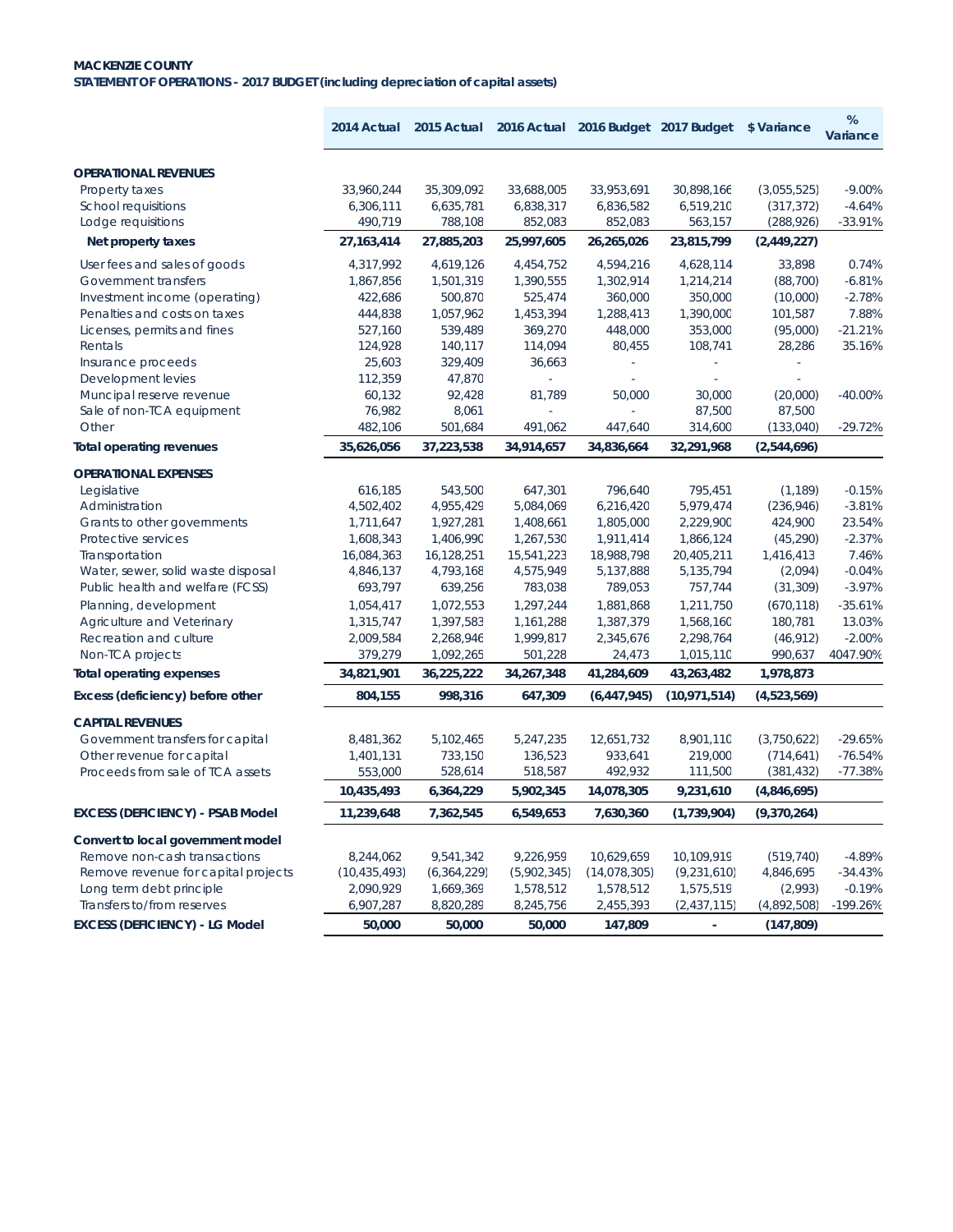#### **MACKENZIE COUNTY STATEMENT OF OPERATIONS - 2017 BUDGET (including depreciation of capital assets)**

|                                         | 2014 Actual    | 2015 Actual   |             |                | 2016 Actual 2016 Budget 2017 Budget \$Variance |             | %<br>Variance |
|-----------------------------------------|----------------|---------------|-------------|----------------|------------------------------------------------|-------------|---------------|
| <b>OPERATIONAL REVENUES</b>             |                |               |             |                |                                                |             |               |
| Property taxes                          | 33,960,244     | 35,309,092    | 33,688,005  | 33,953,691     | 30,898,166                                     | (3,055,525) | $-9.00%$      |
| <b>School requisitions</b>              | 6,306,111      | 6,635,781     | 6,838,317   | 6,836,582      | 6,519,210                                      | (317, 372)  | $-4.64%$      |
| Lodge requisitions                      | 490,719        | 788,108       | 852,083     | 852,083        | 563,157                                        | (288, 926)  | $-33.91%$     |
| Net property taxes                      | 27, 163, 414   | 27,885,203    | 25,997,605  | 26,265,026     | 23,815,799                                     | (2,449,227) |               |
| User fees and sales of goods            | 4,317,992      | 4,619,126     | 4,454,752   | 4,594,216      | 4,628,114                                      | 33,898      | 0.74%         |
| Government transfers                    | 1,867,856      | 1,501,319     | 1,390,555   | 1,302,914      | 1,214,214                                      | (88, 700)   | $-6.81%$      |
| Investment income (operating)           | 422,686        | 500,870       | 525,474     | 360,000        | 350,000                                        | (10,000)    | $-2.78%$      |
| Penalties and costs on taxes            | 444,838        | 1,057,962     | 1,453,394   | 1,288,413      | 1,390,000                                      | 101,587     | 7.88%         |
| Licenses, permits and fines             | 527,160        | 539,489       | 369,270     | 448,000        | 353,000                                        | (95,000)    | $-21.21%$     |
| Rentals                                 | 124,928        | 140,117       | 114,094     | 80,455         | 108,741                                        | 28,286      | 35.16%        |
| Insurance proceeds                      | 25,603         | 329,409       | 36,663      |                |                                                |             |               |
| Development levies                      | 112,359        | 47,870        | ÷.          | ÷,             | ä,                                             |             |               |
| Muncipal reserve revenue                | 60,132         | 92,428        | 81,789      | 50,000         | 30,000                                         | (20,000)    | $-40.00%$     |
| Sale of non-TCA equipment               | 76,982         | 8,061         |             |                | 87,500                                         | 87,500      |               |
| Other                                   | 482,106        | 501,684       | 491,062     | 447,640        | 314,600                                        | (133,040)   | $-29.72%$     |
| <b>Total operating revenues</b>         | 35,626,056     | 37,223,538    | 34,914,657  | 34,836,664     | 32,291,968                                     | (2,544,696) |               |
| <b>OPERATIONAL EXPENSES</b>             |                |               |             |                |                                                |             |               |
| Legislative                             | 616,185        | 543.500       | 647,301     | 796,640        | 795,451                                        | (1, 189)    | $-0.15%$      |
| Administration                          | 4,502,402      | 4,955,429     | 5.084.069   | 6,216,420      | 5,979,474                                      | (236, 946)  | $-3.81%$      |
| Grants to other governments             | 1,711,647      | 1,927,281     | 1,408,661   | 1,805,000      | 2,229,900                                      | 424,900     | 23.54%        |
| Protective services                     | 1,608,343      | 1,406,990     | 1,267,530   | 1,911,414      | 1,866,124                                      | (45, 290)   | $-2.37%$      |
| Transportation                          | 16,084,363     | 16,128,251    | 15,541,223  | 18,988,798     | 20,405,211                                     | 1,416,413   | 7.46%         |
| Water, sewer, solid waste disposal      | 4,846,137      | 4,793,168     | 4,575,949   | 5,137,888      | 5,135,794                                      | (2,094)     | $-0.04%$      |
| Public health and welfare (FCSS)        | 693,797        | 639,256       | 783,038     | 789,053        | 757,744                                        | (31, 309)   | $-3.97%$      |
| Planning, development                   | 1,054,417      | 1,072,553     | 1,297,244   | 1,881,868      | 1,211,750                                      | (670, 118)  | $-35.61%$     |
| Agriculture and Veterinary              | 1,315,747      | 1,397,583     | 1,161,288   | 1,387,379      | 1,568,160                                      | 180,781     | 13.03%        |
| Recreation and culture                  | 2,009,584      | 2,268,946     | 1,999,817   | 2,345,676      | 2,298,764                                      | (46, 912)   | $-2.00%$      |
| Non-TCA projects                        | 379,279        | 1,092,265     | 501,228     | 24,473         | 1,015,110                                      | 990,637     | 4047.90%      |
| <b>Total operating expenses</b>         | 34,821,901     | 36,225,222    | 34,267,348  | 41,284,609     | 43,263,482                                     | 1,978,873   |               |
| Excess (deficiency) before other        | 804,155        | 998,316       | 647,309     | (6, 447, 945)  | (10, 971, 514)                                 | (4,523,569) |               |
| <b>CAPITAL REVENUES</b>                 |                |               |             |                |                                                |             |               |
| Government transfers for capital        | 8,481,362      | 5,102,465     | 5,247,235   | 12,651,732     | 8,901,110                                      | (3,750,622) | $-29.65%$     |
| Other revenue for capital               | 1,401,131      | 733,150       | 136,523     | 933,641        | 219,000                                        | (714, 641)  | $-76.54%$     |
| Proceeds from sale of TCA assets        | 553,000        | 528,614       | 518,587     | 492,932        | 111,500                                        | (381, 432)  | $-77.38%$     |
|                                         | 10,435,493     | 6,364,229     | 5,902,345   | 14,078,305     | 9,231,610                                      | (4,846,695) |               |
| <b>EXCESS (DEFICIENCY) - PSAB Model</b> | 11,239,648     | 7,362,545     | 6,549,653   | 7,630,360      | (1,739,904)                                    | (9,370,264) |               |
| Convert to local government model       |                |               |             |                |                                                |             |               |
| Remove non-cash transactions            | 8,244,062      | 9,541,342     | 9,226,959   | 10,629,659     | 10,109,919                                     | (519, 740)  | $-4.89%$      |
| Remove revenue for capital projects     | (10, 435, 493) | (6, 364, 229) | (5,902,345) | (14, 078, 305) | (9,231,610)                                    | 4,846,695   | $-34.43%$     |
| Long term debt principle                | 2,090,929      | 1,669,369     | 1,578,512   | 1,578,512      | 1,575,519                                      | (2,993)     | $-0.19%$      |
| Transfers to/from reserves              | 6,907,287      | 8,820,289     | 8,245,756   | 2,455,393      | (2,437,115)                                    | (4,892,508) | $-199.26%$    |
| <b>EXCESS (DEFICIENCY) - LG Model</b>   | 50,000         | 50,000        | 50,000      | 147,809        | $\blacksquare$                                 | (147, 809)  |               |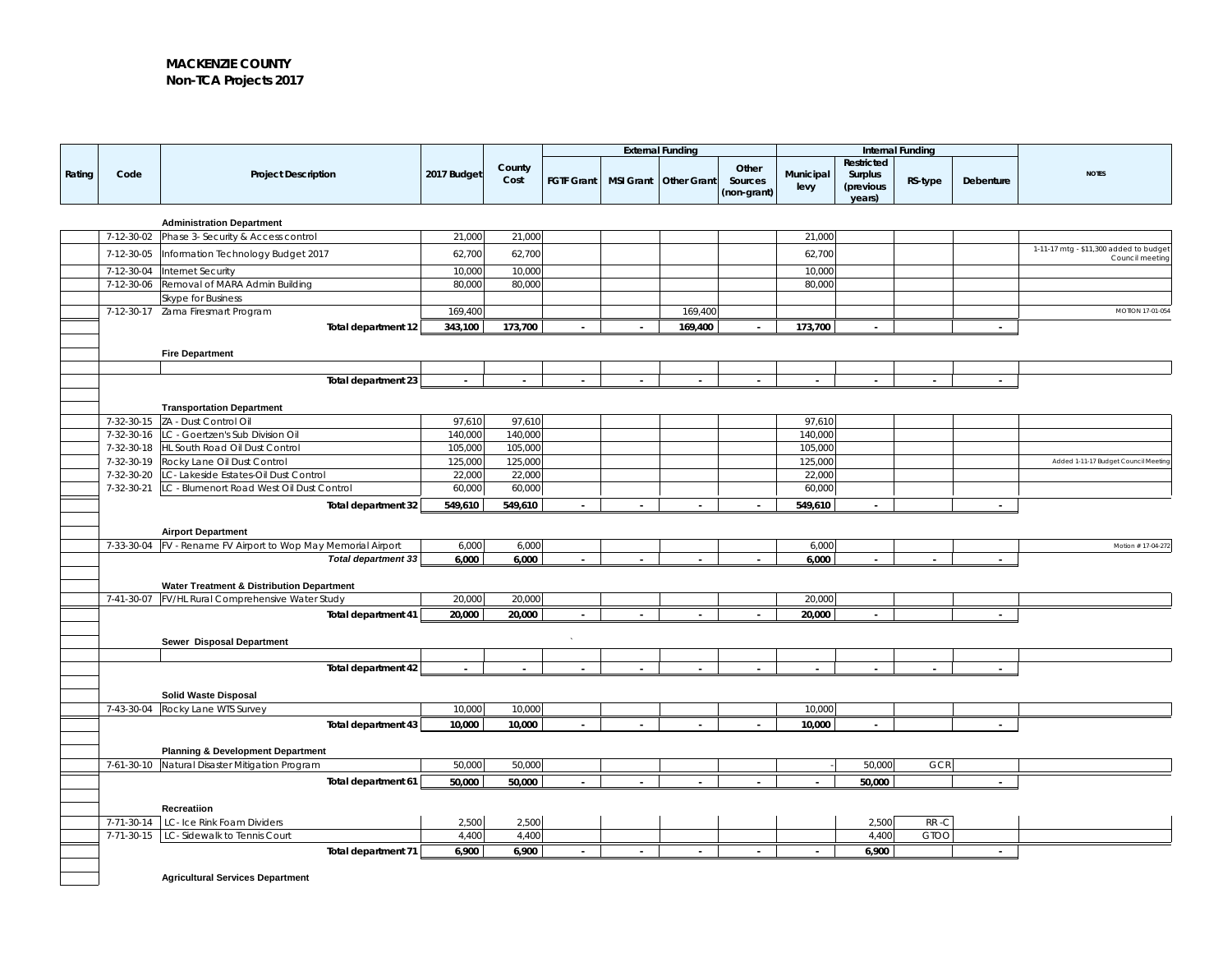#### **MACKENZIE COUNTY Non-TCA Projects 2017**

|        |            |                                                                                               | <b>External Funding</b> |                | Internal Funding  |  |                       |                                 |                   |                                              |             |           |                                       |
|--------|------------|-----------------------------------------------------------------------------------------------|-------------------------|----------------|-------------------|--|-----------------------|---------------------------------|-------------------|----------------------------------------------|-------------|-----------|---------------------------------------|
| Rating | Code       | <b>Project Description</b>                                                                    | 2017 Budget             | County<br>Cost | <b>FGTF Grant</b> |  | MSI Grant Other Grant | Other<br>Sources<br>(non-grant) | Municipal<br>levy | Restricted<br>Surplus<br>(previous<br>years) | RS-type     | Debenture | <b>NOTES</b>                          |
|        |            |                                                                                               |                         |                |                   |  |                       |                                 |                   |                                              |             |           |                                       |
|        | 7-12-30-02 | <b>Administration Department</b>                                                              | 21,000                  | 21,000         |                   |  |                       |                                 | 21,000            |                                              |             |           |                                       |
|        |            | Phase 3- Security & Access control                                                            |                         |                |                   |  |                       |                                 |                   |                                              |             |           | 1-11-17 mtg - \$11,300 added to budge |
|        | 7-12-30-05 | Information Technology Budget 2017                                                            | 62,700                  | 62,700         |                   |  |                       |                                 | 62,700            |                                              |             |           | Council meeting                       |
|        | 7-12-30-04 | Internet Security                                                                             | 10,000                  | 10,000         |                   |  |                       |                                 | 10,000            |                                              |             |           |                                       |
|        | 7-12-30-06 | Removal of MARA Admin Building                                                                | 80,000                  | 80,000         |                   |  |                       |                                 | 80,000            |                                              |             |           |                                       |
|        |            | Skype for Business<br>7-12-30-17 Zama Firesmart Program                                       | 169,400                 |                |                   |  | 169,400               |                                 |                   |                                              |             |           | MOTION 17-01-054                      |
|        |            | Total department 12                                                                           | 343,100                 | 173,700        |                   |  | 169,400               |                                 | 173,700           |                                              |             |           |                                       |
|        |            |                                                                                               |                         |                |                   |  |                       |                                 |                   |                                              |             |           |                                       |
|        |            | <b>Fire Department</b>                                                                        |                         |                |                   |  |                       |                                 |                   |                                              |             |           |                                       |
|        |            |                                                                                               |                         |                |                   |  |                       |                                 |                   |                                              |             |           |                                       |
|        |            | Total department 23                                                                           | $\sim$                  |                |                   |  |                       |                                 |                   |                                              |             |           |                                       |
|        |            |                                                                                               |                         |                |                   |  |                       |                                 |                   |                                              |             |           |                                       |
|        |            | <b>Transportation Department</b><br>7-32-30-15 ZA - Dust Control Oil                          | 97,610                  | 97,610         |                   |  |                       |                                 | 97,610            |                                              |             |           |                                       |
|        | 7-32-30-16 | LC - Goertzen's Sub Division Oil                                                              | 140,000                 | 140,000        |                   |  |                       |                                 | 140,000           |                                              |             |           |                                       |
|        |            | 7-32-30-18 HL South Road Oil Dust Control                                                     | 105,000                 | 105,000        |                   |  |                       |                                 | 105,000           |                                              |             |           |                                       |
|        | 7-32-30-19 | Rocky Lane Oil Dust Control                                                                   | 125,000                 | 125,000        |                   |  |                       |                                 | 125,000           |                                              |             |           | Added 1-11-17 Budget Council Meeting  |
|        | 7-32-30-20 | LC- Lakeside Estates-Oil Dust Control                                                         | 22,000                  | 22,000         |                   |  |                       |                                 | 22,000            |                                              |             |           |                                       |
|        |            | 7-32-30-21 LC - Blumenort Road West Oil Dust Control                                          | 60,000                  | 60,000         |                   |  |                       |                                 | 60,000            |                                              |             |           |                                       |
|        |            | Total department 32                                                                           | 549,610                 | 549,610        |                   |  |                       | $\sim$                          | 549,610           | $\sim$                                       |             | $\sim$    |                                       |
|        |            |                                                                                               |                         |                |                   |  |                       |                                 |                   |                                              |             |           |                                       |
|        |            | <b>Airport Department</b>                                                                     |                         |                |                   |  |                       |                                 |                   |                                              |             |           |                                       |
|        |            | 7-33-30-04   FV - Rename FV Airport to Wop May Memorial Airport<br><b>Total department 33</b> | 6,000<br>6,000          | 6,000<br>6,000 |                   |  |                       |                                 | 6,000<br>6,000    |                                              |             |           | Motion # 17-04-272                    |
|        |            |                                                                                               |                         |                |                   |  |                       |                                 |                   |                                              |             |           |                                       |
|        |            | Water Treatment & Distribution Department                                                     |                         |                |                   |  |                       |                                 |                   |                                              |             |           |                                       |
|        | 7-41-30-07 | FV/HL Rural Comprehensive Water Study                                                         | 20,000                  | 20,000         |                   |  |                       |                                 | 20,000            |                                              |             |           |                                       |
|        |            | Total department 41                                                                           | 20,000                  | 20,000         |                   |  |                       |                                 | 20,000            |                                              |             |           |                                       |
|        |            |                                                                                               |                         |                |                   |  |                       |                                 |                   |                                              |             |           |                                       |
|        |            | Sewer Disposal Department                                                                     |                         |                |                   |  |                       |                                 |                   |                                              |             |           |                                       |
|        |            | Total department 42                                                                           |                         |                |                   |  |                       |                                 |                   |                                              |             |           |                                       |
|        |            |                                                                                               |                         |                |                   |  |                       |                                 |                   |                                              |             |           |                                       |
|        |            | <b>Solid Waste Disposal</b>                                                                   |                         |                |                   |  |                       |                                 |                   |                                              |             |           |                                       |
|        |            | 7-43-30-04 Rocky Lane WTS Survey                                                              | 10,000                  | 10,000         |                   |  |                       |                                 | 10,000            |                                              |             |           |                                       |
|        |            | Total department 43                                                                           | 10,000                  | 10,000         |                   |  |                       |                                 | 10,000            | ÷                                            |             |           |                                       |
|        |            |                                                                                               |                         |                |                   |  |                       |                                 |                   |                                              |             |           |                                       |
|        |            | <b>Planning &amp; Development Department</b>                                                  |                         |                |                   |  |                       |                                 |                   |                                              |             |           |                                       |
|        |            | 7-61-30-10 Natural Disaster Mitigation Program                                                | 50,000                  | 50,000         |                   |  |                       |                                 |                   | 50,000                                       | <b>GCR</b>  |           |                                       |
|        |            | Total department 61                                                                           | 50,000                  | 50,000         |                   |  |                       |                                 | $\sim$            | 50,000                                       |             |           |                                       |
|        |            |                                                                                               |                         |                |                   |  |                       |                                 |                   |                                              |             |           |                                       |
|        | 7-71-30-14 | Recreatiion<br>LC- Ice Rink Foam Dividers                                                     | 2,500                   | 2,500          |                   |  |                       |                                 |                   | 2,500                                        | RR-C        |           |                                       |
|        |            | 7-71-30-15   LC- Sidewalk to Tennis Court                                                     | 4,400                   | 4,400          |                   |  |                       |                                 |                   | 4,400                                        | <b>GTOO</b> |           |                                       |
|        |            | Total department 71                                                                           | 6,900                   | 6,900          |                   |  |                       |                                 | $\sim$            | 6,900                                        |             | $\sim$    |                                       |
|        |            |                                                                                               |                         |                |                   |  |                       |                                 |                   |                                              |             |           |                                       |
|        |            | <b>Agricultural Services Department</b>                                                       |                         |                |                   |  |                       |                                 |                   |                                              |             |           |                                       |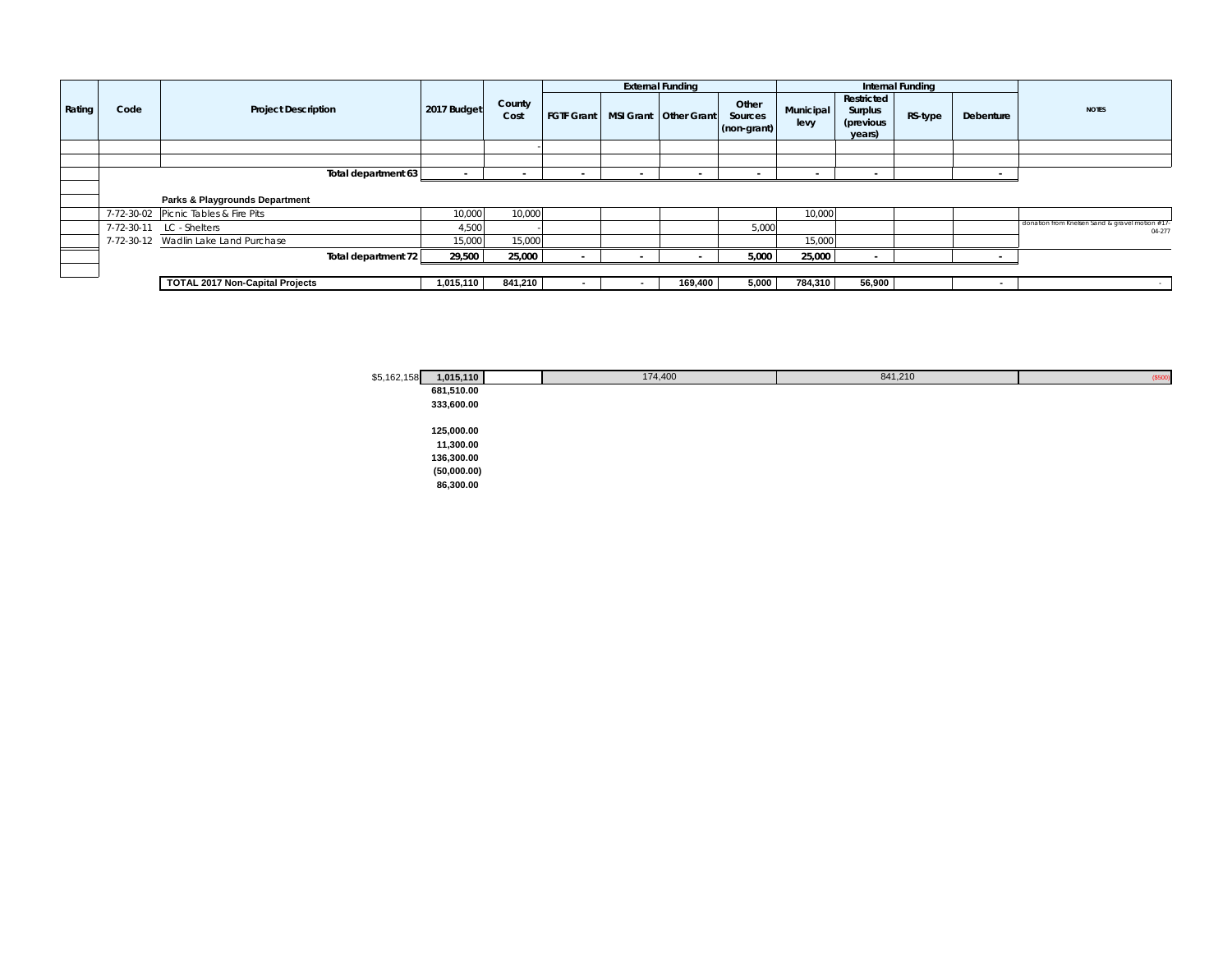|               |      |                                        |             |                |                   |                          | <b>External Funding</b> |                                 |                   |                                              | Internal Funding |           |                                                           |
|---------------|------|----------------------------------------|-------------|----------------|-------------------|--------------------------|-------------------------|---------------------------------|-------------------|----------------------------------------------|------------------|-----------|-----------------------------------------------------------|
| <b>Rating</b> | Code | <b>Project Description</b>             | 2017 Budget | County<br>Cost | <b>FGTF Grant</b> |                          | MSI Grant Other Grant   | Other<br>Sources<br>(non-grant) | Municipal<br>levy | Restricted<br>Surplus<br>(previous<br>years) | RS-type          | Debenture | <b>NOTES</b>                                              |
|               |      |                                        |             |                |                   |                          |                         |                                 |                   |                                              |                  |           |                                                           |
|               |      |                                        |             |                |                   |                          |                         |                                 |                   |                                              |                  |           |                                                           |
|               |      | Total department 63                    |             |                |                   | $\overline{\phantom{a}}$ |                         |                                 |                   |                                              |                  |           |                                                           |
|               |      |                                        |             |                |                   |                          |                         |                                 |                   |                                              |                  |           |                                                           |
|               |      | Parks & Playgrounds Department         |             |                |                   |                          |                         |                                 |                   |                                              |                  |           |                                                           |
|               |      | 7-72-30-02 Picnic Tables & Fire Pits   | 10,000      | 10,000         |                   |                          |                         |                                 | 10,000            |                                              |                  |           |                                                           |
|               |      | 7-72-30-11 LC - Shelters               | 4,500       |                |                   |                          |                         | 5,000                           |                   |                                              |                  |           | donation from Knelsen Sand & gravel motion #17-<br>04-277 |
|               |      | 7-72-30-12 Wadlin Lake Land Purchase   | 15,000      | 15,000         |                   |                          |                         |                                 | 15,000            |                                              |                  |           |                                                           |
|               |      | Total department 72                    | 29,500      | 25,000         |                   |                          |                         | 5,000                           | 25,000            |                                              |                  |           |                                                           |
|               |      |                                        |             |                |                   |                          |                         |                                 |                   |                                              |                  |           |                                                           |
|               |      | <b>TOTAL 2017 Non-Capital Projects</b> | 1,015,110   | 841,210        |                   |                          | 169,400                 | 5,000                           | 784,310           | 56,900                                       |                  |           |                                                           |

| \$5,162,158 | 1,015,110   | 174,400 | 841,210 | (S500) |
|-------------|-------------|---------|---------|--------|
|             | 681,510.00  |         |         |        |
|             | 333,600.00  |         |         |        |
|             |             |         |         |        |
|             | 125,000.00  |         |         |        |
|             | 11,300.00   |         |         |        |
|             | 136,300.00  |         |         |        |
|             | (50,000.00) |         |         |        |
|             | 86,300.00   |         |         |        |
|             |             |         |         |        |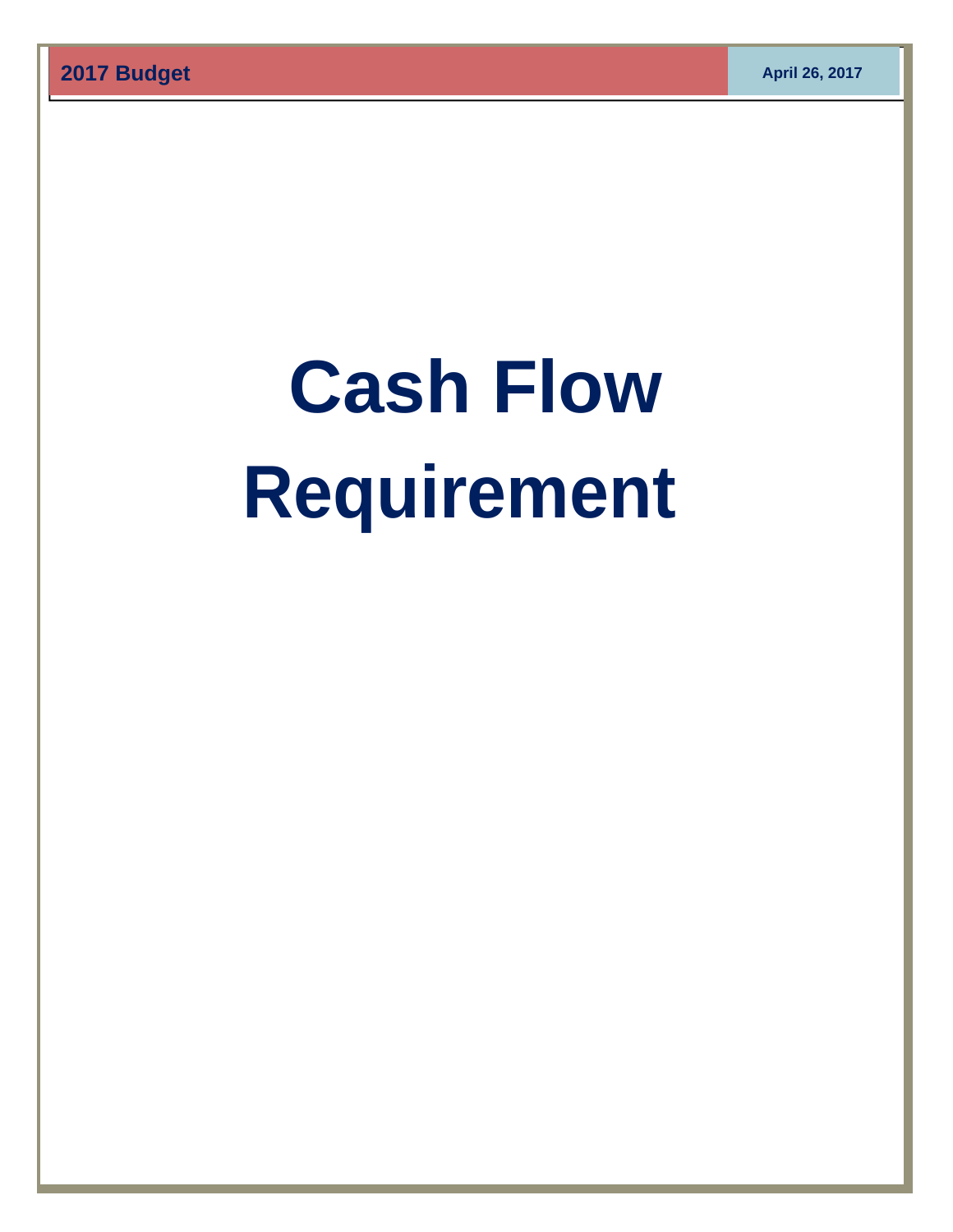# **Cash Flow Requirement**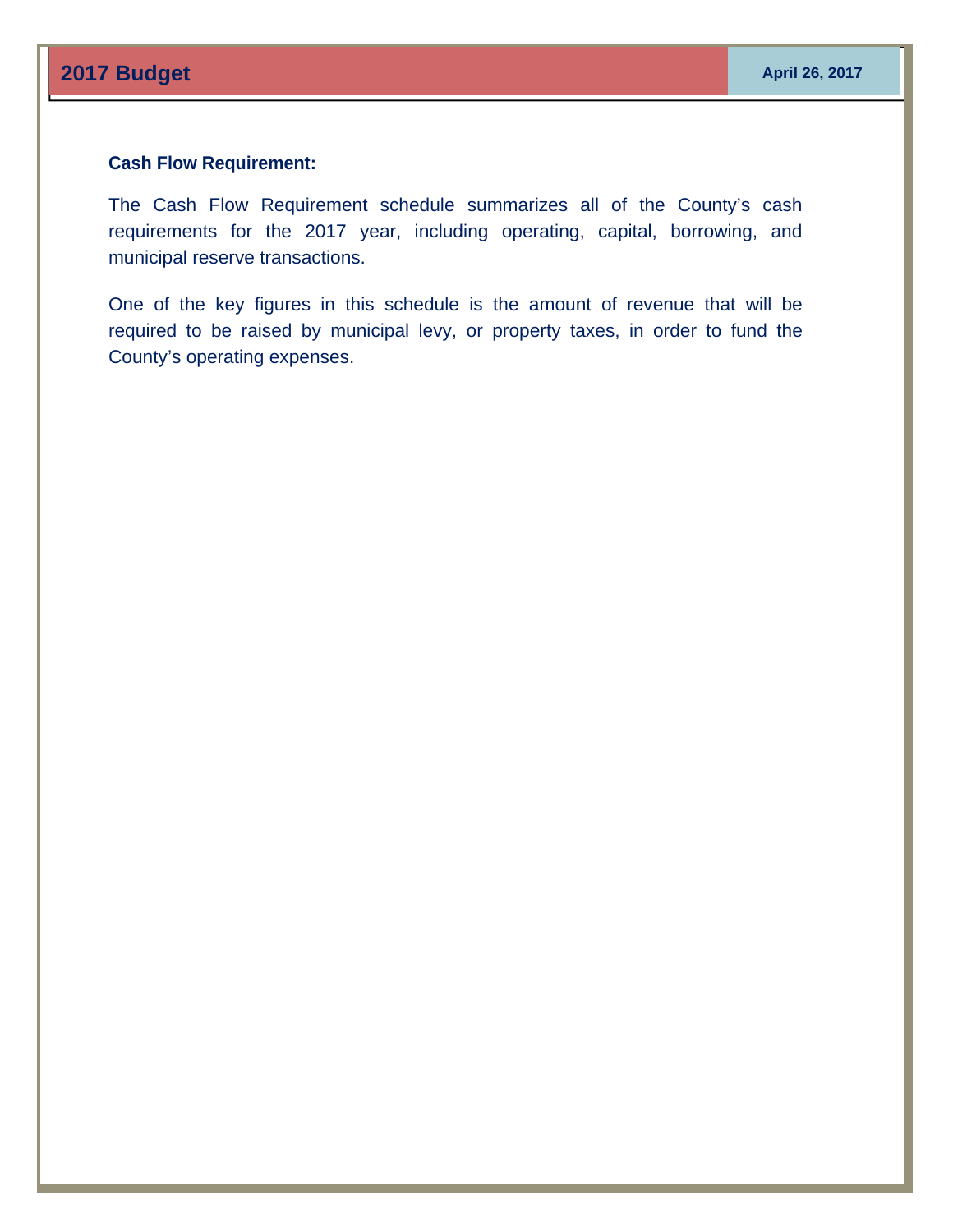# **Cash Flow Requirement:**

The Cash Flow Requirement schedule summarizes all of the County's cash requirements for the 2017 year, including operating, capital, borrowing, and municipal reserve transactions.

One of the key figures in this schedule is the amount of revenue that will be required to be raised by municipal levy, or property taxes, in order to fund the County's operating expenses.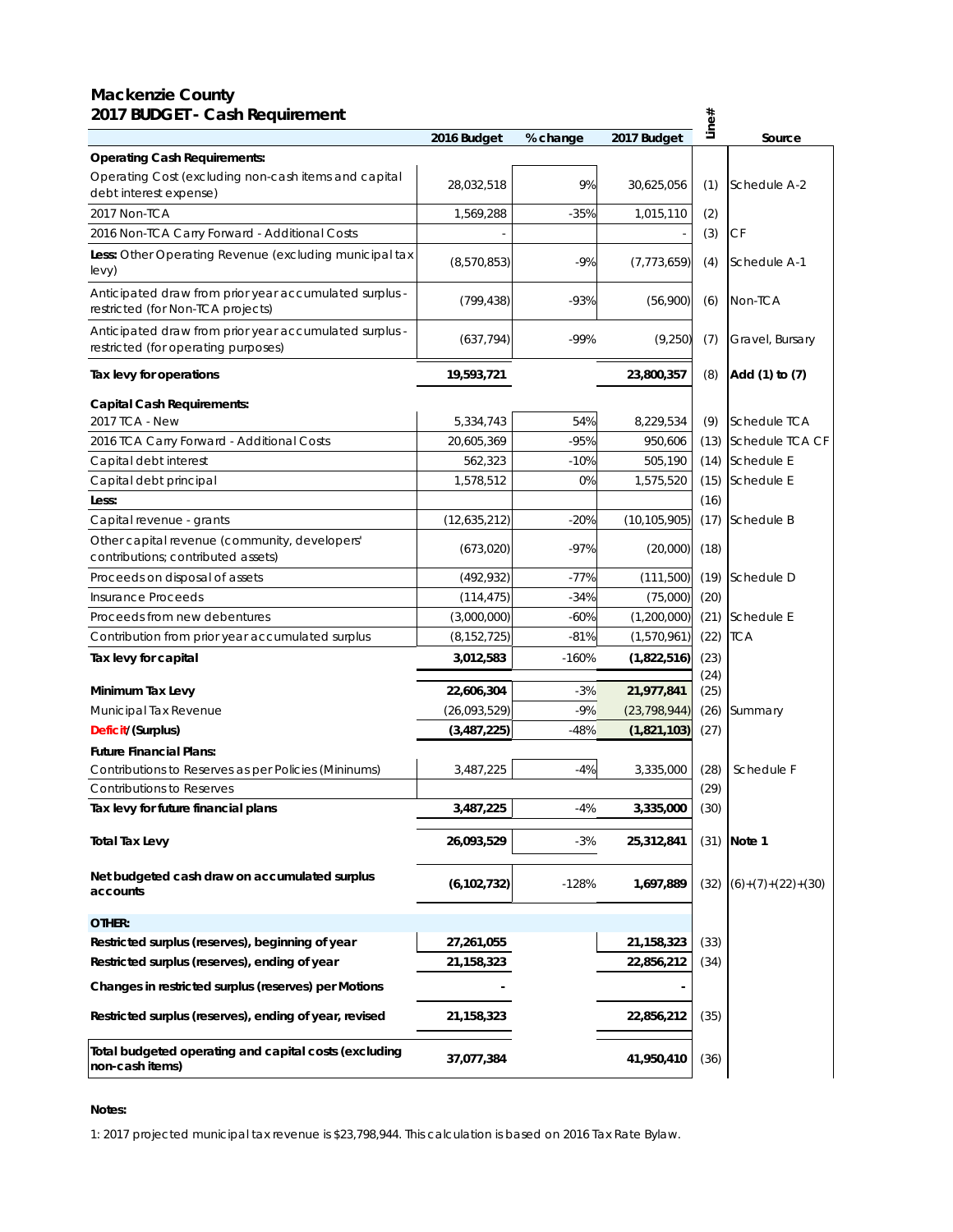#### **Mackenzie County 2017 BUDGET - Cash Requirement**

| 2017 BUDGET - Cash Requirement                                                                |               |          |                | Line#        |                     |
|-----------------------------------------------------------------------------------------------|---------------|----------|----------------|--------------|---------------------|
|                                                                                               | 2016 Budget   | % change | 2017 Budget    |              | Source              |
| <b>Operating Cash Requirements:</b>                                                           |               |          |                |              |                     |
| Operating Cost (excluding non-cash items and capital<br>debt interest expense)                | 28,032,518    | 9%       | 30,625,056     | (1)          | Schedule A-2        |
| 2017 Non-TCA                                                                                  | 1,569,288     | $-35%$   | 1,015,110      | (2)          |                     |
| 2016 Non-TCA Carry Forward - Additional Costs                                                 |               |          |                | (3)          | СF                  |
| Less: Other Operating Revenue (excluding municipal tax<br>levy)                               | (8,570,853)   | $-9%$    | (7, 773, 659)  | (4)          | Schedule A-1        |
| Anticipated draw from prior year accumulated surplus -<br>restricted (for Non-TCA projects)   | (799, 438)    | $-93%$   | (56,900)       | (6)          | Non-TCA             |
| Anticipated draw from prior year accumulated surplus -<br>restricted (for operating purposes) | (637, 794)    | $-99%$   | (9,250)        | (7)          | Gravel, Bursary     |
| Tax levy for operations                                                                       | 19,593,721    |          | 23,800,357     | (8)          | Add (1) to (7)      |
| Capital Cash Requirements:                                                                    |               |          |                |              |                     |
| 2017 TCA - New                                                                                | 5,334,743     | 54%      | 8,229,534      | (9)          | Schedule TCA        |
| 2016 TCA Carry Forward - Additional Costs                                                     | 20,605,369    | $-95%$   | 950,606        | (13)         | Schedule TCA CF     |
| Capital debt interest                                                                         | 562,323       | $-10%$   | 505,190        |              | (14) Schedule E     |
| Capital debt principal                                                                        | 1,578,512     | 0%       | 1,575,520      | (15)         | Schedule E          |
| Less:                                                                                         |               |          |                | (16)         |                     |
| Capital revenue - grants                                                                      | (12,635,212)  | $-20%$   | (10, 105, 905) | (17)         | Schedule B          |
| Other capital revenue (community, developers'<br>contributions; contributed assets)           | (673,020)     | $-97%$   | (20,000)       | (18)         |                     |
| Proceeds on disposal of assets                                                                | (492, 932)    | $-77%$   | (111,500)      | (19)         | Schedule D          |
| Insurance Proceeds                                                                            | (114, 475)    | $-34%$   | (75,000)       | (20)         |                     |
| Proceeds from new debentures                                                                  | (3,000,000)   | $-60%$   | (1,200,000)    | (21)         | Schedule E          |
| Contribution from prior year accumulated surplus                                              | (8, 152, 725) | $-81%$   | (1,570,961)    | (22)         | <b>TCA</b>          |
| Tax levy for capital                                                                          | 3,012,583     | $-160%$  | (1,822,516)    | (23)<br>(24) |                     |
| Minimum Tax Levy                                                                              | 22,606,304    | -3%      | 21,977,841     | (25)         |                     |
| Municipal Tax Revenue                                                                         | (26,093,529)  | $-9%$    | (23, 798, 944) | (26)         | Summary             |
| Deficit/(Surplus)                                                                             | (3,487,225)   | $-48%$   | (1,821,103)    | (27)         |                     |
| <b>Future Financial Plans:</b>                                                                |               |          |                |              |                     |
| Contributions to Reserves as per Policies (Mininums)                                          | 3,487,225     | $-4%$    | 3,335,000      | (28)         | Schedule F          |
| Contributions to Reserves                                                                     |               |          |                | (29)         |                     |
| Tax levy for future financial plans                                                           | 3,487,225     | -4%      | 3,335,000      | (30)         |                     |
| <b>Total Tax Levy</b>                                                                         | 26,093,529    | $-3%$    | 25,312,841     |              | $(31)$ Note 1       |
| Net budgeted cash draw on accumulated surplus<br>accounts                                     | (6, 102, 732) | $-128%$  | 1,697,889      | (32)         | $(6)+(7)+(22)+(30)$ |
| OTHER:                                                                                        |               |          |                |              |                     |
| Restricted surplus (reserves), beginning of year                                              | 27,261,055    |          | 21,158,323     | (33)         |                     |
| Restricted surplus (reserves), ending of year                                                 | 21,158,323    |          | 22,856,212     | (34)         |                     |
| Changes in restricted surplus (reserves) per Motions                                          |               |          |                |              |                     |
| Restricted surplus (reserves), ending of year, revised                                        | 21,158,323    |          | 22,856,212     | (35)         |                     |
| Total budgeted operating and capital costs (excluding<br>non-cash items)                      | 37,077,384    |          | 41,950,410     | (36)         |                     |

#### **Notes:**

1: 2017 projected municipal tax revenue is \$23,798,944. This calculation is based on 2016 Tax Rate Bylaw.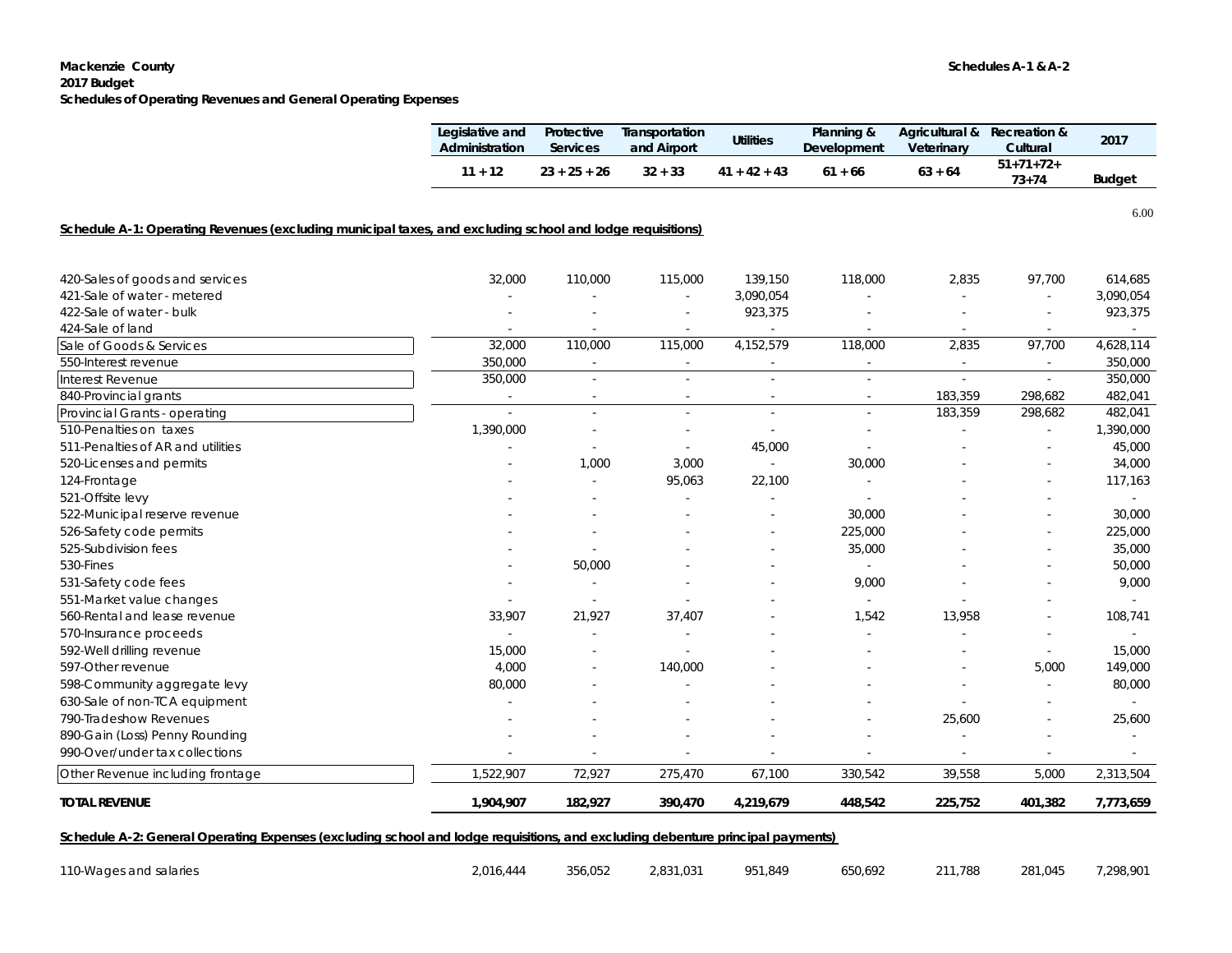#### **Mackenzie County Schedules A-1 & A-2**

#### **2017 Budget**

**Schedules of Operating Revenues and General Operating Expenses**

|                                                                                                                                | Legislative and<br>Administration | Protective<br><b>Services</b> | Transportation<br>and <b>Airport</b> | <b>Utilities</b> | Planning &<br>Development | Agricultural &<br>Veterinary | <b>Recreation &amp;</b><br>Cultural | 2017          |  |
|--------------------------------------------------------------------------------------------------------------------------------|-----------------------------------|-------------------------------|--------------------------------------|------------------|---------------------------|------------------------------|-------------------------------------|---------------|--|
|                                                                                                                                | $11 + 12$                         | $23 + 25 + 26$                | $32 + 33$                            | $41 + 42 + 43$   | $61 + 66$                 | $63 + 64$                    | $51 + 71 + 72 +$<br>$73 + 74$       | <b>Budget</b> |  |
|                                                                                                                                |                                   |                               |                                      |                  |                           |                              |                                     | 6.00          |  |
| Schedule A-1: Operating Revenues (excluding municipal taxes, and excluding school and lodge requisitions)                      |                                   |                               |                                      |                  |                           |                              |                                     |               |  |
| 420-Sales of goods and services                                                                                                | 32,000                            | 110,000                       | 115,000                              | 139,150          | 118,000                   | 2,835                        | 97,700                              | 614,685       |  |
| 421-Sale of water - metered                                                                                                    |                                   |                               |                                      | 3,090,054        |                           |                              |                                     | 3,090,054     |  |
| 422-Sale of water - bulk                                                                                                       |                                   |                               |                                      | 923,375          |                           |                              |                                     | 923,375       |  |
| 424-Sale of land                                                                                                               | $\sim$                            |                               | $\sim$                               | $\sim$           | $\overline{\phantom{a}}$  | $\sim$                       | $\sim$                              | $\sim$        |  |
| Sale of Goods & Services                                                                                                       | 32,000                            | 110,000                       | 115,000                              | 4,152,579        | 118,000                   | 2,835                        | 97,700                              | 4,628,114     |  |
| 550-Interest revenue                                                                                                           | 350,000                           |                               |                                      |                  |                           | $\sim$                       |                                     | 350,000       |  |
| Interest Revenue                                                                                                               | 350,000                           | $\sim$                        | $\sim$                               |                  | $\mathcal{L}$             | $\sim$                       | $\omega$                            | 350,000       |  |
| 840-Provincial grants                                                                                                          |                                   |                               |                                      |                  |                           | 183,359                      | 298,682                             | 482,041       |  |
| Provincial Grants - operating                                                                                                  |                                   | $\sim$                        | $\sim$                               | ÷.               | $\sim$                    | 183,359                      | 298,682                             | 482,041       |  |
| 510-Penalties on taxes                                                                                                         | 1,390,000                         |                               | $\sim$                               | ÷.               | $\sim$                    | ÷,                           | $\mathcal{L}$                       | 1,390,000     |  |
| 511-Penalties of AR and utilities                                                                                              |                                   |                               |                                      | 45,000           |                           |                              |                                     | 45,000        |  |
| 520-Licenses and permits                                                                                                       |                                   | 1,000                         | 3,000                                | $\sim$           | 30,000                    |                              |                                     | 34,000        |  |
| 124-Frontage                                                                                                                   |                                   |                               | 95,063                               | 22,100           | $\sim$                    |                              | $\sim$                              | 117,163       |  |
| 521-Offsite levy                                                                                                               |                                   |                               |                                      |                  |                           |                              |                                     |               |  |
| 522-Municipal reserve revenue                                                                                                  |                                   |                               |                                      |                  | 30,000                    |                              |                                     | 30,000        |  |
| 526-Safety code permits                                                                                                        |                                   |                               |                                      |                  | 225,000                   |                              |                                     | 225,000       |  |
| 525-Subdivision fees                                                                                                           |                                   |                               |                                      |                  | 35,000                    |                              |                                     | 35,000        |  |
| 530-Fines                                                                                                                      |                                   | 50,000                        |                                      |                  | $\sim$                    |                              |                                     | 50,000        |  |
| 531-Safety code fees                                                                                                           |                                   |                               |                                      |                  | 9,000                     |                              |                                     | 9,000         |  |
| 551-Market value changes                                                                                                       | $\overline{\phantom{a}}$          |                               |                                      |                  | $\mathcal{L}$             |                              |                                     |               |  |
| 560-Rental and lease revenue                                                                                                   | 33,907                            | 21,927                        | 37,407                               |                  | 1,542                     | 13,958                       |                                     | 108,741       |  |
| 570-Insurance proceeds                                                                                                         | $\sim$                            |                               |                                      |                  |                           |                              |                                     | $\sim$        |  |
| 592-Well drilling revenue                                                                                                      | 15,000                            |                               |                                      |                  |                           |                              | $\overline{\phantom{a}}$            | 15,000        |  |
| 597-Other revenue                                                                                                              | 4,000                             |                               | 140,000                              |                  |                           |                              | 5,000                               | 149,000       |  |
| 598-Community aggregate levy                                                                                                   | 80,000                            |                               |                                      |                  |                           | $\sim$                       | $\sim$                              | 80,000        |  |
| 630-Sale of non-TCA equipment                                                                                                  |                                   |                               |                                      |                  |                           |                              | $\sim$                              |               |  |
| 790-Tradeshow Revenues                                                                                                         |                                   |                               |                                      |                  |                           | 25,600                       |                                     | 25,600        |  |
| 890-Gain (Loss) Penny Rounding                                                                                                 |                                   |                               |                                      |                  |                           |                              |                                     |               |  |
| 990-Over/under tax collections                                                                                                 |                                   |                               |                                      |                  | $\overline{\phantom{a}}$  | $\overline{\phantom{a}}$     | $\overline{\phantom{a}}$            | $\sim$        |  |
| Other Revenue including frontage                                                                                               | 1,522,907                         | 72,927                        | 275,470                              | 67,100           | 330,542                   | 39,558                       | 5,000                               | 2,313,504     |  |
| <b>TOTAL REVENUE</b>                                                                                                           | 1,904,907                         | 182,927                       | 390,470                              | 4,219,679        | 448,542                   | 225,752                      | 401,382                             | 7,773,659     |  |
| Schedule A-2: General Operating Expenses (excluding school and lodge requisitions, and excluding debenture principal payments) |                                   |                               |                                      |                  |                           |                              |                                     |               |  |
| 110-Wages and salaries                                                                                                         | 2,016,444                         | 356,052                       | 2,831,031                            | 951,849          | 650,692                   | 211,788                      | 281,045                             | 7,298,901     |  |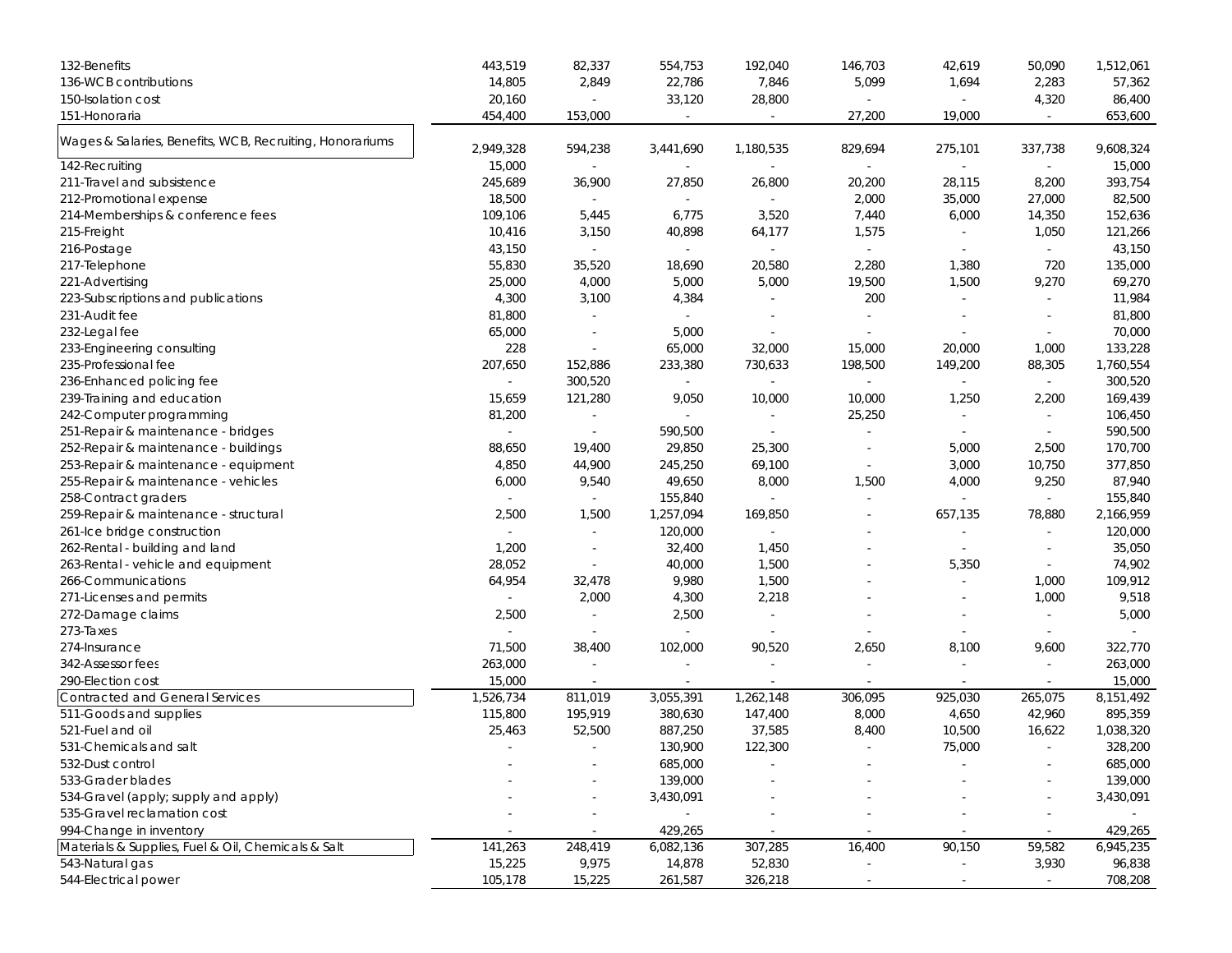| 132-Benefits                                             | 443,519   | 82,337                   | 554,753                  | 192,040                  | 146,703                  | 42,619                   | 50,090                   | 1,512,061 |
|----------------------------------------------------------|-----------|--------------------------|--------------------------|--------------------------|--------------------------|--------------------------|--------------------------|-----------|
| 136-WCB contributions                                    | 14,805    | 2,849                    | 22,786                   | 7,846                    | 5,099                    | 1,694                    | 2,283                    | 57,362    |
| 150-Isolation cost                                       | 20,160    | $\blacksquare$           | 33,120                   | 28,800                   | $\omega$                 | $\sim$                   | 4,320                    | 86,400    |
| 151-Honoraria                                            | 454,400   | 153,000                  | $\sim$                   | $\sim$                   | 27,200                   | 19,000                   | $\overline{\phantom{a}}$ | 653,600   |
| Wages & Salaries, Benefits, WCB, Recruiting, Honorariums | 2,949,328 | 594,238                  | 3,441,690                | 1,180,535                | 829,694                  | 275,101                  | 337,738                  | 9,608,324 |
| 142-Recruiting                                           | 15,000    | $\sim$                   | $\sim$                   | ÷                        | $\overline{\phantom{a}}$ | $\sim$                   | $\omega$                 | 15,000    |
| 211-Travel and subsistence                               | 245,689   | 36,900                   | 27,850                   | 26,800                   | 20,200                   | 28,115                   | 8,200                    | 393,754   |
| 212-Promotional expense                                  | 18,500    | $\sim$                   | $\sim$                   |                          | 2,000                    | 35,000                   | 27,000                   | 82,500    |
| 214-Memberships & conference fees                        | 109,106   | 5,445                    | 6,775                    | 3,520                    | 7,440                    | 6,000                    | 14,350                   | 152,636   |
| 215-Freight                                              | 10,416    | 3,150                    | 40,898                   | 64,177                   | 1,575                    |                          | 1,050                    | 121,266   |
| 216-Postage                                              | 43,150    | $\sim$                   | $\sim$                   | $\sim$                   | $\sim$                   | $\sim$                   | $\omega$                 | 43,150    |
| 217-Telephone                                            | 55,830    | 35,520                   | 18,690                   | 20,580                   | 2,280                    | 1,380                    | 720                      | 135,000   |
| 221-Advertising                                          | 25,000    | 4,000                    | 5,000                    | 5,000                    | 19,500                   | 1,500                    | 9,270                    | 69,270    |
| 223-Subscriptions and publications                       | 4,300     | 3,100                    | 4,384                    |                          | 200                      |                          | $\sim$                   | 11,984    |
| 231-Audit fee                                            | 81,800    |                          | $\sim$                   |                          | $\sim$                   |                          |                          | 81,800    |
| 232-Legal fee                                            | 65,000    | $\overline{\phantom{a}}$ | 5,000                    | $\overline{\phantom{a}}$ | $\overline{\phantom{a}}$ |                          | $\overline{\phantom{a}}$ | 70,000    |
| 233-Engineering consulting                               | 228       | $\blacksquare$           | 65,000                   | 32,000                   | 15,000                   | 20,000                   | 1,000                    | 133,228   |
| 235-Professional fee                                     | 207,650   | 152,886                  | 233,380                  | 730,633                  | 198,500                  | 149,200                  | 88,305                   | 1,760,554 |
| 236-Enhanced policing fee                                |           | 300,520                  | $\sim$                   |                          | $\omega$                 |                          | $\omega$                 | 300,520   |
| 239-Training and education                               | 15,659    | 121,280                  | 9,050                    | 10,000                   | 10,000                   | 1,250                    | 2,200                    | 169,439   |
| 242-Computer programming                                 | 81,200    | $\omega$                 | $\sim$                   |                          | 25,250                   |                          | $\sim$                   | 106,450   |
| 251-Repair & maintenance - bridges                       | $\sim$    | $\omega$                 | 590,500                  | $\overline{\phantom{a}}$ | ÷,                       | $\overline{\phantom{a}}$ | ÷,                       | 590,500   |
| 252-Repair & maintenance - buildings                     | 88,650    | 19,400                   | 29,850                   | 25,300                   |                          | 5,000                    | 2,500                    | 170,700   |
| 253-Repair & maintenance - equipment                     | 4,850     | 44,900                   | 245,250                  | 69,100                   | $\overline{\phantom{a}}$ | 3,000                    | 10,750                   | 377,850   |
| 255-Repair & maintenance - vehicles                      | 6,000     | 9,540                    | 49,650                   | 8,000                    | 1,500                    | 4,000                    | 9,250                    | 87,940    |
| 258-Contract graders                                     |           | $\sim$                   | 155,840                  |                          | $\sim$                   |                          |                          | 155,840   |
| 259-Repair & maintenance - structural                    | 2,500     | 1,500                    | 1,257,094                | 169,850                  | $\overline{\phantom{a}}$ | 657,135                  | 78,880                   | 2,166,959 |
| 261-Ice bridge construction                              |           | $\overline{\phantom{a}}$ | 120,000                  |                          |                          |                          |                          | 120,000   |
| 262-Rental - building and land                           | 1,200     | $\sim$                   | 32,400                   | 1,450                    |                          | $\sim$                   |                          | 35,050    |
| 263-Rental - vehicle and equipment                       | 28,052    | $\overline{\phantom{a}}$ | 40,000                   | 1,500                    |                          | 5,350                    | $\overline{\phantom{a}}$ | 74,902    |
| 266-Communications                                       | 64,954    | 32,478                   | 9,980                    | 1,500                    |                          | $\sim$                   | 1,000                    | 109,912   |
| 271-Licenses and permits                                 |           | 2,000                    | 4,300                    | 2,218                    |                          | $\overline{\phantom{a}}$ | 1,000                    | 9,518     |
| 272-Damage claims                                        | 2,500     | $\sim$                   | 2,500                    | $\sim$                   |                          |                          | $\overline{\phantom{a}}$ | 5,000     |
| 273-Taxes                                                |           |                          | $\sim$                   | $\sim$                   |                          |                          |                          | $\sim$    |
| 274-Insurance                                            | 71,500    | 38,400                   | 102,000                  | 90,520                   | 2,650                    | 8,100                    | 9,600                    | 322,770   |
| 342-Assessor fees                                        | 263,000   | $\overline{\phantom{a}}$ | $\overline{\phantom{a}}$ | $\sim$                   | $\blacksquare$           | $\sim$                   | $\sim$                   | 263,000   |
| 290-Election cost                                        | 15,000    |                          |                          |                          |                          |                          |                          | 15,000    |
| Contracted and General Services                          | 1,526,734 | 811,019                  | 3,055,391                | 1,262,148                | 306,095                  | 925,030                  | 265,075                  | 8,151,492 |
| 511-Goods and supplies                                   | 115,800   | 195,919                  | 380,630                  | 147,400                  | 8,000                    | 4,650                    | 42,960                   | 895,359   |
| 521-Fuel and oil                                         | 25,463    | 52,500                   | 887,250                  | 37,585                   | 8,400                    | 10,500                   | 16,622                   | 1,038,320 |
| 531-Chemicals and salt                                   |           |                          | 130,900                  | 122,300                  |                          | 75,000                   | $\sim$                   | 328,200   |
| 532-Dust control                                         |           |                          | 685,000                  |                          |                          |                          |                          | 685,000   |
| 533-Grader blades                                        |           |                          | 139,000                  |                          |                          |                          |                          | 139,000   |
| 534-Gravel (apply; supply and apply)                     |           |                          | 3,430,091                |                          |                          |                          |                          | 3,430,091 |
| 535-Gravel reclamation cost                              |           | $\overline{\phantom{a}}$ |                          |                          |                          |                          | ÷,                       |           |
| 994-Change in inventory                                  |           |                          | 429,265                  |                          |                          |                          |                          | 429,265   |
| Materials & Supplies, Fuel & Oil, Chemicals & Salt       | 141,263   | 248,419                  | 6,082,136                | 307,285                  | 16,400                   | 90,150                   | 59,582                   | 6,945,235 |
| 543-Natural gas                                          | 15,225    | 9,975                    | 14,878                   | 52,830                   |                          |                          | 3,930                    | 96,838    |
| 544-Electrical power                                     | 105,178   | 15,225                   | 261,587                  | 326,218                  | $\overline{\phantom{a}}$ | $\overline{\phantom{a}}$ | $\sim$                   | 708,208   |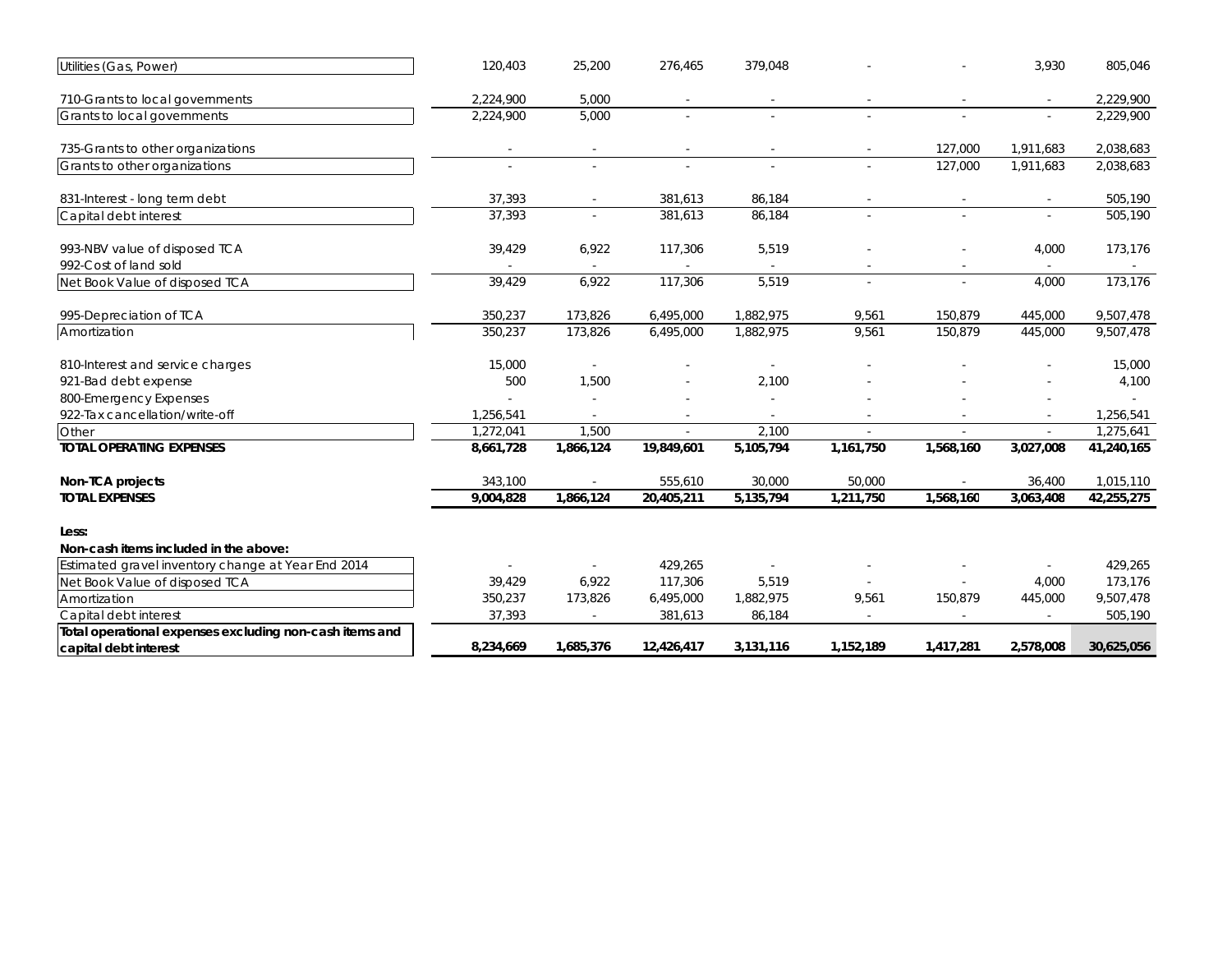| Utilities (Gas, Power)                                  | 120,403   | 25,200    | 276,465    | 379,048   |                          |           | 3,930                    | 805,046    |
|---------------------------------------------------------|-----------|-----------|------------|-----------|--------------------------|-----------|--------------------------|------------|
| 710-Grants to local governments                         | 2,224,900 | 5,000     |            |           |                          |           |                          | 2,229,900  |
| Grants to local governments                             | 2,224,900 | 5,000     | ÷.         | $\sim$    |                          |           | $\sim$                   | 2,229,900  |
| 735-Grants to other organizations                       |           | $\sim$    |            |           | $\overline{\phantom{a}}$ | 127,000   | 1,911,683                | 2,038,683  |
| Grants to other organizations                           | $\sim$    | ÷.        |            |           | ÷                        | 127,000   | 1.911.683                | 2,038,683  |
| 831-Interest - long term debt                           | 37,393    |           | 381,613    | 86,184    |                          |           |                          | 505,190    |
| Capital debt interest                                   | 37,393    |           | 381,613    | 86,184    | ÷.                       |           | ÷.                       | 505,190    |
| 993-NBV value of disposed TCA                           | 39,429    | 6,922     | 117,306    | 5,519     |                          |           | 4,000                    | 173,176    |
| 992-Cost of land sold                                   |           |           |            |           |                          |           | $\sim$                   |            |
| Net Book Value of disposed TCA                          | 39,429    | 6,922     | 117,306    | 5,519     |                          |           | 4,000                    | 173,176    |
| 995-Depreciation of TCA                                 | 350,237   | 173,826   | 6,495,000  | 1,882,975 | 9,561                    | 150,879   | 445,000                  | 9,507,478  |
| Amortization                                            | 350,237   | 173,826   | 6,495,000  | 1,882,975 | 9,561                    | 150,879   | 445,000                  | 9,507,478  |
| 810-Interest and service charges                        | 15,000    |           |            |           |                          |           |                          | 15,000     |
| 921-Bad debt expense                                    | 500       | 1,500     |            | 2,100     |                          |           |                          | 4,100      |
| 800-Emergency Expenses                                  |           |           |            |           |                          |           |                          | $\sim$     |
| 922-Tax cancellation/write-off                          | 1,256,541 |           |            |           |                          |           |                          | 1,256,541  |
| Other                                                   | 1,272,041 | 1,500     |            | 2,100     |                          |           |                          | 1,275,641  |
| <b>TOTAL OPERATING EXPENSES</b>                         | 8,661,728 | 1,866,124 | 19,849,601 | 5,105,794 | 1,161,750                | 1,568,160 | 3,027,008                | 41,240,165 |
| Non-TCA projects                                        | 343,100   |           | 555,610    | 30,000    | 50,000                   |           | 36,400                   | 1,015,110  |
| <b>TOTAL EXPENSES</b>                                   | 9,004,828 | 1,866,124 | 20,405,211 | 5,135,794 | 1,211,750                | 1,568,160 | 3,063,408                | 42,255,275 |
| Less:                                                   |           |           |            |           |                          |           |                          |            |
| Non-cash items included in the above:                   |           |           |            |           |                          |           |                          |            |
| Estimated gravel inventory change at Year End 2014      |           |           | 429,265    |           |                          |           |                          | 429,265    |
| Net Book Value of disposed TCA                          | 39,429    | 6,922     | 117.306    | 5,519     |                          |           | 4,000                    | 173,176    |
| Amortization                                            | 350,237   | 173,826   | 6,495,000  | 1,882,975 | 9,561                    | 150,879   | 445,000                  | 9,507,478  |
| Capital debt interest                                   | 37,393    |           | 381,613    | 86,184    | $\sim$                   |           | $\overline{\phantom{a}}$ | 505,190    |
| Total operational expenses excluding non-cash items and |           |           |            |           |                          |           |                          |            |
| capital debt interest                                   | 8,234,669 | 1,685,376 | 12,426,417 | 3,131,116 | 1,152,189                | 1,417,281 | 2,578,008                | 30,625,056 |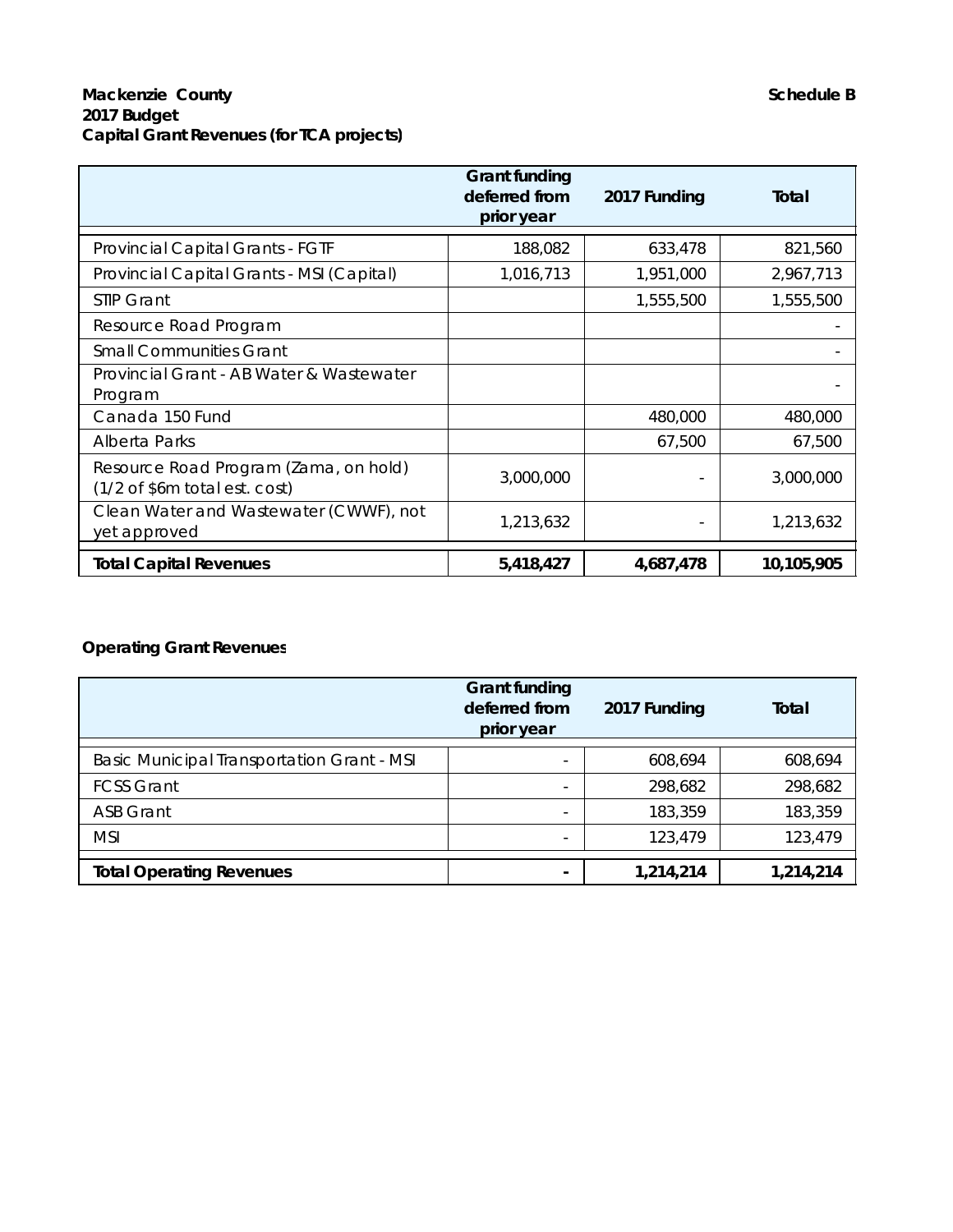|                                                                                   | <b>Grant funding</b><br>deferred from<br>prior year | 2017 Funding | Total      |
|-----------------------------------------------------------------------------------|-----------------------------------------------------|--------------|------------|
| Provincial Capital Grants - FGTF                                                  | 188,082                                             | 633,478      | 821,560    |
| Provincial Capital Grants - MSI (Capital)                                         | 1,016,713                                           | 1,951,000    | 2,967,713  |
| STIP Grant                                                                        |                                                     | 1,555,500    | 1,555,500  |
| Resource Road Program                                                             |                                                     |              |            |
| <b>Small Communities Grant</b>                                                    |                                                     |              |            |
| Provincial Grant - AB Water & Wastewater<br>Program                               |                                                     |              |            |
| Canada 150 Fund                                                                   |                                                     | 480,000      | 480,000    |
| Alberta Parks                                                                     |                                                     | 67,500       | 67,500     |
| Resource Road Program (Zama, on hold)<br>$(1/2 \text{ of } $6m$ total est. cost)$ | 3,000,000                                           |              | 3,000,000  |
| Clean Water and Wastewater (CWWF), not<br>yet approved                            | 1,213,632                                           |              | 1,213,632  |
| <b>Total Capital Revenues</b>                                                     | 5,418,427                                           | 4,687,478    | 10,105,905 |

# **Operating Grant Revenues**

|                                                   | <b>Grant funding</b><br>deferred from<br>prior year | 2017 Funding | Total     |
|---------------------------------------------------|-----------------------------------------------------|--------------|-----------|
| <b>Basic Municipal Transportation Grant - MSI</b> |                                                     | 608,694      | 608,694   |
| <b>FCSS Grant</b>                                 | $\overline{\phantom{a}}$                            | 298,682      | 298,682   |
| <b>ASB Grant</b>                                  |                                                     | 183,359      | 183,359   |
| <b>MSI</b>                                        |                                                     | 123,479      | 123,479   |
| <b>Total Operating Revenues</b>                   |                                                     | 1,214,214    | 1,214,214 |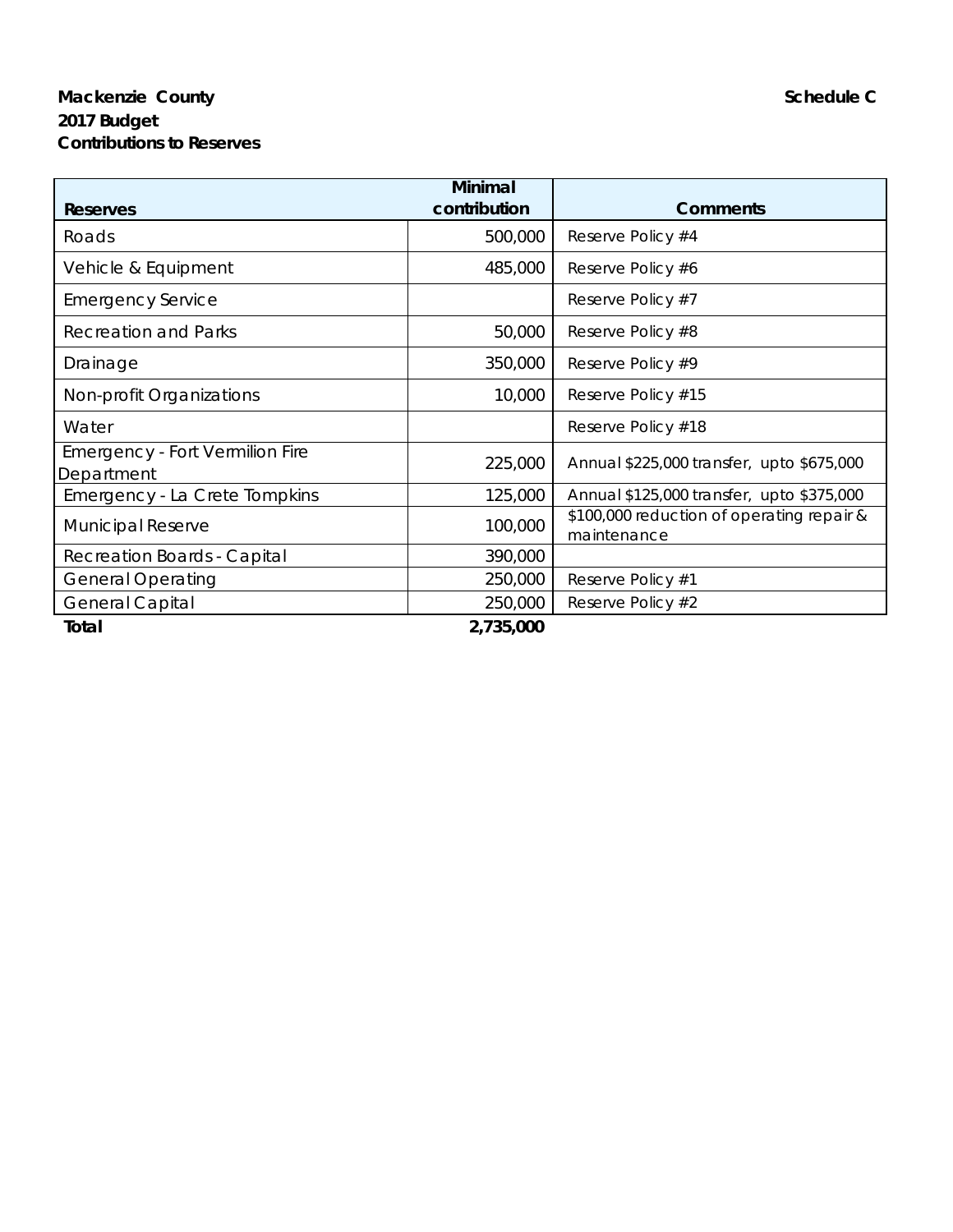# **Mackenzie County Schedule C Schedule C Schedule C Schedule C Schedule C 2017 Budget Contributions to Reserves**

| Reserves                                             | Minimal<br>contribution | <b>Comments</b>                                          |
|------------------------------------------------------|-------------------------|----------------------------------------------------------|
| Roads                                                | 500,000                 | Reserve Policy #4                                        |
| Vehicle & Equipment                                  | 485,000                 | Reserve Policy #6                                        |
| <b>Emergency Service</b>                             |                         | Reserve Policy #7                                        |
| <b>Recreation and Parks</b>                          | 50,000                  | Reserve Policy #8                                        |
| Drainage                                             | 350,000                 | Reserve Policy #9                                        |
| Non-profit Organizations                             | 10,000                  | Reserve Policy #15                                       |
| Water                                                |                         | Reserve Policy #18                                       |
| <b>Emergency - Fort Vermilion Fire</b><br>Department | 225,000                 | Annual \$225,000 transfer, upto \$675,000                |
| Emergency - La Crete Tompkins                        | 125,000                 | Annual \$125,000 transfer, upto \$375,000                |
| <b>Municipal Reserve</b>                             | 100,000                 | \$100,000 reduction of operating repair &<br>maintenance |
| Recreation Boards - Capital                          | 390,000                 |                                                          |
| <b>General Operating</b>                             | 250,000                 | Reserve Policy #1                                        |
| <b>General Capital</b>                               | 250,000                 | Reserve Policy #2                                        |
| Total                                                | 2,735,000               |                                                          |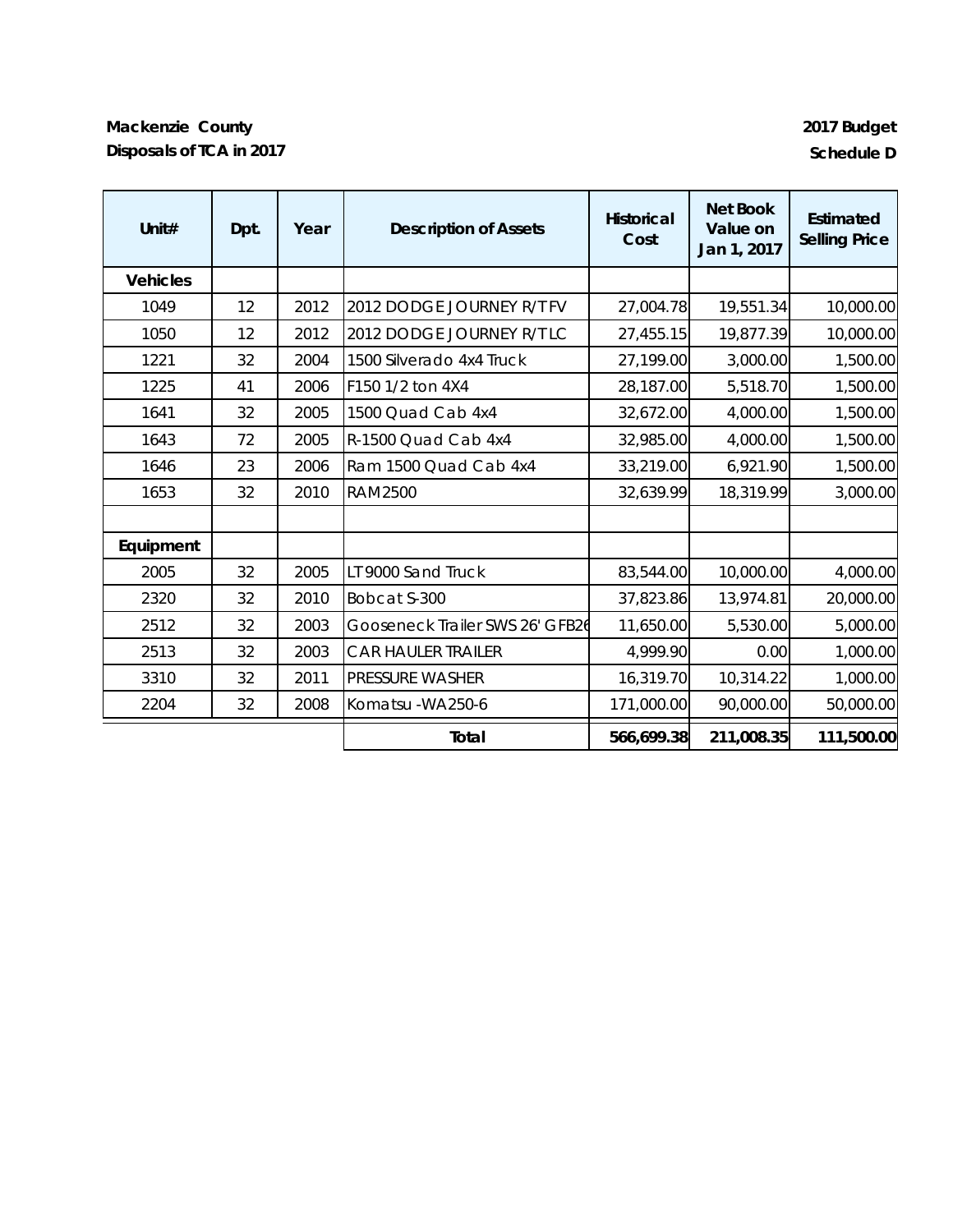# **Mackenzie County 2017 Budget Disposals of TCA in 2017 Schedule D**

| Unit $#$        | Dpt. | Year | <b>Description of Assets</b>    | <b>Historical</b><br>Cost | <b>Net Book</b><br>Value on<br>Jan 1, 2017 | Estimated<br><b>Selling Price</b> |
|-----------------|------|------|---------------------------------|---------------------------|--------------------------------------------|-----------------------------------|
| <b>Vehicles</b> |      |      |                                 |                           |                                            |                                   |
| 1049            | 12   | 2012 | 2012 DODGE JOURNEY R/T FV       | 27,004.78                 | 19,551.34                                  | 10,000.00                         |
| 1050            | 12   | 2012 | 2012 DODGE JOURNEY R/T LC       | 27,455.15                 | 19,877.39                                  | 10,000.00                         |
| 1221            | 32   | 2004 | 1500 Silverado 4x4 Truck        | 27,199.00                 | 3,000.00                                   | 1,500.00                          |
| 1225            | 41   | 2006 | F150 1/2 ton 4X4                | 28,187.00                 | 5,518.70                                   | 1,500.00                          |
| 1641            | 32   | 2005 | 1500 Quad Cab 4x4               | 32,672.00                 | 4,000.00                                   | 1,500.00                          |
| 1643            | 72   | 2005 | R-1500 Quad Cab 4x4             | 32,985.00                 | 4,000.00                                   | 1,500.00                          |
| 1646            | 23   | 2006 | Ram 1500 Quad Cab 4x4           | 33,219.00                 | 6,921.90                                   | 1,500.00                          |
| 1653            | 32   | 2010 | <b>RAM2500</b>                  | 32,639.99                 | 18,319.99                                  | 3,000.00                          |
|                 |      |      |                                 |                           |                                            |                                   |
| Equipment       |      |      |                                 |                           |                                            |                                   |
| 2005            | 32   | 2005 | LT 9000 Sand Truck              | 83,544.00                 | 10,000.00                                  | 4,000.00                          |
| 2320            | 32   | 2010 | Bobcat S-300                    | 37,823.86                 | 13,974.81                                  | 20,000.00                         |
| 2512            | 32   | 2003 | Gooseneck Trailer SWS 26' GFB26 | 11,650.00                 | 5,530.00                                   | 5,000.00                          |
| 2513            | 32   | 2003 | <b>CAR HAULER TRAILER</b>       | 4,999.90                  | 0.00                                       | 1,000.00                          |
| 3310            | 32   | 2011 | <b>PRESSURE WASHER</b>          | 16,319.70                 | 10,314.22                                  | 1,000.00                          |
| 2204            | 32   | 2008 | Komatsu - WA250-6               | 171,000.00                | 90,000.00                                  | 50,000.00                         |
|                 |      |      | Total                           | 566,699.38                | 211,008.35                                 | 111,500.00                        |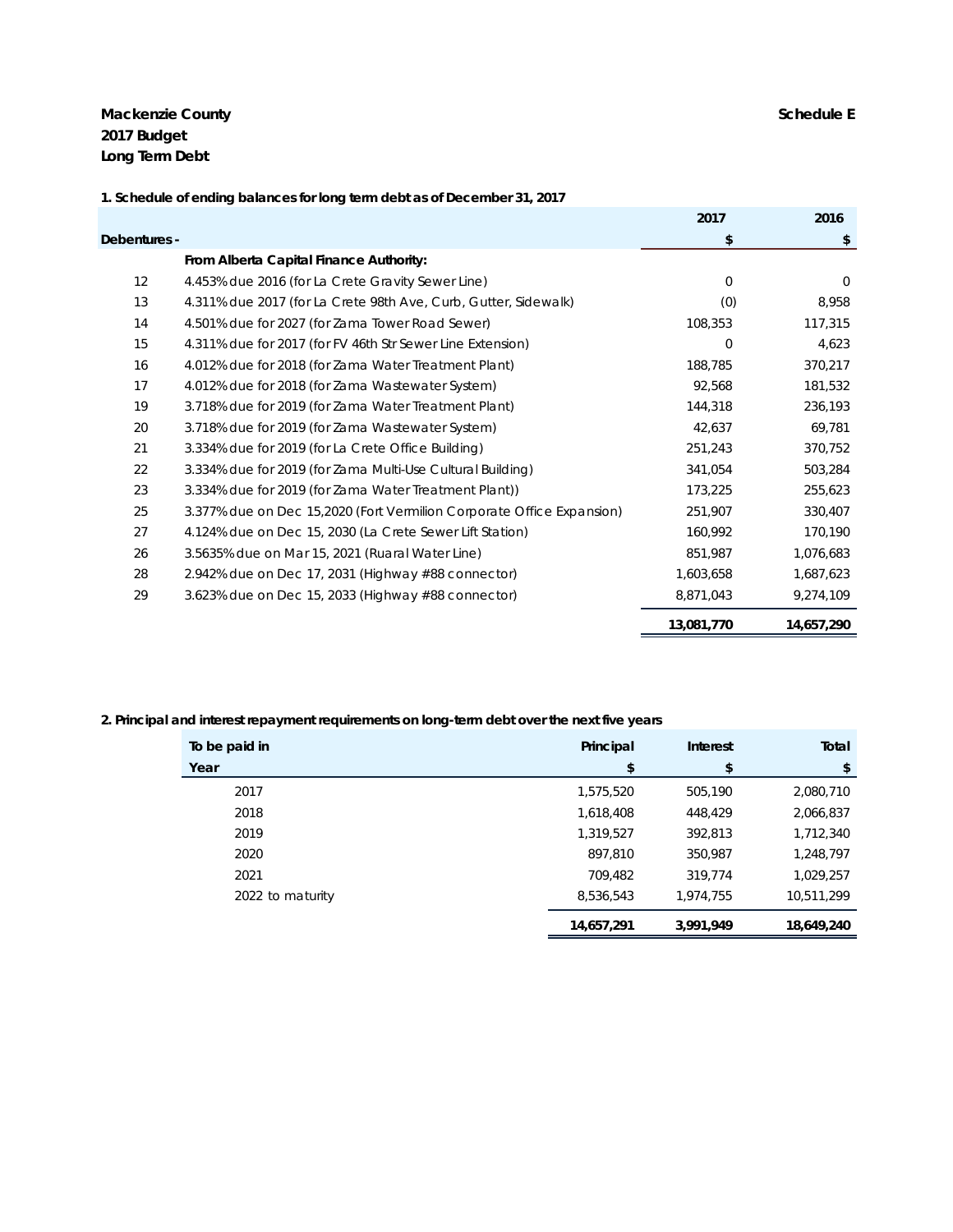**Mackenzie County Schedule E 2017 Budget Long Term Debt**

|              | 1. Schedule of ending balances for long term debt as of December 31, 2017 |             |            |
|--------------|---------------------------------------------------------------------------|-------------|------------|
|              |                                                                           | 2017        | 2016       |
| Debentures - |                                                                           | \$          | \$         |
|              | From Alberta Capital Finance Authority:                                   |             |            |
| 12           | 4.453% due 2016 (for La Crete Gravity Sewer Line)                         | $\mathbf 0$ | $\Omega$   |
| 13           | 4.311% due 2017 (for La Crete 98th Ave, Curb, Gutter, Sidewalk)           | (0)         | 8,958      |
| 14           | 4.501% due for 2027 (for Zama Tower Road Sewer)                           | 108,353     | 117,315    |
| 15           | 4.311% due for 2017 (for FV 46th Str Sewer Line Extension)                | $\mathbf 0$ | 4,623      |
| 16           | 4.012% due for 2018 (for Zama Water Treatment Plant)                      | 188,785     | 370,217    |
| 17           | 4.012% due for 2018 (for Zama Wastewater System)                          | 92,568      | 181,532    |
| 19           | 3.718% due for 2019 (for Zama Water Treatment Plant)                      | 144,318     | 236,193    |
| 20           | 3.718% due for 2019 (for Zama Wastewater System)                          | 42,637      | 69,781     |
| 21           | 3.334% due for 2019 (for La Crete Office Building)                        | 251,243     | 370,752    |
| 22           | 3.334% due for 2019 (for Zama Multi-Use Cultural Building)                | 341.054     | 503,284    |
| 23           | 3.334% due for 2019 (for Zama Water Treatment Plant))                     | 173,225     | 255,623    |
| 25           | 3.377% due on Dec 15,2020 (Fort Vermilion Corporate Office Expansion)     | 251,907     | 330,407    |
| 27           | 4.124% due on Dec 15, 2030 (La Crete Sewer Lift Station)                  | 160,992     | 170,190    |
| 26           | 3.5635% due on Mar 15, 2021 (Ruaral Water Line)                           | 851,987     | 1,076,683  |
| 28           | 2.942% due on Dec 17, 2031 (Highway $\#88$ connector)                     | 1,603,658   | 1,687,623  |
| 29           | 3.623% due on Dec 15, 2033 (Highway #88 connector)                        | 8,871,043   | 9,274,109  |
|              |                                                                           | 13,081,770  | 14,657,290 |

#### **2. Principal and interest repayment requirements on long-term debt over the next five years**

| To be paid in    | Principal  | Interest  | Total      |
|------------------|------------|-----------|------------|
| Year             | \$         | \$        | \$         |
| 2017             | 1,575,520  | 505,190   | 2,080,710  |
| 2018             | 1,618,408  | 448,429   | 2,066,837  |
| 2019             | 1,319,527  | 392,813   | 1,712,340  |
| 2020             | 897,810    | 350,987   | 1,248,797  |
| 2021             | 709,482    | 319,774   | 1,029,257  |
| 2022 to maturity | 8,536,543  | 1,974,755 | 10,511,299 |
|                  | 14,657,291 | 3,991,949 | 18,649,240 |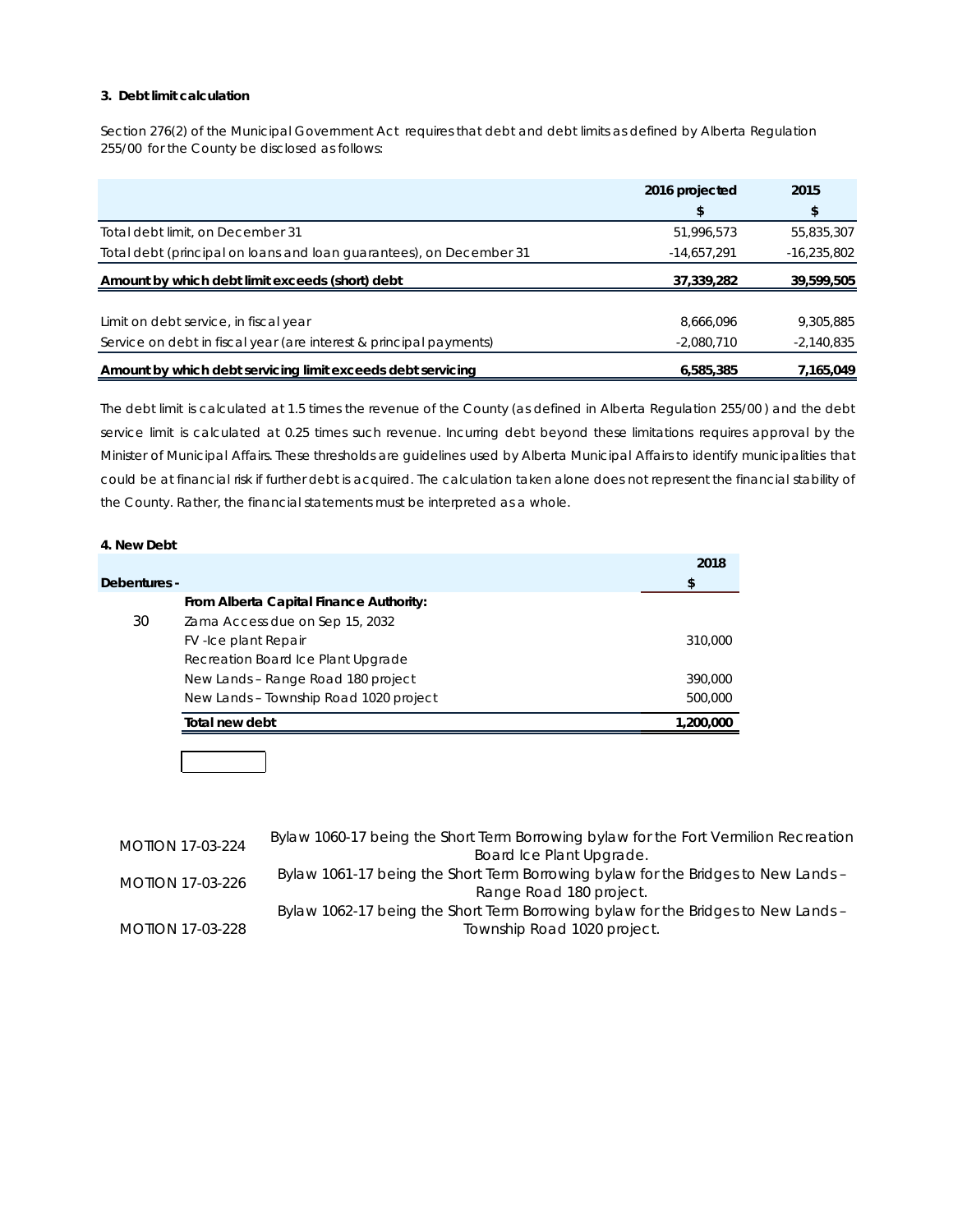#### **3. Debt limit calculation**

Section 276(2) of the *Municipal Government Act* requires that debt and debt limits as defined by *Alberta Regulation 255/00* for the County be disclosed as follows:

|                                                                     | 2016 projected | 2015          |
|---------------------------------------------------------------------|----------------|---------------|
|                                                                     |                |               |
| Total debt limit, on December 31                                    | 51,996,573     | 55,835,307    |
| Total debt (principal on loans and loan guarantees), on December 31 | $-14,657,291$  | $-16,235,802$ |
| Amount by which debt limit exceeds (short) debt                     | 37,339,282     | 39,599,505    |
|                                                                     |                |               |
| Limit on debt service, in fiscal year                               | 8,666,096      | 9,305,885     |
| Service on debt in fiscal year (are interest & principal payments)  | $-2,080,710$   | $-2,140,835$  |
| Amount by which debt servicing limit exceeds debt servicing         | 6,585,385      | 7,165,049     |

The debt limit is calculated at 1.5 times the revenue of the County (as defined in *Alberta Regulation 255/00* ) and the debt service limit is calculated at 0.25 times such revenue. Incurring debt beyond these limitations requires approval by the Minister of Municipal Affairs. These thresholds are guidelines used by Alberta Municipal Affairs to identify municipalities that could be at financial risk if further debt is acquired. The calculation taken alone does not represent the financial stability of the County. Rather, the financial statements must be interpreted as a whole.

#### **4. New Debt**

|              |                                         | 2018      |
|--------------|-----------------------------------------|-----------|
| Debentures - |                                         | S         |
|              | From Alberta Capital Finance Authority: |           |
| 30           | Zama Access due on Sep 15, 2032         |           |
|              | FV-Ice plant Repair                     | 310,000   |
|              | Recreation Board Ice Plant Upgrade      |           |
|              | New Lands - Range Road 180 project      | 390,000   |
|              | New Lands - Township Road 1020 project  | 500,000   |
|              | Total new debt                          | 1,200,000 |
|              |                                         |           |

| <b>MOTION 17-03-224</b> | Bylaw 1060-17 being the Short Term Borrowing bylaw for the Fort Vermilion Recreation |
|-------------------------|--------------------------------------------------------------------------------------|
|                         | Board Ice Plant Upgrade.                                                             |
| <b>MOTION 17-03-226</b> | Bylaw 1061-17 being the Short Term Borrowing bylaw for the Bridges to New Lands -    |
|                         | Range Road 180 project.                                                              |
|                         | Bylaw 1062-17 being the Short Term Borrowing bylaw for the Bridges to New Lands -    |
| <b>MOTION 17-03-228</b> | Township Road 1020 project.                                                          |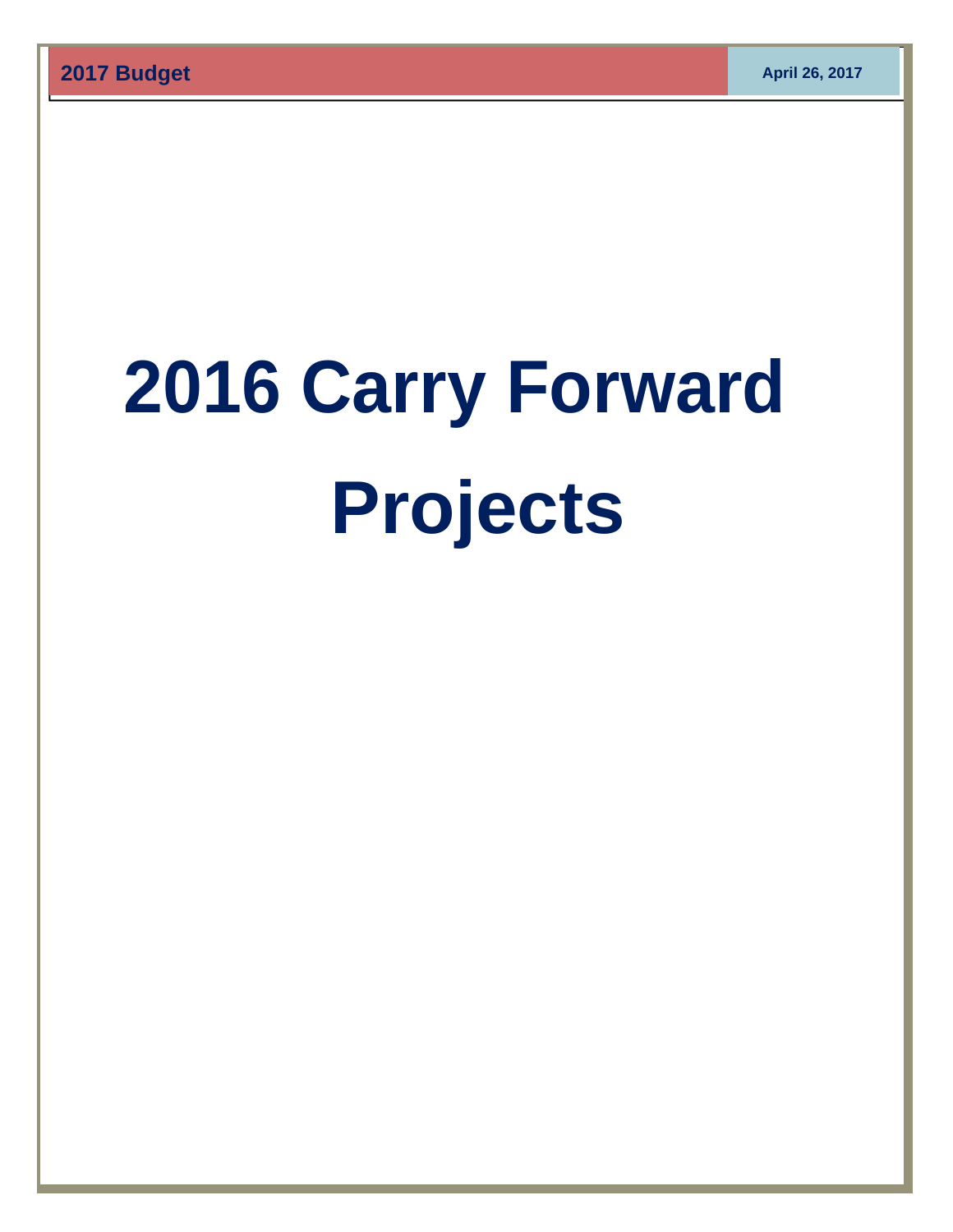# **2016 Carry Forward Projects**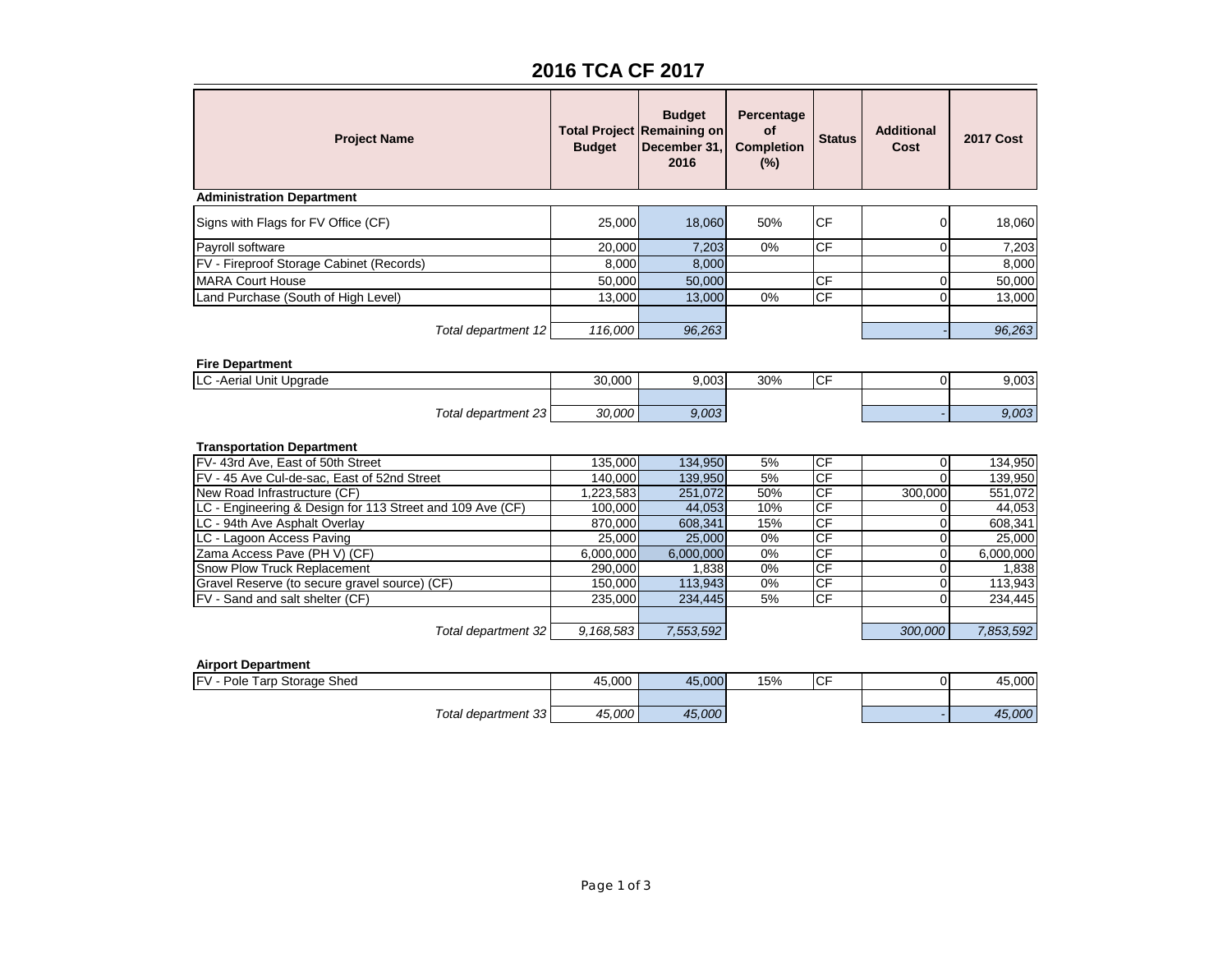# **2016 TCA CF 2017**

| <b>Project Name</b>                                       | <b>Budget</b> | <b>Budget</b><br><b>Total Project Remaining on</b><br>December 31.<br>2016 | Percentage<br>of<br><b>Completion</b><br>(%) | <b>Status</b> | <b>Additional</b><br>Cost  | <b>2017 Cost</b> |
|-----------------------------------------------------------|---------------|----------------------------------------------------------------------------|----------------------------------------------|---------------|----------------------------|------------------|
| <b>Administration Department</b>                          |               |                                                                            |                                              |               |                            |                  |
| Signs with Flags for FV Office (CF)                       | 25,000        | 18,060                                                                     | 50%                                          | <b>CF</b>     | $\mathbf 0$                | 18,060           |
| Payroll software                                          | 20,000        | 7,203                                                                      | 0%                                           | <b>CF</b>     | $\mathbf 0$                | 7,203            |
| FV - Fireproof Storage Cabinet (Records)                  | 8,000         | 8,000                                                                      |                                              |               |                            | 8,000            |
| <b>MARA Court House</b>                                   | 50,000        | 50,000                                                                     |                                              | CF            | 0                          | 50,000           |
| Land Purchase (South of High Level)                       | 13,000        | 13,000                                                                     | 0%                                           | CF            | $\Omega$                   | 13,000           |
|                                                           |               |                                                                            |                                              |               |                            |                  |
| Total department 12                                       | 116,000       | 96,263                                                                     |                                              |               |                            | 96,263           |
| <b>Fire Department</b><br>LC - Aerial Unit Upgrade        | 30,000        | 9,003                                                                      | 30%                                          | CF            | $\mathbf 0$                | 9,003            |
|                                                           |               |                                                                            |                                              |               |                            |                  |
| Total department 23                                       | 30.000        | 9.003                                                                      |                                              |               |                            | 9.003            |
| <b>Transportation Department</b>                          |               |                                                                            |                                              |               |                            |                  |
| FV-43rd Ave, East of 50th Street                          | 135,000       | 134,950                                                                    | 5%                                           | CF            | $\overline{0}$             | 134,950          |
| FV - 45 Ave Cul-de-sac, East of 52nd Street               | 140,000       | 139,950                                                                    | 5%                                           | CF            | $\Omega$                   | 139,950          |
| New Road Infrastructure (CF)                              | 1,223,583     | 251,072                                                                    | 50%                                          | CF            | 300,000                    | 551,072          |
| LC - Engineering & Design for 113 Street and 109 Ave (CF) | 100,000       | 44,053                                                                     | 10%                                          | CF            | 0                          | 44,053           |
| LC - 94th Ave Asphalt Overlay                             | 870,000       | 608,341                                                                    | 15%                                          | CF            | $\mathbf 0$                | 608,341          |
| LC - Lagoon Access Paving                                 | 25,000        | 25,000                                                                     | 0%                                           | CF            | $\mathbf 0$                | 25,000           |
| Zama Access Pave (PH V) (CF)                              | 6,000,000     | 6,000,000                                                                  | 0%                                           | CF            | $\mathbf 0$                | 6,000,000        |
| Snow Plow Truck Replacement                               | 290,000       | 1,838                                                                      | 0%                                           | CF            | $\overline{0}$             | 1,838            |
| Gravel Reserve (to secure gravel source) (CF)             | 150,000       | 113,943                                                                    | 0%                                           | CF<br>CF      | $\overline{0}$<br>$\Omega$ | 113,943          |
| FV - Sand and salt shelter (CF)                           | 235,000       | 234,445                                                                    | 5%                                           |               |                            | 234,445          |
| Total department 32                                       | 9,168,583     | 7,553,592                                                                  |                                              |               | 300,000                    | 7,853,592        |
| <b>Airport Department</b>                                 |               |                                                                            |                                              |               |                            |                  |
| FV - Pole Tarp Storage Shed                               | 45.000        | 45.000                                                                     | 15%                                          | <b>CF</b>     | $\overline{0}$             | 45.000           |

| ЛБ.<br>,,, | Storage Shed           | .uuu | .OOOF  | 15% | ' V | ,uuu |
|------------|------------------------|------|--------|-----|-----|------|
|            |                        |      |        |     |     |      |
|            | Total<br>department 33 | 000  | 45.000 |     |     | 000  |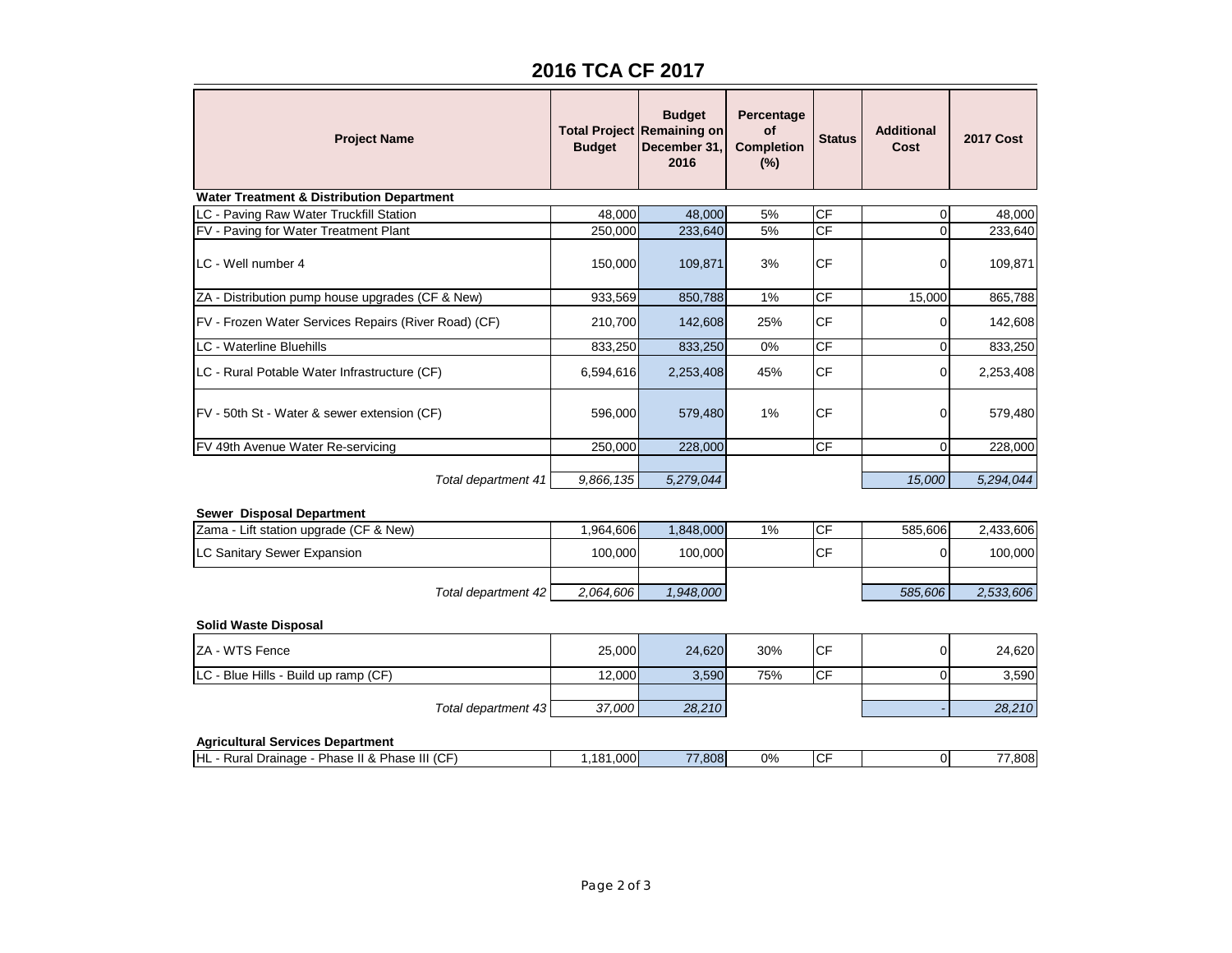# **2016 TCA CF 2017**

| <b>Project Name</b>                                  | <b>Budget</b> | <b>Budget</b><br><b>Total Project Remaining on</b><br>December 31,<br>2016 | Percentage<br>οf<br><b>Completion</b><br>(%) | <b>Status</b>   | <b>Additional</b><br>Cost | <b>2017 Cost</b> |
|------------------------------------------------------|---------------|----------------------------------------------------------------------------|----------------------------------------------|-----------------|---------------------------|------------------|
| <b>Water Treatment &amp; Distribution Department</b> |               |                                                                            |                                              |                 |                           |                  |
| LC - Paving Raw Water Truckfill Station              | 48,000        | 48,000                                                                     | 5%                                           | <b>CF</b>       | $\mathbf 0$               | 48,000           |
| FV - Paving for Water Treatment Plant                | 250,000       | 233,640                                                                    | 5%                                           | <b>CF</b>       | $\Omega$                  | 233,640          |
| LC - Well number 4                                   | 150,000       | 109,871                                                                    | 3%                                           | <b>CF</b>       | 0                         | 109,871          |
| ZA - Distribution pump house upgrades (CF & New)     | 933,569       | 850,788                                                                    | 1%                                           | $\overline{CF}$ | 15,000                    | 865,788          |
| FV - Frozen Water Services Repairs (River Road) (CF) | 210,700       | 142,608                                                                    | 25%                                          | <b>CF</b>       | 0                         | 142,608          |
| <b>LC</b> - Waterline Bluehills                      | 833,250       | 833,250                                                                    | 0%                                           | CF              | $\Omega$                  | 833,250          |
| LC - Rural Potable Water Infrastructure (CF)         | 6,594,616     | 2,253,408                                                                  | 45%                                          | <b>CF</b>       | $\Omega$                  | 2,253,408        |
| FV - 50th St - Water & sewer extension (CF)          | 596,000       | 579,480                                                                    | 1%                                           | <b>CF</b>       | 0                         | 579,480          |
| FV 49th Avenue Water Re-servicing                    | 250,000       | 228,000                                                                    |                                              | СF              | $\Omega$                  | 228,000          |
|                                                      |               |                                                                            |                                              |                 |                           |                  |
| Total department 41                                  | 9,866,135     | 5,279,044                                                                  |                                              |                 | 15,000                    | 5,294,044        |
| Sewer Disposal Department                            |               |                                                                            |                                              |                 |                           |                  |
| Zama - Lift station upgrade (CF & New)               | 1,964,606     | 1,848,000                                                                  | 1%                                           | CF              | 585,606                   | 2,433,606        |
| LC Sanitary Sewer Expansion                          | 100,000       | 100,000                                                                    |                                              | CF              | $\Omega$                  | 100,000          |
|                                                      |               |                                                                            |                                              |                 |                           |                  |
| Total department 42                                  | 2.064,606     | 1,948,000                                                                  |                                              |                 | 585,606                   | 2,533,606        |
| <b>Solid Waste Disposal</b>                          |               |                                                                            |                                              |                 |                           |                  |
| ZA - WTS Fence                                       | 25,000        | 24,620                                                                     | 30%                                          | <b>CF</b>       | $\overline{0}$            | 24,620           |
| LC - Blue Hills - Build up ramp (CF)                 | 12,000        | 3,590                                                                      | 75%                                          | CF              | $\overline{0}$            | 3,590            |
|                                                      |               |                                                                            |                                              |                 |                           |                  |
| Total department 43                                  | 37,000        | 28,210                                                                     |                                              |                 |                           | 28,210           |
| <b>Agricultural Services Department</b>              |               |                                                                            |                                              |                 |                           |                  |
| HL - Rural Drainage - Phase II & Phase III (CF)      | 1,181,000     | 77,808                                                                     | 0%                                           | <b>CF</b>       | $\overline{0}$            | 77,808           |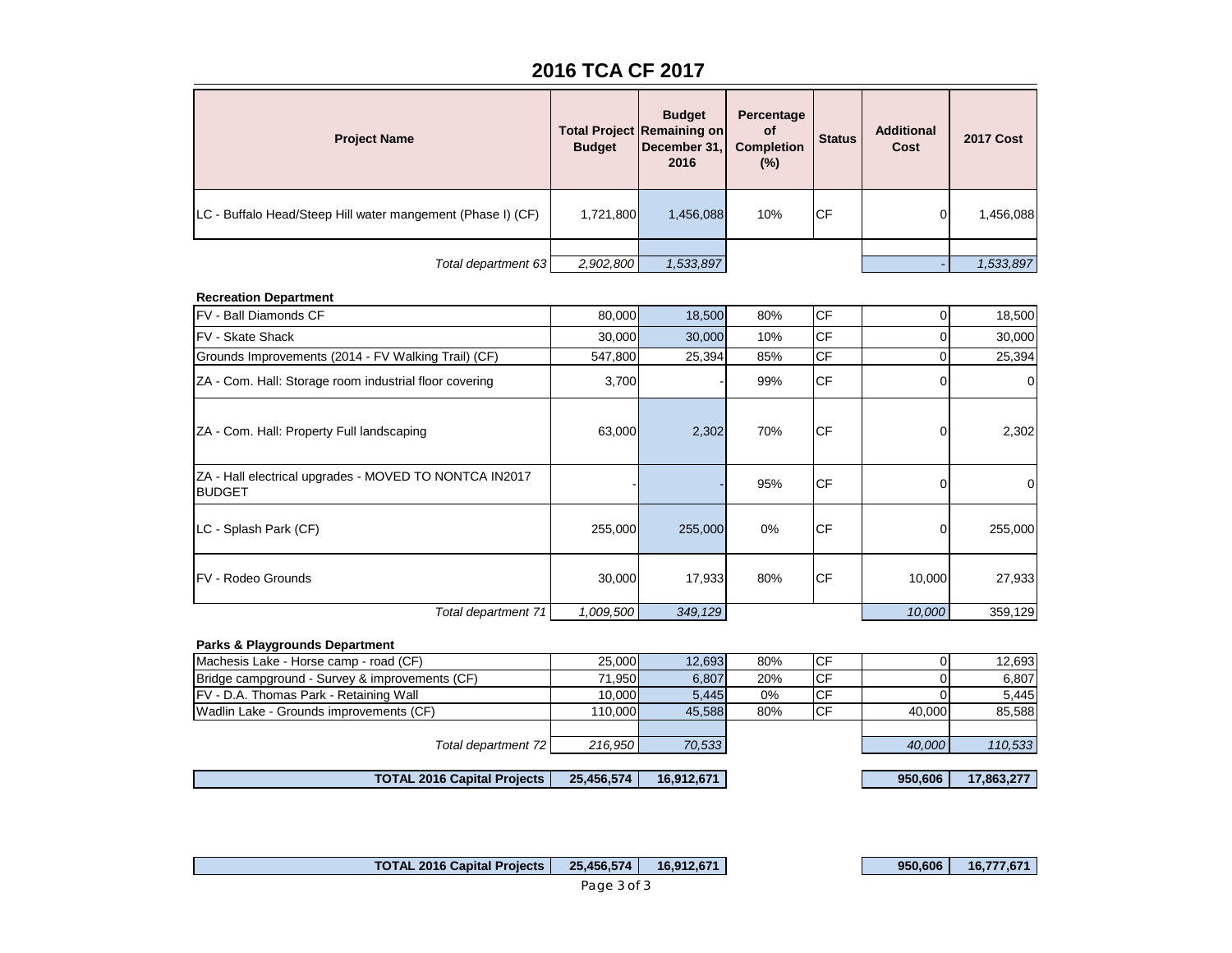# **2016 TCA CF 2017**

| <b>Project Name</b>                                          | <b>Budget</b> | <b>Budget</b><br><b>Total Project Remaining on</b><br>December 31,<br>2016 | Percentage<br><b>of</b><br><b>Completion</b><br>$(\%)$ | <b>Status</b> | <b>Additional</b><br>Cost | <b>2017 Cost</b> |
|--------------------------------------------------------------|---------------|----------------------------------------------------------------------------|--------------------------------------------------------|---------------|---------------------------|------------------|
| ILC - Buffalo Head/Steep Hill water mangement (Phase I) (CF) | 1,721,800     | 1,456,088                                                                  | 10%                                                    | <b>CF</b>     |                           | 1,456,088        |
| Total department 63                                          | 2,902,800     | 1,533,897                                                                  |                                                        |               |                           | 1,533,897        |

#### **Recreation Department**

| FV - Ball Diamonds CF                                                   | 80,000    | 18,500  | 80% | <b>CF</b>  | $\Omega$ | 18,500         |
|-------------------------------------------------------------------------|-----------|---------|-----|------------|----------|----------------|
| <b>FV - Skate Shack</b>                                                 | 30,000    | 30,000  | 10% | <b>CF</b>  | 0        | 30,000         |
| Grounds Improvements (2014 - FV Walking Trail) (CF)                     | 547,800   | 25,394  | 85% | <b>CF</b>  | $\Omega$ | 25,394         |
| ZA - Com. Hall: Storage room industrial floor covering                  | 3,700     |         | 99% | <b>ICF</b> |          | $\overline{0}$ |
| ZA - Com. Hall: Property Full landscaping                               | 63,000    | 2,302   | 70% | <b>ICF</b> |          | 2,302          |
| ZA - Hall electrical upgrades - MOVED TO NONTCA IN2017<br><b>BUDGET</b> |           |         | 95% | <b>ICF</b> |          | 0              |
| LC - Splash Park (CF)                                                   | 255,000   | 255,000 | 0%  | <b>ICF</b> | 0        | 255,000        |
| <b>FV - Rodeo Grounds</b>                                               | 30,000    | 17,933  | 80% | <b>ICF</b> | 10,000   | 27,933         |
| Total department 71                                                     | 1,009,500 | 349,129 |     |            | 10,000   | 359,129        |

#### **Parks & Playgrounds Department**

| Machesis Lake - Horse camp - road (CF)         | 25,000  | 12.693 | 80% | <b>ICF</b> |        | 12,693  |
|------------------------------------------------|---------|--------|-----|------------|--------|---------|
| Bridge campground - Survey & improvements (CF) | 71.950  | 6.807  | 20% | <b>ICF</b> |        | 6,807   |
| <b>FV</b> - D.A. Thomas Park - Retaining Wall  | 10.000  | 5.445  | 0%  | ICF        |        | 5,445   |
| Wadlin Lake - Grounds improvements (CF)        | 110.000 | 45.588 | 80% | <b>ICF</b> | 40.000 | 85.588  |
|                                                |         |        |     |            |        |         |
| Total department 72                            | 216.950 | 70.533 |     |            | 40,000 | 110,533 |
|                                                |         |        |     |            |        |         |

 **TOTAL 2016 Capital Projects** | 25,456,574 | 16,912,671 | 950,606 | 17,863,277

 **TOTAL 2016 Capital Projects** | 25,456,574 | 16,912,671 | 950,606 | 16,777,671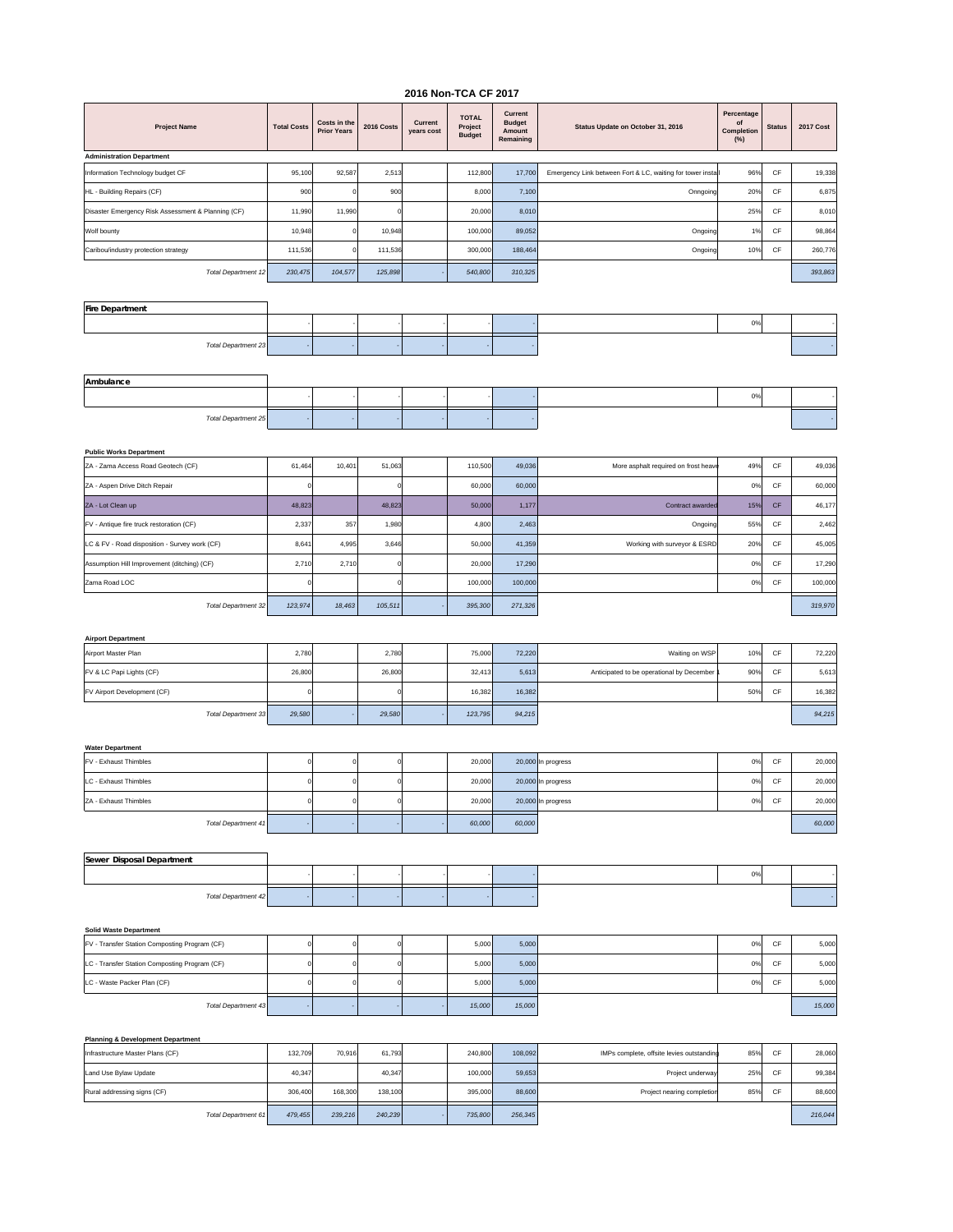#### **2016 Non-TCA CF 2017**

| <b>Project Name</b>                                                            | <b>Total Costs</b> | Costs in the<br><b>Prior Years</b> | 2016 Costs | Current<br>years cost | <b>TOTAL</b><br>Project<br><b>Budget</b> | Current<br><b>Budget</b><br>Amount<br>Remaining | Status Update on October 31, 2016                           | Percentage<br>of<br>Completion<br>(%) | <b>Status</b> | <b>2017 Cost</b> |
|--------------------------------------------------------------------------------|--------------------|------------------------------------|------------|-----------------------|------------------------------------------|-------------------------------------------------|-------------------------------------------------------------|---------------------------------------|---------------|------------------|
| <b>Administration Department</b>                                               |                    |                                    |            |                       |                                          |                                                 |                                                             |                                       |               |                  |
| Information Technology budget CF                                               | 95,100             | 92,587                             | 2,513      |                       | 112,800                                  | 17,700                                          | Emergency Link between Fort & LC, waiting for tower install | 96%                                   | CF            | 19,338           |
| HL - Building Repairs (CF)                                                     | 900                |                                    | 900        |                       | 8,000                                    | 7,100                                           | Onngoing                                                    | 20%                                   | CF            | 6,875            |
| Disaster Emergency Risk Assessment & Planning (CF)                             | 11,990             | 11,990                             |            |                       | 20,000                                   | 8,010                                           |                                                             | 25%                                   | CF            | 8,010            |
| Wolf bounty                                                                    | 10,948             | $\Omega$                           | 10,948     |                       | 100,000                                  | 89,052                                          | Ongoing                                                     | 1%                                    | CF            | 98,864           |
| Caribou/industry protection strategy                                           | 111,536            | $\Omega$                           | 111,536    |                       | 300,000                                  | 188,464                                         | Ongoing                                                     | 10%                                   | CF            | 260,776          |
| <b>Total Department 12</b>                                                     | 230,475            | 104,577                            | 125,898    |                       | 540,800                                  | 310,325                                         |                                                             |                                       |               | 393,863          |
|                                                                                |                    |                                    |            |                       |                                          |                                                 |                                                             |                                       |               |                  |
| <b>Fire Department</b>                                                         |                    |                                    |            |                       |                                          |                                                 |                                                             |                                       |               |                  |
|                                                                                |                    |                                    |            |                       |                                          |                                                 |                                                             | 0%                                    |               |                  |
|                                                                                |                    |                                    |            |                       |                                          |                                                 |                                                             |                                       |               |                  |
| Total Department 23                                                            |                    |                                    |            |                       |                                          |                                                 |                                                             |                                       |               |                  |
|                                                                                |                    |                                    |            |                       |                                          |                                                 |                                                             |                                       |               |                  |
| Ambulance                                                                      |                    |                                    |            |                       |                                          |                                                 |                                                             | 0%                                    |               |                  |
|                                                                                |                    |                                    |            |                       |                                          |                                                 |                                                             |                                       |               |                  |
| <b>Total Department 25</b>                                                     |                    |                                    |            |                       |                                          |                                                 |                                                             |                                       |               |                  |
|                                                                                |                    |                                    |            |                       |                                          |                                                 |                                                             |                                       |               |                  |
| <b>Public Works Department</b><br>ZA - Zama Access Road Geotech (CF)           | 61,464             | 10,401                             | 51,063     |                       | 110,500                                  | 49,036                                          | More asphalt required on frost heav                         | 49%                                   | CF            | 49,036           |
| ZA - Aspen Drive Ditch Repair                                                  | $\mathbf 0$        |                                    | $\epsilon$ |                       | 60,000                                   | 60,000                                          |                                                             | 0%                                    | CF            | 60,000           |
| ZA - Lot Clean up                                                              | 48,823             |                                    | 48,823     |                       | 50,000                                   | 1,177                                           | Contract awarder                                            | 15%                                   | CF            | 46,177           |
|                                                                                |                    |                                    |            |                       |                                          |                                                 |                                                             |                                       |               |                  |
| FV - Antique fire truck restoration (CF)                                       | 2,337              | 357                                | 1,980      |                       | 4,800                                    | 2,463                                           | Ongoing                                                     | 55%                                   | CF            | 2,462            |
| LC & FV - Road disposition - Survey work (CF)                                  | 8,641              | 4,995                              | 3,646      |                       | 50,000                                   | 41,359                                          | Working with surveyor & ESRD                                | 20%                                   | CF            | 45,005           |
| Assumption Hill Improvement (ditching) (CF)                                    | 2,710              | 2,710                              | C          |                       | 20,000                                   | 17,290                                          |                                                             | 0%                                    | CF            | 17,290           |
| Zama Road LOC                                                                  | $\Omega$           |                                    | ſ          |                       | 100,000                                  | 100,000                                         |                                                             | 0%                                    | CF            | 100,000          |
| <b>Total Department 32</b>                                                     | 123,974            | 18,463                             | 105,511    |                       | 395,300                                  | 271,326                                         |                                                             |                                       |               | 319,970          |
|                                                                                |                    |                                    |            |                       |                                          |                                                 |                                                             |                                       |               |                  |
| <b>Airport Department</b>                                                      |                    |                                    |            |                       |                                          |                                                 |                                                             |                                       |               |                  |
| Airport Master Plan                                                            | 2,780              |                                    | 2,780      |                       | 75,000                                   | 72,220                                          | Waiting on WSP                                              | 10%                                   | CF            | 72,220           |
| FV & LC Papi Lights (CF)                                                       | 26,800             |                                    | 26,800     |                       | 32,413                                   | 5,613                                           | Anticipated to be operational by December                   | 90%                                   | CF            | 5,613            |
| FV Airport Development (CF)                                                    | 0                  |                                    |            |                       | 16,382                                   | 16,382                                          |                                                             | 50%                                   | CF            | 16,382           |
| Total Department 33                                                            | 29,580             |                                    | 29,580     |                       | 123,795                                  | 94,215                                          |                                                             |                                       |               | 94,215           |
|                                                                                |                    |                                    |            |                       |                                          |                                                 |                                                             |                                       |               |                  |
| <b>Water Department</b>                                                        |                    |                                    |            |                       |                                          |                                                 |                                                             |                                       |               |                  |
| FV - Exhaust Thimbles                                                          | $\mathbf 0$        | $\Omega$                           | C          |                       | 20,000                                   |                                                 | 20,000 In progress                                          | 0%                                    | CF            | 20,000           |
| LC - Exhaust Thimbles                                                          | $\mathsf{o}$       | $\Omega$                           |            |                       | 20,000                                   |                                                 | 20,000 In progress                                          | 0%                                    | CF            | 20,000           |
| ZA - Exhaust Thimbles                                                          | $\Omega$           |                                    |            |                       | 20,000                                   |                                                 | 20,000 In progress                                          | 0%                                    | CF            | 20,000           |
|                                                                                |                    |                                    |            |                       |                                          |                                                 |                                                             |                                       |               |                  |
| Total Department 41                                                            |                    |                                    |            |                       | 60,000                                   | 60,000                                          |                                                             |                                       |               | 60,000           |
|                                                                                |                    |                                    |            |                       |                                          |                                                 |                                                             |                                       |               |                  |
| Sewer Disposal Department                                                      |                    |                                    |            |                       |                                          |                                                 |                                                             | 0%                                    |               |                  |
|                                                                                |                    |                                    |            |                       |                                          |                                                 |                                                             |                                       |               |                  |
| Total Department 42                                                            |                    |                                    |            |                       |                                          |                                                 |                                                             |                                       |               |                  |
|                                                                                |                    |                                    |            |                       |                                          |                                                 |                                                             |                                       |               |                  |
| <b>Solid Waste Department</b><br>FV - Transfer Station Composting Program (CF) | $\mathsf{o}$       | $\mathbf 0$                        | $\epsilon$ |                       | 5,000                                    | 5,000                                           |                                                             | 0%                                    | CF            | 5,000            |
| LC - Transfer Station Composting Program (CF)                                  | $\Omega$           | -C                                 |            |                       | 5,000                                    | 5,000                                           |                                                             | 0%                                    | CF            | 5,000            |
|                                                                                |                    |                                    |            |                       |                                          |                                                 |                                                             |                                       |               |                  |
| LC - Waste Packer Plan (CF)                                                    | 0                  |                                    |            |                       | 5,000                                    | 5,000                                           |                                                             | 0%                                    | CF            | 5,000            |
| Total Department 43                                                            |                    |                                    |            |                       | 15,000                                   | 15,000                                          |                                                             |                                       |               | 15,000           |
|                                                                                |                    |                                    |            |                       |                                          |                                                 |                                                             |                                       |               |                  |
| <b>Planning &amp; Development Department</b>                                   |                    |                                    |            |                       |                                          |                                                 |                                                             |                                       |               |                  |
| Infrastructure Master Plans (CF)                                               | 132,709            | 70,916                             | 61,793     |                       | 240,800                                  | 108,092                                         | IMPs complete, offsite levies outstanding                   | 85%                                   | CF            | 28,060           |
| Land Use Bylaw Update                                                          | 40,347             |                                    | 40,347     |                       | 100,000                                  | 59,653                                          | Project underway                                            | 25%                                   | CF            | 99,384           |
| Rural addressing signs (CF)                                                    | 306,400            | 168,300                            | 138,100    |                       | 395,000                                  | 88,600                                          | Project nearing completion                                  | 85%                                   | CF            | 88,600           |

*Total Department 61 479,455 239,216 240,239 - 735,800 256,345 216,044*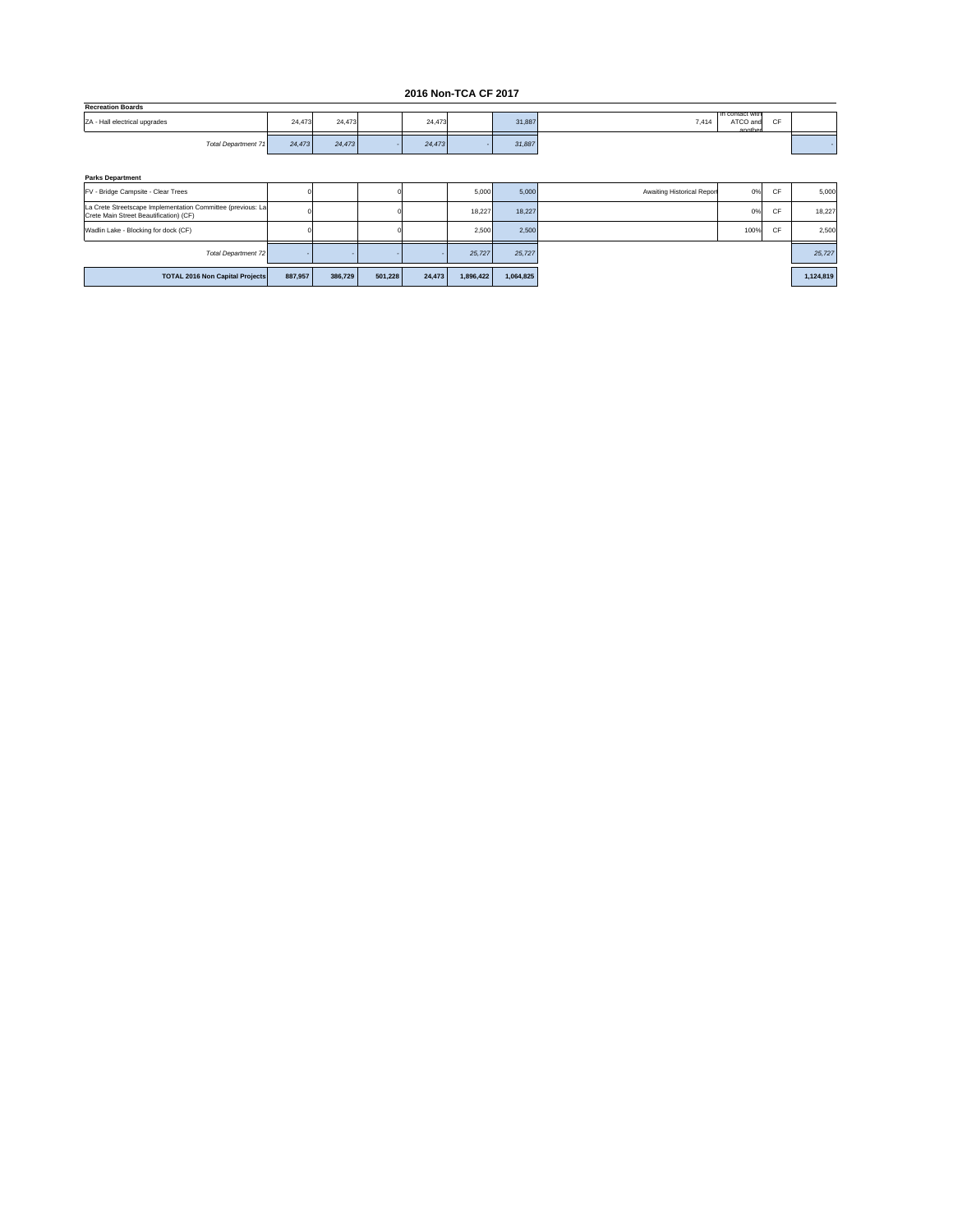#### **2016 Non-TCA CF 2017**

| <b>Recreation Boards</b>      |        |        |        |        |                                                                  |  |
|-------------------------------|--------|--------|--------|--------|------------------------------------------------------------------|--|
| ZA - Hall electrical upgrades | 24.473 | 24,473 | 24,473 | 31,887 | <b>In contact with</b><br>ATCO and<br>$\sim$<br>7,414<br>another |  |
| Total Department 71           | 24,473 | 24.473 | 24.473 | 31,887 |                                                                  |  |

| <b>Parks Department</b>                                                                               |         |         |         |        |           |           |                            |      |    |           |
|-------------------------------------------------------------------------------------------------------|---------|---------|---------|--------|-----------|-----------|----------------------------|------|----|-----------|
| FV - Bridge Campsite - Clear Trees                                                                    |         |         |         |        | 5,000     | 5,000     | Awaiting Historical Report | 0%   | CF | 5,000     |
| La Crete Streetscape Implementation Committee (previous: La<br>Crete Main Street Beautification) (CF) |         |         |         |        | 18.227    | 18.227    |                            | 0%   | CF | 18,227    |
| Wadlin Lake - Blocking for dock (CF)                                                                  |         |         |         |        | 2,500     | 2,500     |                            | 100% | CF | 2,500     |
| <b>Total Department 72</b>                                                                            |         |         |         |        | 25,727    | 25,727    |                            |      |    | 25,727    |
| <b>TOTAL 2016 Non Capital Projects</b>                                                                | 887.957 | 386,729 | 501,228 | 24,473 | 1,896,422 | 1,064,825 |                            |      |    | 1,124,819 |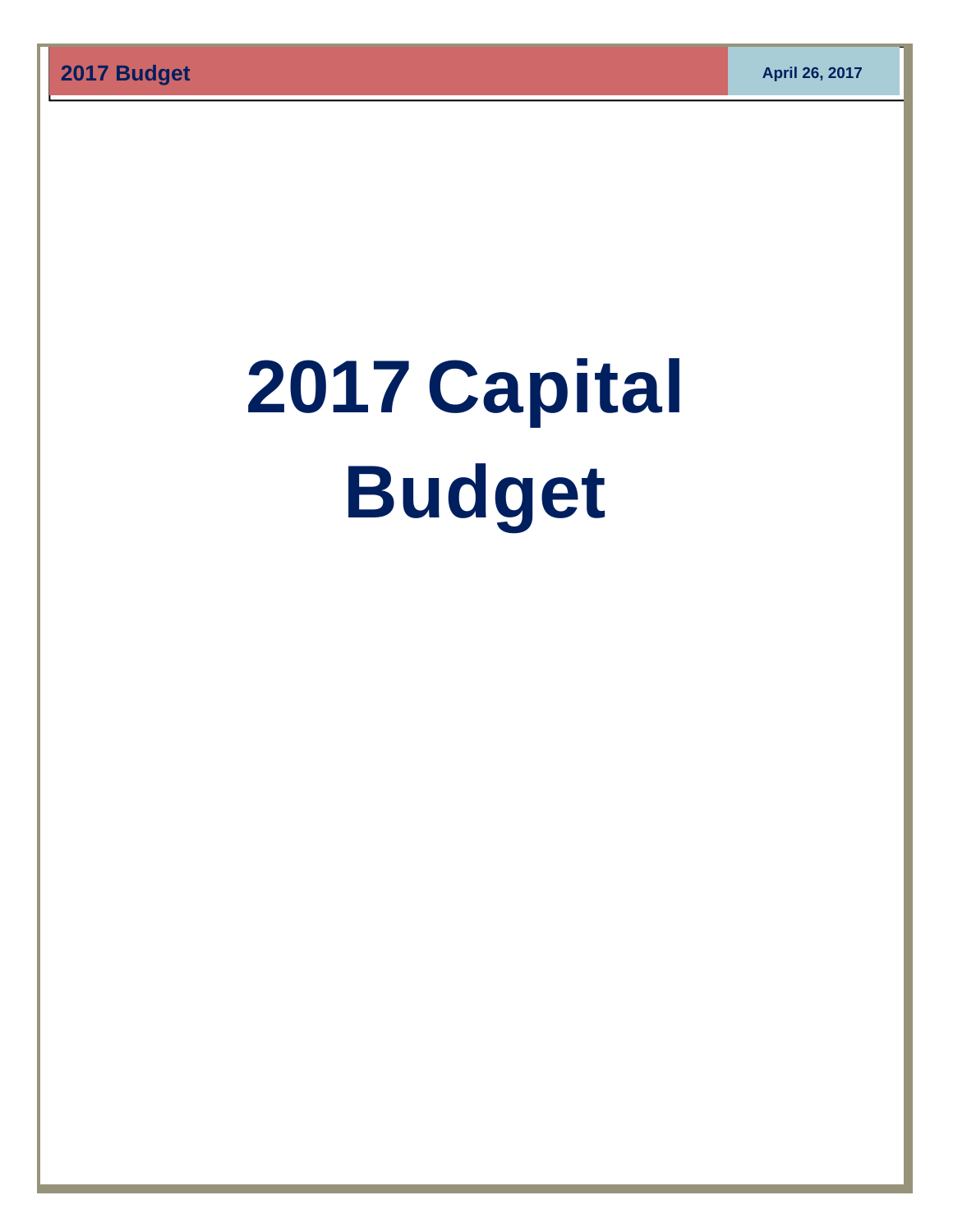# **2017 Capital Budget**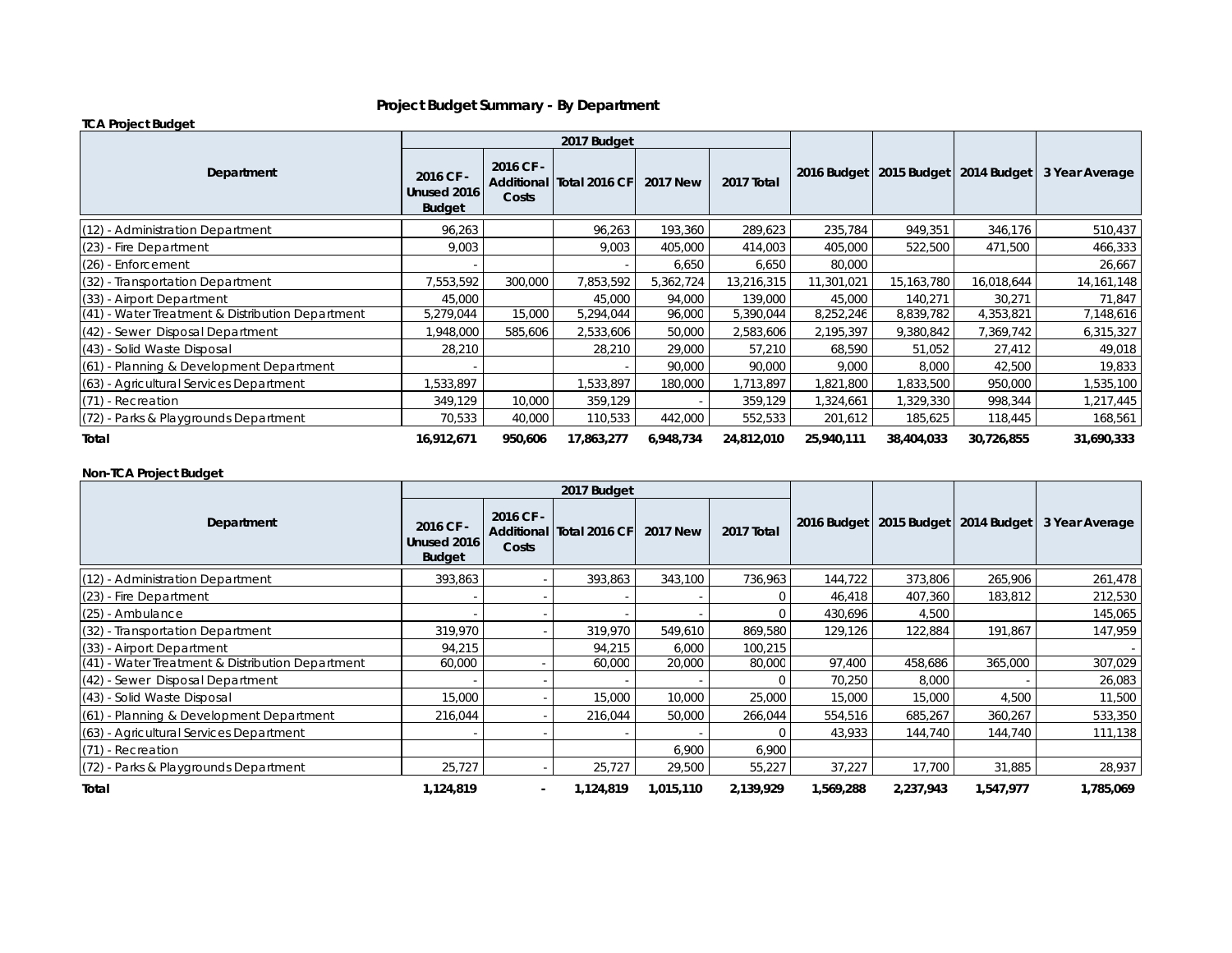#### **Project Budget Summary - By Department**

#### **TCA Project Budget**

|                                                    |                                           |                    | 2017 Budget              |                 |            |            |            |                                         |                |
|----------------------------------------------------|-------------------------------------------|--------------------|--------------------------|-----------------|------------|------------|------------|-----------------------------------------|----------------|
| Department                                         | 2016 CF -<br>Unused 2016<br><b>Budget</b> | 2016 CF -<br>Costs | Additional Total 2016 CF | <b>2017 New</b> | 2017 Total |            |            | 2016 Budget   2015 Budget   2014 Budget | 3 Year Average |
| (12) - Administration Department                   | 96,263                                    |                    | 96,263                   | 193,360         | 289,623    | 235,784    | 949,351    | 346,176                                 | 510,437        |
| $(23)$ - Fire Department                           | 9,003                                     |                    | 9,003                    | 405.000         | 414,003    | 405,000    | 522,500    | 471,500                                 | 466,333        |
| $(26)$ - Enforcement                               |                                           |                    |                          | 6,650           | 6,650      | 80,000     |            |                                         | 26,667         |
| (32) - Transportation Department                   | 7,553,592                                 | 300,000            | 7,853,592                | 5,362,724       | 13,216,315 | 11,301,021 | 15,163,780 | 16,018,644                              | 14, 161, 148   |
| (33) - Airport Department                          | 45,000                                    |                    | 45,000                   | 94,000          | 139,000    | 45,000     | 140,271    | 30,271                                  | 71,847         |
| $(41)$ - Water Treatment & Distribution Department | 5,279,044                                 | 15,000             | 5,294,044                | 96,000          | 5,390,044  | 8,252,246  | 8,839,782  | 4,353,821                               | 7,148,616      |
| (42) - Sewer Disposal Department                   | ,948,000                                  | 585,606            | 2,533,606                | 50,000          | 2,583,606  | 2,195,397  | 9,380,842  | 7,369,742                               | 6,315,327      |
| (43) - Solid Waste Disposal                        | 28,210                                    |                    | 28,210                   | 29,000          | 57,210     | 68,590     | 51,052     | 27,412                                  | 49,018         |
| $(61)$ - Planning & Development Department         |                                           |                    |                          | 90,000          | 90,000     | 9,000      | 8,000      | 42,500                                  | 19,833         |
| (63) - Agricultural Services Department            | ,533,897                                  |                    | 1,533,897                | 180,000         | 1,713,897  | 1,821,800  | 1,833,500  | 950,000                                 | 1,535,100      |
| (71) - Recreation                                  | 349,129                                   | 10,000             | 359,129                  |                 | 359,129    | 1,324,661  | 1,329,330  | 998,344                                 | 1,217,445      |
| (72) - Parks & Playgrounds Department              | 70,533                                    | 40,000             | 110,533                  | 442,000         | 552,533    | 201,612    | 185,625    | 118,445                                 | 168,561        |
| Total                                              | 16,912,671                                | 950,606            | 17,863,277               | 6,948,734       | 24,812,010 | 25,940,111 | 38,404,033 | 30,726,855                              | 31,690,333     |

#### **Non-TCA Project Budget**

|                                                  |                                           |                    | 2017 Budget              |                 |            |           |           |                                         |                |
|--------------------------------------------------|-------------------------------------------|--------------------|--------------------------|-----------------|------------|-----------|-----------|-----------------------------------------|----------------|
| Department                                       | 2016 CF -<br>Unused 2016<br><b>Budget</b> | 2016 CF -<br>Costs | Additional Total 2016 CF | <b>2017 New</b> | 2017 Total |           |           | 2016 Budget   2015 Budget   2014 Budget | 3 Year Average |
| (12) - Administration Department                 | 393,863                                   |                    | 393,863                  | 343,100         | 736,963    | 144,722   | 373,806   | 265,906                                 | 261,478        |
| (23) - Fire Department                           |                                           |                    |                          |                 | $\Omega$   | 46,418    | 407,360   | 183,812                                 | 212,530        |
| (25) - Ambulance                                 |                                           |                    |                          |                 |            | 430,696   | 4,500     |                                         | 145,065        |
| (32) - Transportation Department                 | 319,970                                   |                    | 319,970                  | 549,610         | 869,580    | 129,126   | 122,884   | 191,867                                 | 147,959        |
| (33) - Airport Department                        | 94,215                                    |                    | 94,215                   | 6,000           | 100,215    |           |           |                                         |                |
| (41) - Water Treatment & Distribution Department | 60,000                                    |                    | 60,000                   | 20,000          | 80,000     | 97,400    | 458,686   | 365,000                                 | 307,029        |
| (42) - Sewer Disposal Department                 |                                           |                    |                          |                 |            | 70,250    | 8,000     |                                         | 26,083         |
| (43) - Solid Waste Disposal                      | 15,000                                    |                    | 15,000                   | 10,000          | 25,000     | 15,000    | 15,000    | 4,500                                   | 11,500         |
| (61) - Planning & Development Department         | 216,044                                   |                    | 216,044                  | 50,000          | 266,044    | 554,516   | 685,267   | 360,267                                 | 533,350        |
| (63) - Agricultural Services Department          |                                           |                    |                          |                 |            | 43,933    | 144,740   | 144,740                                 | 111,138        |
| $(71)$ - Recreation                              |                                           |                    |                          | 6,900           | 6,900      |           |           |                                         |                |
| (72) - Parks & Playgrounds Department            | 25,727                                    |                    | 25,727                   | 29,500          | 55,227     | 37,227    | 17,700    | 31,885                                  | 28,937         |
| Total                                            | 1,124,819                                 | $\blacksquare$     | 1,124,819                | 1,015,110       | 2,139,929  | 1,569,288 | 2,237,943 | 1,547,977                               | 1,785,069      |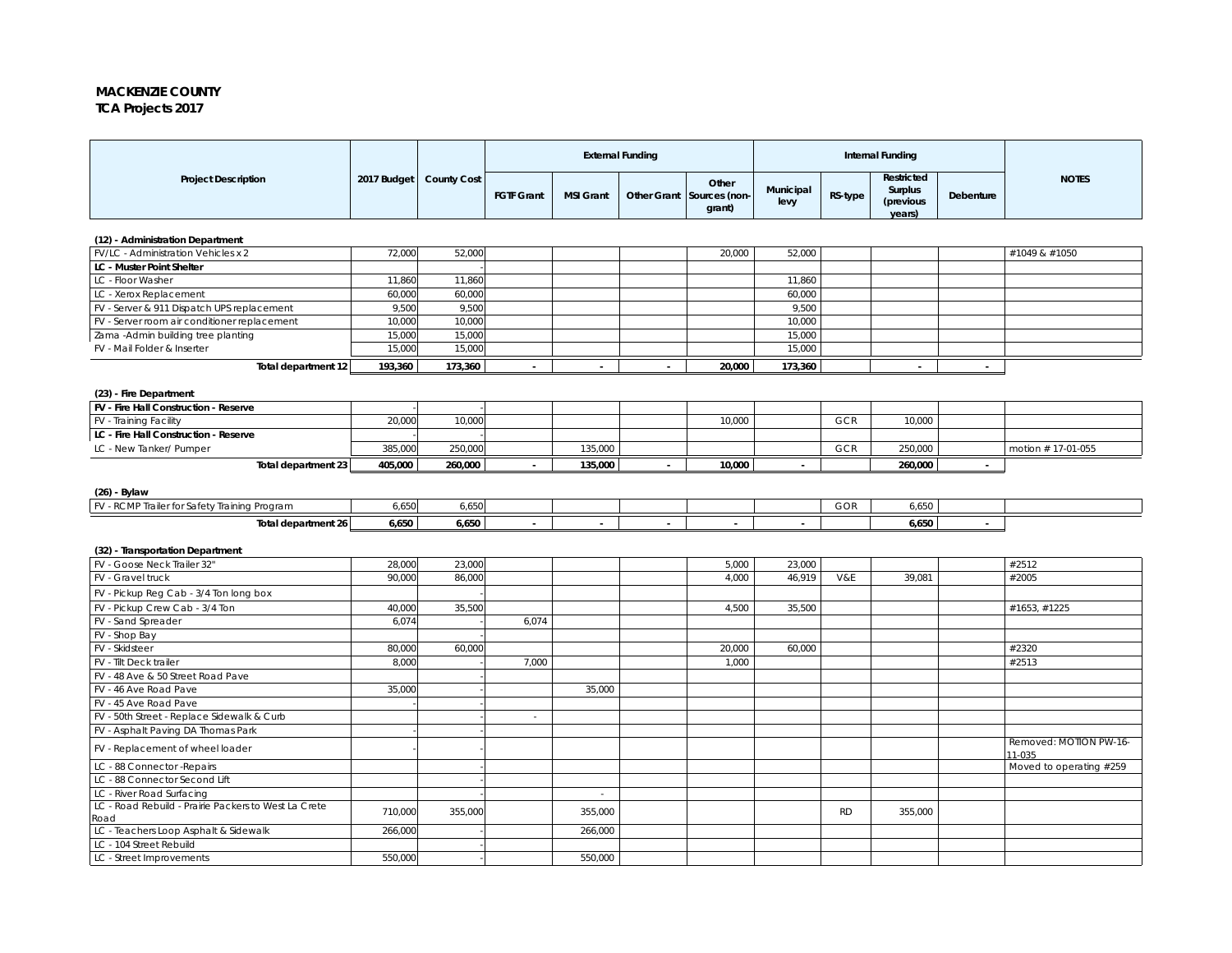#### **MACKENZIE COUNTY TCA Projects 2017**

|                                                      |             |                    | <b>External Funding</b><br><b>Internal Funding</b> |                  |        |                                              |                   |           |                                              |           |                                  |
|------------------------------------------------------|-------------|--------------------|----------------------------------------------------|------------------|--------|----------------------------------------------|-------------------|-----------|----------------------------------------------|-----------|----------------------------------|
| <b>Project Description</b>                           | 2017 Budget | <b>County Cost</b> | <b>FGTF Grant</b>                                  | <b>MSI Grant</b> |        | Other<br>Other Grant Sources (non-<br>grant) | Municipal<br>levy | RS-type   | Restricted<br>Surplus<br>(previous<br>years) | Debenture | <b>NOTES</b>                     |
| (12) - Administration Department                     |             |                    |                                                    |                  |        |                                              |                   |           |                                              |           |                                  |
| FV/LC - Administration Vehicles x 2                  | 72,000      | 52,000             |                                                    |                  |        | 20,000                                       | 52,000            |           |                                              |           | #1049 & #1050                    |
| <b>LC - Muster Point Shelter</b>                     |             |                    |                                                    |                  |        |                                              |                   |           |                                              |           |                                  |
| LC - Floor Washer                                    | 11,860      | 11,860             |                                                    |                  |        |                                              | 11,860            |           |                                              |           |                                  |
| LC - Xerox Replacement                               | 60,000      | 60,000             |                                                    |                  |        |                                              | 60,000            |           |                                              |           |                                  |
| FV - Server & 911 Dispatch UPS replacement           | 9,500       | 9,500              |                                                    |                  |        |                                              | 9,500             |           |                                              |           |                                  |
| FV - Server room air conditioner replacement         | 10,000      | 10,000             |                                                    |                  |        |                                              | 10,000            |           |                                              |           |                                  |
| Zama - Admin building tree planting                  | 15,000      | 15,000             |                                                    |                  |        |                                              | 15,000            |           |                                              |           |                                  |
| FV - Mail Folder & Inserter                          | 15,000      | 15,000             |                                                    |                  |        |                                              | 15,000            |           |                                              |           |                                  |
| Total department 12                                  | 193,360     | 173,360            | $\sim$                                             | $\sim$           | $\sim$ | 20,000                                       | 173,360           |           | $\sim$                                       | $\sim$    |                                  |
|                                                      |             |                    |                                                    |                  |        |                                              |                   |           |                                              |           |                                  |
| (23) - Fire Department                               |             |                    |                                                    |                  |        |                                              |                   |           |                                              |           |                                  |
| FV - Fire Hall Construction - Reserve                |             |                    |                                                    |                  |        |                                              |                   |           |                                              |           |                                  |
| FV - Training Facility                               | 20,000      | 10,000             |                                                    |                  |        | 10,000                                       |                   | GCR       | 10,000                                       |           |                                  |
| LC - Fire Hall Construction - Reserve                |             |                    |                                                    |                  |        |                                              |                   |           |                                              |           |                                  |
| LC - New Tanker/ Pumper                              | 385,000     | 250,000            |                                                    | 135,000          |        |                                              |                   | GCR       | 250,000                                      |           | motion #17-01-055                |
| Total department 23                                  | 405,000     | 260,000            |                                                    | 135,000          |        | 10,000                                       |                   |           | 260,000                                      |           |                                  |
|                                                      |             |                    |                                                    |                  |        |                                              |                   |           |                                              |           |                                  |
| $(26)$ - Bylaw                                       |             |                    |                                                    |                  |        |                                              |                   |           |                                              |           |                                  |
| FV - RCMP Trailer for Safety Training Program        | 6,650       | 6,650              |                                                    |                  |        |                                              |                   | GOR       | 6,650                                        |           |                                  |
| Total department 26                                  | 6,650       | 6,650              |                                                    |                  |        |                                              |                   |           | 6,650                                        |           |                                  |
|                                                      |             |                    |                                                    |                  |        |                                              |                   |           |                                              |           |                                  |
| (32) - Transportation Department                     |             |                    |                                                    |                  |        |                                              |                   |           |                                              |           |                                  |
| FV - Goose Neck Trailer 32"                          | 28,000      | 23,000             |                                                    |                  |        | 5,000                                        | 23,000            |           |                                              |           | #2512                            |
| FV - Gravel truck                                    | 90,000      | 86,000             |                                                    |                  |        | 4,000                                        | 46,919            | V&E       | 39,081                                       |           | #2005                            |
| FV - Pickup Reg Cab - 3/4 Ton long box               |             |                    |                                                    |                  |        |                                              |                   |           |                                              |           |                                  |
| FV - Pickup Crew Cab - 3/4 Ton                       | 40,000      | 35,500             |                                                    |                  |        | 4,500                                        | 35,500            |           |                                              |           | #1653, #1225                     |
| FV - Sand Spreader                                   | 6,074       |                    | 6,074                                              |                  |        |                                              |                   |           |                                              |           |                                  |
| FV - Shop Bay                                        |             |                    |                                                    |                  |        |                                              |                   |           |                                              |           |                                  |
| FV - Skidsteer                                       | 80,000      | 60,000             |                                                    |                  |        | 20,000                                       | 60,000            |           |                                              |           | #2320                            |
| FV - Tilt Deck trailer                               | 8,000       |                    | 7,000                                              |                  |        | 1,000                                        |                   |           |                                              |           | #2513                            |
| FV - 48 Ave & 50 Street Road Pave                    |             |                    |                                                    |                  |        |                                              |                   |           |                                              |           |                                  |
| FV - 46 Ave Road Pave                                | 35,000      |                    |                                                    | 35,000           |        |                                              |                   |           |                                              |           |                                  |
| FV - 45 Ave Road Pave                                |             |                    |                                                    |                  |        |                                              |                   |           |                                              |           |                                  |
| FV - 50th Street - Replace Sidewalk & Curb           |             |                    | $\sim$                                             |                  |        |                                              |                   |           |                                              |           |                                  |
| FV - Asphalt Paving DA Thomas Park                   |             |                    |                                                    |                  |        |                                              |                   |           |                                              |           |                                  |
| FV - Replacement of wheel loader                     |             |                    |                                                    |                  |        |                                              |                   |           |                                              |           | Removed: MOTION PW-16-<br>11-035 |
| LC - 88 Connector - Repairs                          |             |                    |                                                    |                  |        |                                              |                   |           |                                              |           | Moved to operating #259          |
| LC - 88 Connector Second Lift                        |             |                    |                                                    |                  |        |                                              |                   |           |                                              |           |                                  |
| LC - River Road Surfacing                            |             |                    |                                                    | $\sim$           |        |                                              |                   |           |                                              |           |                                  |
| LC - Road Rebuild - Prairie Packers to West La Crete | 710,000     | 355,000            |                                                    | 355,000          |        |                                              |                   | <b>RD</b> | 355,000                                      |           |                                  |
| Road                                                 |             |                    |                                                    |                  |        |                                              |                   |           |                                              |           |                                  |
| LC - Teachers Loop Asphalt & Sidewalk                | 266,000     |                    |                                                    | 266,000          |        |                                              |                   |           |                                              |           |                                  |
| LC - 104 Street Rebuild                              |             |                    |                                                    |                  |        |                                              |                   |           |                                              |           |                                  |
| LC - Street Improvements                             | 550.000     |                    |                                                    | 550,000          |        |                                              |                   |           |                                              |           |                                  |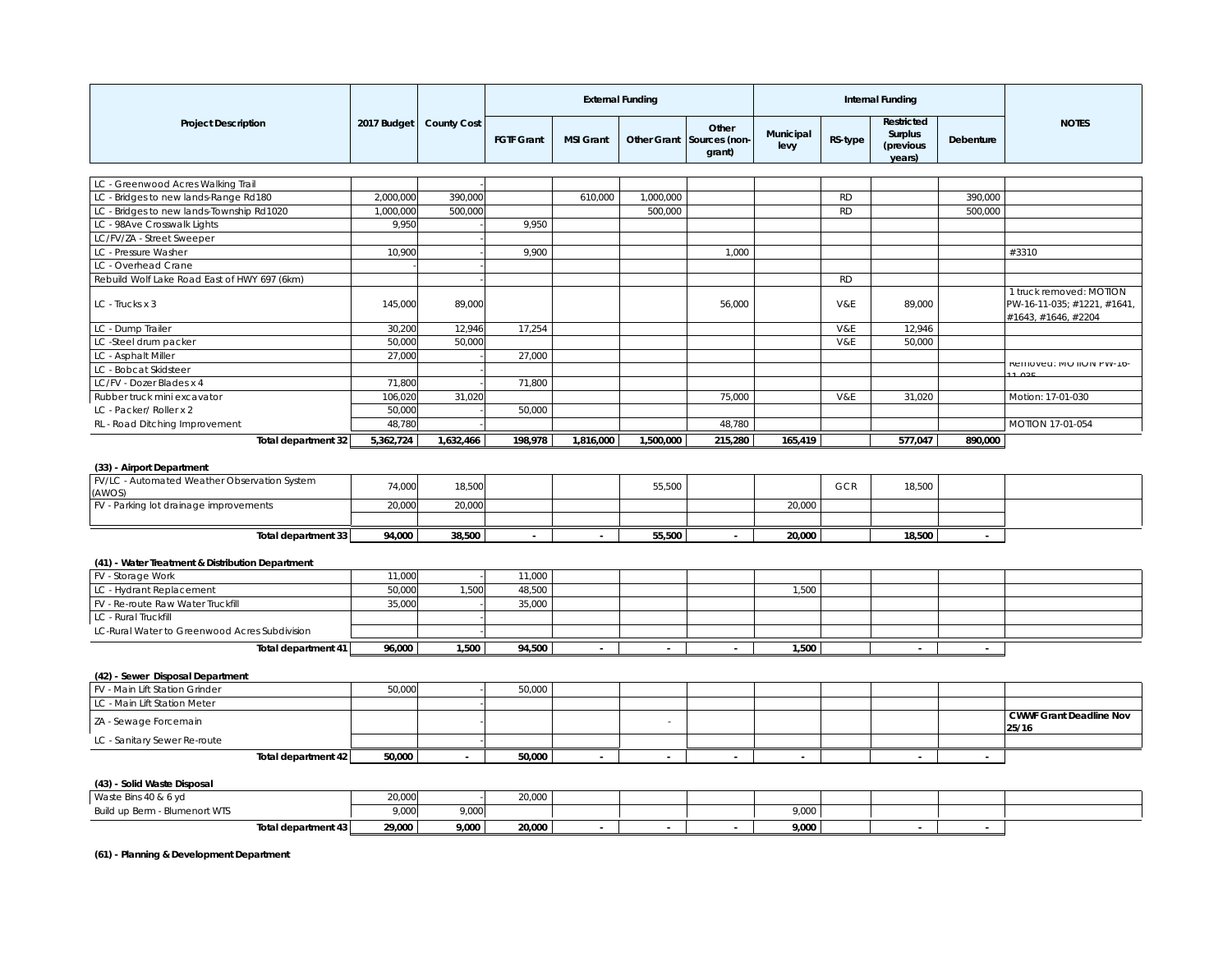|                                                                       |             |                    | <b>External Funding</b> |                  |                    |                                  |                   | <b>Internal Funding</b> |                                              |           |                                                    |
|-----------------------------------------------------------------------|-------------|--------------------|-------------------------|------------------|--------------------|----------------------------------|-------------------|-------------------------|----------------------------------------------|-----------|----------------------------------------------------|
| <b>Project Description</b>                                            | 2017 Budget | <b>County Cost</b> | <b>FGTF Grant</b>       | <b>MSI Grant</b> | <b>Other Grant</b> | Other<br>Sources (non-<br>grant) | Municipal<br>levy | RS-type                 | Restricted<br>Surplus<br>(previous<br>years) | Debenture | <b>NOTES</b>                                       |
|                                                                       |             |                    |                         |                  |                    |                                  |                   |                         |                                              |           |                                                    |
| LC - Greenwood Acres Walking Trail                                    |             |                    |                         |                  |                    |                                  |                   |                         |                                              |           |                                                    |
| LC - Bridges to new lands-Range Rd180                                 | 2,000,000   | 390,000            |                         | 610,000          | 1,000,000          |                                  |                   | <b>RD</b>               |                                              | 390,000   |                                                    |
| LC - Bridges to new lands-Township Rd1020                             | 1,000,000   | 500,000            |                         |                  | 500,000            |                                  |                   | <b>RD</b>               |                                              | 500,000   |                                                    |
| LC - 98Ave Crosswalk Lights                                           | 9,950       |                    | 9,950                   |                  |                    |                                  |                   |                         |                                              |           |                                                    |
| LC/FV/ZA - Street Sweeper                                             |             |                    |                         |                  |                    |                                  |                   |                         |                                              |           |                                                    |
| LC - Pressure Washer                                                  | 10,900      |                    | 9,900                   |                  |                    | 1.000                            |                   |                         |                                              |           | #3310                                              |
| LC - Overhead Crane                                                   |             |                    |                         |                  |                    |                                  |                   |                         |                                              |           |                                                    |
| Rebuild Wolf Lake Road East of HWY 697 (6km)                          |             |                    |                         |                  |                    |                                  |                   | <b>RD</b>               |                                              |           | 1 truck removed: MOTION                            |
| LC - Trucks x 3                                                       | 145,000     | 89,000             |                         |                  |                    | 56,000                           |                   | V&E                     | 89,000                                       |           | PW-16-11-035; #1221, #1641,<br>#1643, #1646, #2204 |
| LC - Dump Trailer                                                     | 30,200      | 12,946             | 17,254                  |                  |                    |                                  |                   | V&E                     | 12,946                                       |           |                                                    |
| LC -Steel drum packer                                                 | 50,000      | 50,000             |                         |                  |                    |                                  |                   | V&E                     | 50,000                                       |           |                                                    |
| LC - Asphalt Miller                                                   | 27,000      |                    | 27,000                  |                  |                    |                                  |                   |                         |                                              |           |                                                    |
| LC - Bobcat Skidsteer                                                 |             |                    |                         |                  |                    |                                  |                   |                         |                                              |           | KEITIUVEU: IVIUTIUIV PVV-10-                       |
| LC/FV - Dozer Blades x 4                                              | 71,800      |                    | 71,800                  |                  |                    |                                  |                   |                         |                                              |           |                                                    |
| Rubber truck mini excavator                                           | 106,020     | 31,020             |                         |                  |                    | 75,000                           |                   | V&E                     | 31,020                                       |           | Motion: 17-01-030                                  |
| LC - Packer/ Roller x 2                                               | 50,000      |                    | 50,000                  |                  |                    |                                  |                   |                         |                                              |           |                                                    |
| RL - Road Ditching Improvement                                        | 48,780      |                    |                         |                  |                    | 48,780                           |                   |                         |                                              |           | MOTION 17-01-054                                   |
| Total department 32                                                   | 5,362,724   | 1,632,466          | 198,978                 | 1,816,000        | 1,500,000          | 215,280                          | 165,419           |                         | 577,047                                      | 890,000   |                                                    |
| (33) - Airport Department                                             |             |                    |                         |                  |                    |                                  |                   |                         |                                              |           |                                                    |
| FV/LC - Automated Weather Observation System                          |             |                    |                         |                  |                    |                                  |                   |                         |                                              |           |                                                    |
| (AWOS)                                                                | 74,000      | 18,500             |                         |                  | 55,500             |                                  |                   | GCR                     | 18,500                                       |           |                                                    |
| FV - Parking lot drainage improvements                                | 20,000      | 20,000             |                         |                  |                    |                                  | 20,000            |                         |                                              |           |                                                    |
|                                                                       |             |                    |                         |                  |                    |                                  |                   |                         |                                              |           |                                                    |
| Total department 33                                                   | 94,000      | 38,500             |                         |                  | 55,500             |                                  | 20,000            |                         | 18,500                                       | $\sim$    |                                                    |
|                                                                       |             |                    |                         |                  |                    |                                  |                   |                         |                                              |           |                                                    |
| (41) - Water Treatment & Distribution Department<br>FV - Storage Work | 11,000      |                    | 11,000                  |                  |                    |                                  |                   |                         |                                              |           |                                                    |
| LC - Hydrant Replacement                                              | 50,000      | 1,500              | 48,500                  |                  |                    |                                  | 1,500             |                         |                                              |           |                                                    |
| FV - Re-route Raw Water Truckfill                                     | 35,000      |                    | 35,000                  |                  |                    |                                  |                   |                         |                                              |           |                                                    |
| LC - Rural Truckfill                                                  |             |                    |                         |                  |                    |                                  |                   |                         |                                              |           |                                                    |
| LC-Rural Water to Greenwood Acres Subdivision                         |             |                    |                         |                  |                    |                                  |                   |                         |                                              |           |                                                    |
|                                                                       | 96,000      | 1,500              | 94,500                  | $\sim$           | $\sim$             | $\sim$                           | 1,500             |                         | $\sim$                                       |           |                                                    |
| Total department 41                                                   |             |                    |                         |                  |                    |                                  |                   |                         |                                              | $\sim$    |                                                    |
| (42) - Sewer Disposal Department                                      |             |                    |                         |                  |                    |                                  |                   |                         |                                              |           |                                                    |
| FV - Main Lift Station Grinder                                        | 50,000      |                    | 50,000                  |                  |                    |                                  |                   |                         |                                              |           |                                                    |
| LC - Main Lift Station Meter                                          |             |                    |                         |                  |                    |                                  |                   |                         |                                              |           |                                                    |
| ZA - Sewage Forcemain                                                 |             |                    |                         |                  | ×,                 |                                  |                   |                         |                                              |           | <b>CWWF Grant Deadline Nov</b><br>25/16            |
| LC - Sanitary Sewer Re-route                                          |             |                    |                         |                  |                    |                                  |                   |                         |                                              |           |                                                    |
| Total department 42                                                   | 50,000      |                    | 50,000                  | $\sim$           | ×.                 | $\sim$                           | $\sim$            |                         | $\sim$                                       | $\sim$    |                                                    |
| (43) - Solid Waste Disposal                                           |             |                    |                         |                  |                    |                                  |                   |                         |                                              |           |                                                    |
| Waste Bins 40 & 6 yd                                                  | 20,000      |                    | 20,000                  |                  |                    |                                  |                   |                         |                                              |           |                                                    |
| Build up Berm - Blumenort WTS                                         | 9,000       | 9,000              |                         |                  |                    |                                  | 9,000             |                         |                                              |           |                                                    |
| Total department 43                                                   | 29,000      | 9.000              | 20,000                  |                  |                    |                                  | 9,000             |                         |                                              |           |                                                    |

#### **(61) - Planning & Development Department**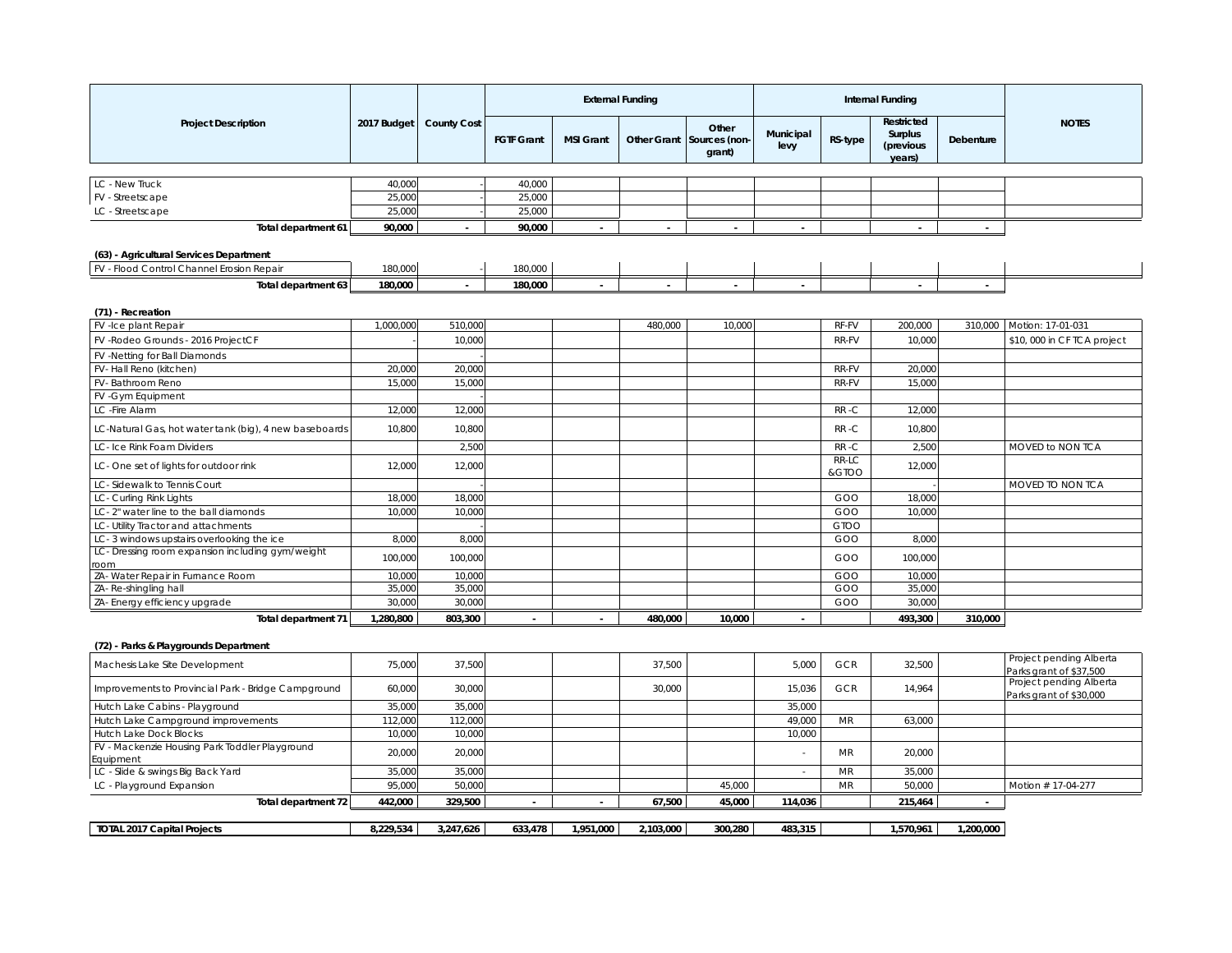|                                                          |           |                           |                   |                  | <b>External Funding</b> |                                              |                   |                | <b>Internal Funding</b>                             |              |                                                    |
|----------------------------------------------------------|-----------|---------------------------|-------------------|------------------|-------------------------|----------------------------------------------|-------------------|----------------|-----------------------------------------------------|--------------|----------------------------------------------------|
| <b>Project Description</b>                               |           | 2017 Budget   County Cost | <b>FGTF Grant</b> | <b>MSI Grant</b> |                         | Other<br>Other Grant Sources (non-<br>grant) | Municipal<br>levy | RS-type        | <b>Restricted</b><br>Surplus<br>(previous<br>years) | Debenture    | <b>NOTES</b>                                       |
|                                                          |           |                           |                   |                  |                         |                                              |                   |                |                                                     |              |                                                    |
| LC - New Truck                                           | 40,000    |                           | 40,000            |                  |                         |                                              |                   |                |                                                     |              |                                                    |
| FV - Streetscape                                         | 25,000    |                           | 25,000            |                  |                         |                                              |                   |                |                                                     |              |                                                    |
| LC - Streetscape                                         | 25,000    |                           | 25,000            |                  |                         |                                              |                   |                |                                                     |              |                                                    |
| Total department 61                                      | 90,000    |                           | 90,000            |                  | ×.                      |                                              |                   |                |                                                     |              |                                                    |
| (63) - Agricultural Services Department                  |           |                           |                   |                  |                         |                                              |                   |                |                                                     |              |                                                    |
| FV - Flood Control Channel Erosion Repair                | 180,000   |                           | 180,000           |                  |                         |                                              |                   |                |                                                     |              |                                                    |
|                                                          |           |                           |                   |                  |                         |                                              |                   |                |                                                     |              |                                                    |
| Total department 63                                      | 180,000   |                           | 180.000           |                  |                         |                                              |                   |                |                                                     |              |                                                    |
| (71) - Recreation                                        |           |                           |                   |                  |                         |                                              |                   |                |                                                     |              |                                                    |
| FV-Ice plant Repair                                      | 1,000,000 | 510,000                   |                   |                  | 480,000                 | 10,000                                       |                   | RF-FV          | 200,000                                             |              | 310,000   Motion: 17-01-031                        |
| FV - Rodeo Grounds - 2016 ProjectCF                      |           | 10,000                    |                   |                  |                         |                                              |                   | RR-FV          | 10,000                                              |              | \$10,000 in CF TCA project                         |
| FV -Netting for Ball Diamonds                            |           |                           |                   |                  |                         |                                              |                   |                |                                                     |              |                                                    |
| FV-Hall Reno (kitchen)                                   | 20,000    | 20,000                    |                   |                  |                         |                                              |                   | RR-FV          | 20,000                                              |              |                                                    |
| FV-Bathroom Reno                                         | 15,000    | 15,000                    |                   |                  |                         |                                              |                   | RR-FV          | 15,000                                              |              |                                                    |
| FV - Gym Equipment                                       |           |                           |                   |                  |                         |                                              |                   |                |                                                     |              |                                                    |
| LC - Fire Alarm                                          | 12,000    | 12,000                    |                   |                  |                         |                                              |                   | RR-C           | 12,000                                              |              |                                                    |
| LC-Natural Gas, hot water tank (big), 4 new baseboards   | 10,800    | 10,800                    |                   |                  |                         |                                              |                   | RR-C           | 10,800                                              |              |                                                    |
| LC- Ice Rink Foam Dividers                               |           | 2,500                     |                   |                  |                         |                                              |                   | RR-C           | 2,500                                               |              | MOVED to NON TCA                                   |
| LC-One set of lights for outdoor rink                    | 12,000    | 12,000                    |                   |                  |                         |                                              |                   | RR-LC<br>&GTOO | 12,000                                              |              |                                                    |
| LC-Sidewalk to Tennis Court                              |           |                           |                   |                  |                         |                                              |                   |                |                                                     |              | MOVED TO NON TCA                                   |
| LC- Curling Rink Lights                                  | 18,000    | 18,000                    |                   |                  |                         |                                              |                   | GOO            | 18,000                                              |              |                                                    |
| LC-2" water line to the ball diamonds                    | 10,000    | 10,000                    |                   |                  |                         |                                              |                   | GOO            | 10,000                                              |              |                                                    |
| LC- Utility Tractor and attachments                      |           |                           |                   |                  |                         |                                              |                   | <b>GTOO</b>    |                                                     |              |                                                    |
| LC-3 windows upstairs overlooking the ice                | 8,000     | 8,000                     |                   |                  |                         |                                              |                   | GOO            | 8,000                                               |              |                                                    |
| LC- Dressing room expansion including gym/weight<br>room | 100,000   | 100,000                   |                   |                  |                         |                                              |                   | GOO            | 100,000                                             |              |                                                    |
| ZA- Water Repair in Furnance Room                        | 10,000    | 10,000                    |                   |                  |                         |                                              |                   | GOO            | 10,000                                              |              |                                                    |
| ZA- Re-shingling hall                                    | 35,000    | 35,000                    |                   |                  |                         |                                              |                   | GOO            | 35,000                                              |              |                                                    |
| ZA- Energy efficiency upgrade                            | 30,000    | 30,000                    |                   |                  |                         |                                              |                   | GOO            | 30,000                                              |              |                                                    |
| Total department 71                                      | 1,280,800 | 803,300                   |                   |                  | 480,000                 | 10,000                                       |                   |                | 493,300                                             | 310,000      |                                                    |
| (72) - Parks & Playgrounds Department                    |           |                           |                   |                  |                         |                                              |                   |                |                                                     |              |                                                    |
| Machesis Lake Site Development                           | 75,000    | 37,500                    |                   |                  | 37,500                  |                                              | 5,000             | <b>GCR</b>     | 32,500                                              |              | Project pending Alberta<br>Parks grant of \$37.500 |
| Improvements to Provincial Park - Bridge Campground      | 60,000    | 30,000                    |                   |                  | 30,000                  |                                              | 15,036            | GCR            | 14,964                                              |              | Project pending Alberta<br>Parks grant of \$30,000 |
| Hutch Lake Cabins - Playground                           | 35,000    | 35,000                    |                   |                  |                         |                                              | 35,000            |                |                                                     |              |                                                    |
| Hutch Lake Campground improvements                       | 112,000   | 112,000                   |                   |                  |                         |                                              | 49,000            | MR             | 63,000                                              |              |                                                    |
| Hutch Lake Dock Blocks                                   | 10,000    | 10,000                    |                   |                  |                         |                                              | 10,000            |                |                                                     |              |                                                    |
| FV - Mackenzie Housing Park Toddler Playground           | 20,000    | 20,000                    |                   |                  |                         |                                              | $\sim$            | <b>MR</b>      | 20,000                                              |              |                                                    |
| Equipment                                                |           |                           |                   |                  |                         |                                              |                   |                |                                                     |              |                                                    |
| LC - Slide & swings Big Back Yard                        | 35,000    | 35,000                    |                   |                  |                         |                                              | ÷.                | <b>MR</b>      | 35,000                                              |              |                                                    |
| LC - Playground Expansion                                | 95,000    | 50,000                    |                   |                  |                         | 45,000                                       |                   | <b>MR</b>      | 50,000                                              |              | Motion # 17-04-277                                 |
| Total department 72                                      | 442,000   | 329,500                   | $\sim$            | $\sim$           | 67,500                  | 45,000                                       | 114,036           |                | 215,464                                             | $\mathbf{r}$ |                                                    |
| <b>TOTAL 2017 Capital Projects</b>                       | 8,229,534 | 3,247,626                 | 633,478           | 1,951,000        | 2,103,000               | 300,280                                      | 483,315           |                | 1,570,961                                           | 1,200,000    |                                                    |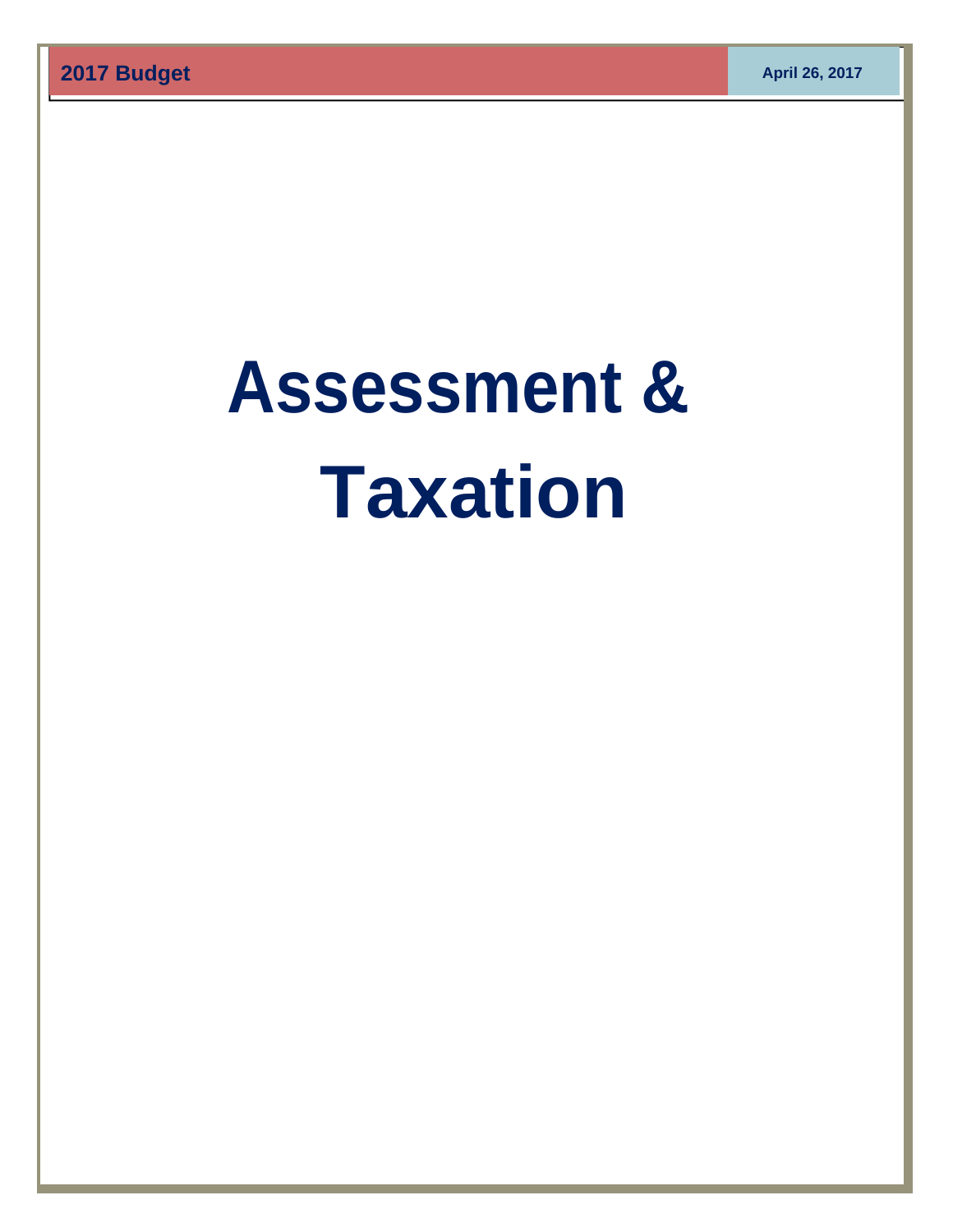# **Assessment & Taxation**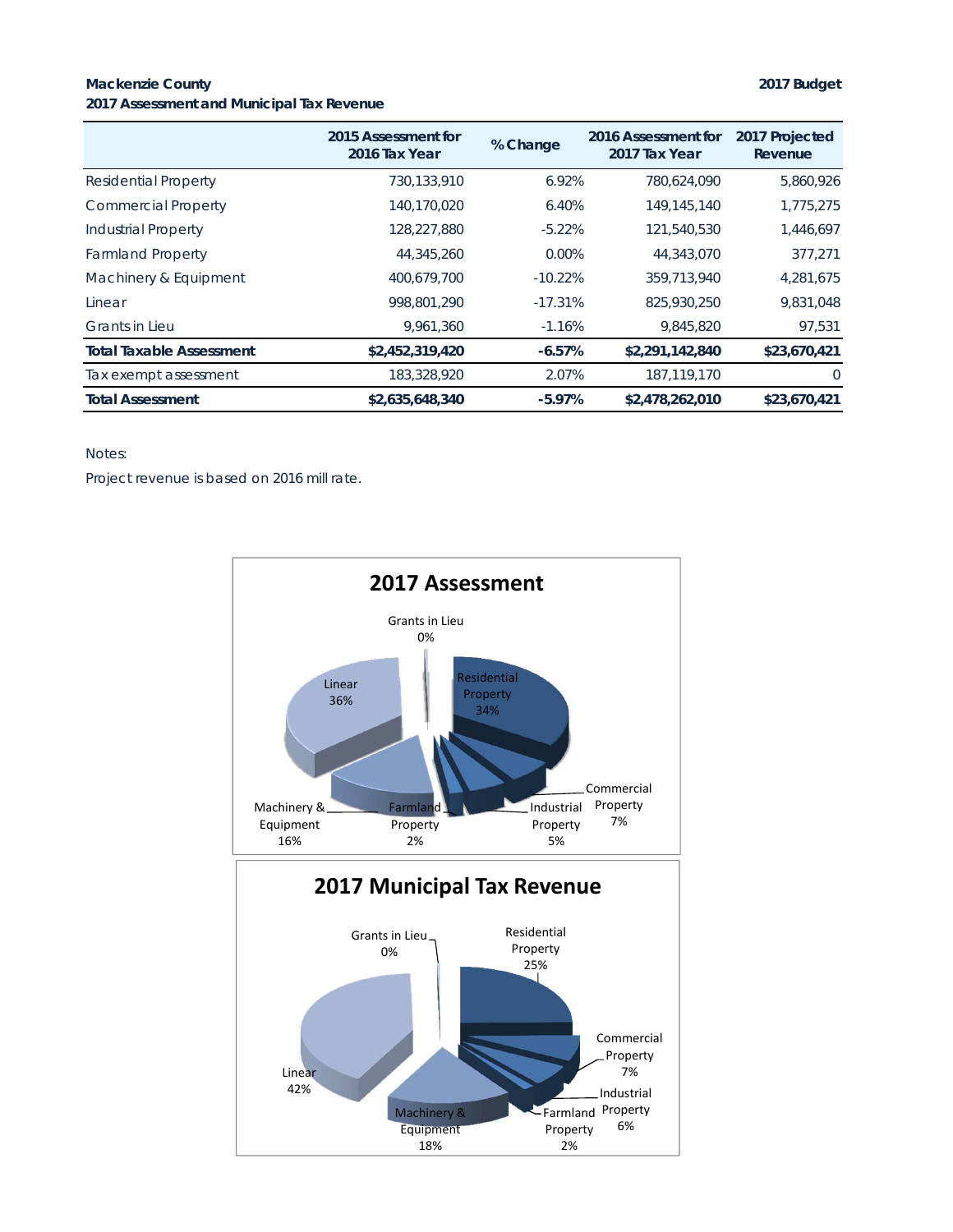#### **Mackenzie County 2017 Budget 2017 Assessment and Municipal Tax Revenue**

|                                 | 2015 Assessment for<br>2016 Tax Year | % Change  | 2016 Assessment for<br>2017 Tax Year | 2017 Projected<br>Revenue |
|---------------------------------|--------------------------------------|-----------|--------------------------------------|---------------------------|
| Residential Property            | 730,133,910                          | 6.92%     | 780.624.090                          | 5,860,926                 |
| <b>Commercial Property</b>      | 140.170.020                          | 6.40%     | 149,145,140                          | 1,775,275                 |
| <b>Industrial Property</b>      | 128,227,880                          | $-5.22%$  | 121,540,530                          | 1,446,697                 |
| <b>Farmland Property</b>        | 44,345,260                           | $0.00\%$  | 44,343,070                           | 377.271                   |
| Machinery & Equipment           | 400.679.700                          | $-10.22%$ | 359,713,940                          | 4,281,675                 |
| Linear                          | 998,801,290                          | $-17.31%$ | 825,930,250                          | 9,831,048                 |
| <b>Grants in Lieu</b>           | 9.961.360                            | $-1.16%$  | 9,845,820                            | 97,531                    |
| <b>Total Taxable Assessment</b> | \$2,452,319,420                      | $-6.57%$  | \$2,291,142,840                      | \$23,670,421              |
| Tax exempt assessment           | 183,328,920                          | 2.07%     | 187,119,170                          | $\Omega$                  |
| <b>Total Assessment</b>         | \$2,635,648,340                      | $-5.97%$  | \$2,478,262,010                      | \$23,670,421              |

#### Notes:

Project revenue is based on 2016 mill rate.

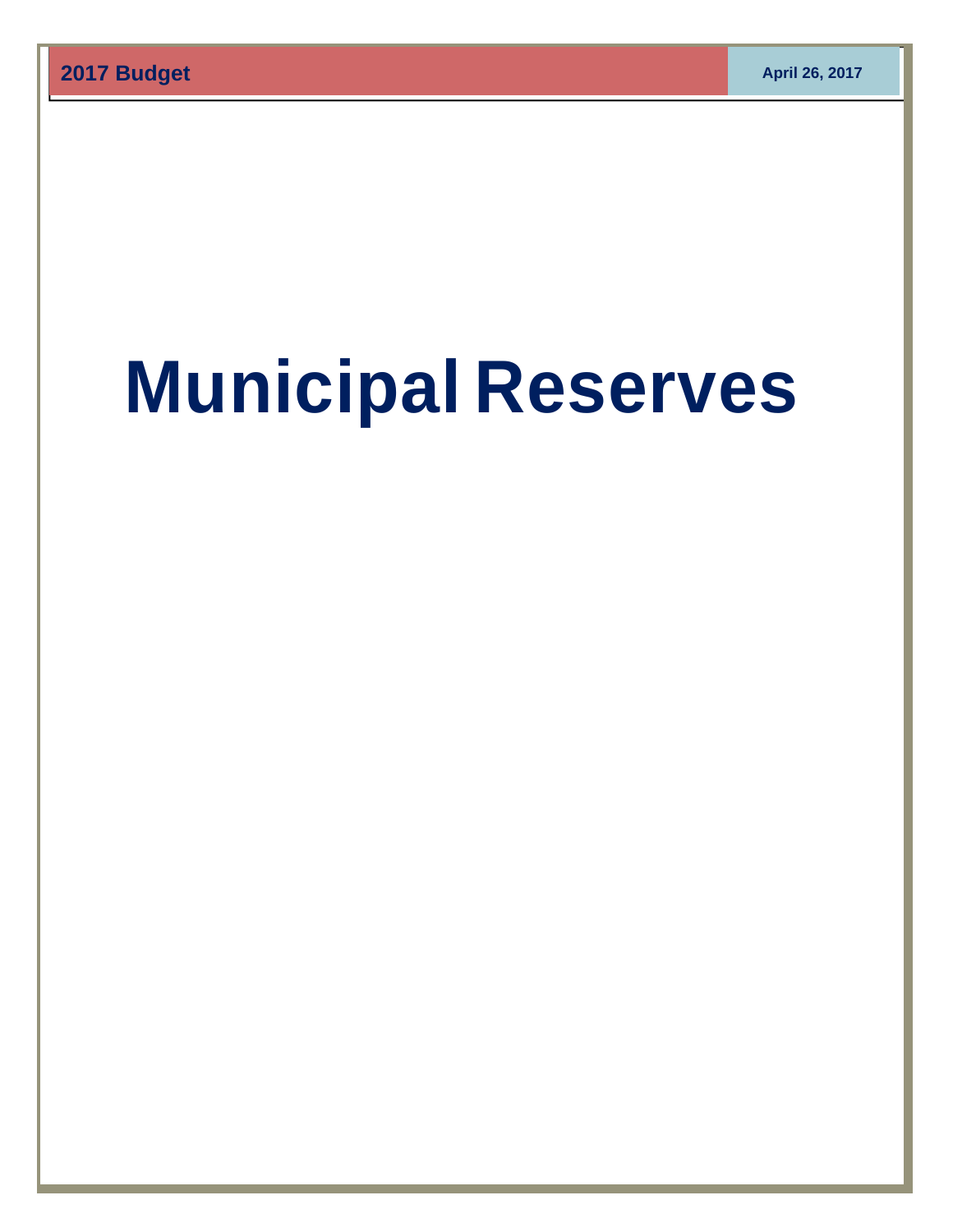# **Municipal Reserves**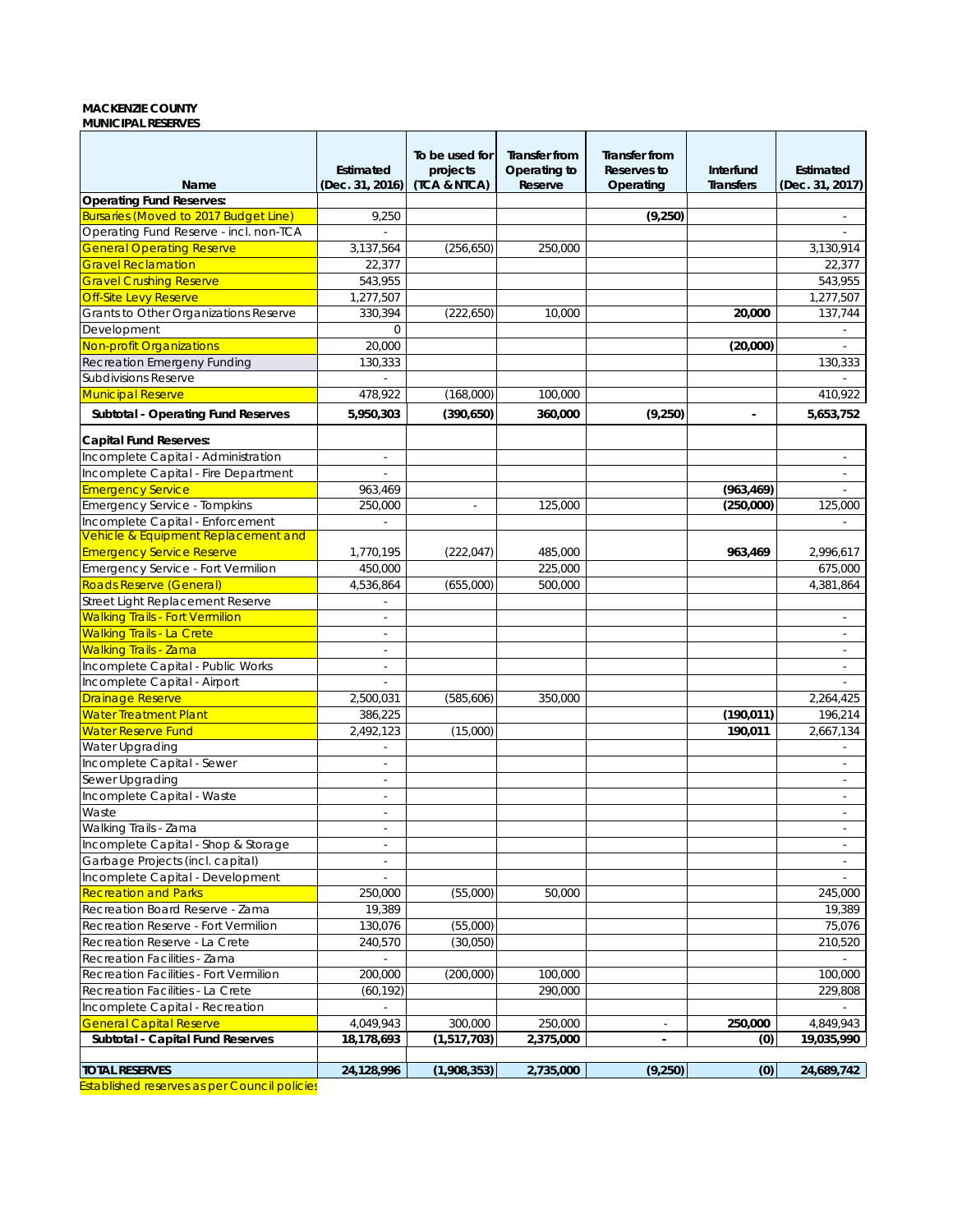#### **MACKENZIE COUNTY MUNICIPAL RESERVES**

| Name                                         | Estimated<br>(Dec. 31, 2016) | To be used for<br>projects<br>(TCA & NTCA) | <b>Transfer from</b><br>Operating to<br>Reserve | <b>Transfer from</b><br>Reserves to<br>Operating | Interfund<br><b>Transfers</b> | Estimated<br>(Dec. 31, 2017) |
|----------------------------------------------|------------------------------|--------------------------------------------|-------------------------------------------------|--------------------------------------------------|-------------------------------|------------------------------|
| <b>Operating Fund Reserves:</b>              |                              |                                            |                                                 |                                                  |                               |                              |
| <b>Bursaries (Moved to 2017 Budget Line)</b> | 9,250                        |                                            |                                                 | (9,250)                                          |                               |                              |
| Operating Fund Reserve - incl. non-TCA       |                              |                                            |                                                 |                                                  |                               |                              |
| <b>General Operating Reserve</b>             | 3,137,564                    | (256, 650)                                 | 250,000                                         |                                                  |                               | 3,130,914                    |
| <b>Gravel Reclamation</b>                    | 22,377                       |                                            |                                                 |                                                  |                               | 22,377                       |
| <b>Gravel Crushing Reserve</b>               | 543,955                      |                                            |                                                 |                                                  |                               | 543,955                      |
| Off-Site Levy Reserve                        | 1,277,507                    |                                            |                                                 |                                                  |                               | 1,277,507                    |
| Grants to Other Organizations Reserve        | 330,394                      | (222, 650)                                 | 10,000                                          |                                                  | 20,000                        | 137,744                      |
| Development                                  | 0                            |                                            |                                                 |                                                  |                               | $\overline{\phantom{a}}$     |
| Non-profit Organizations                     | 20,000                       |                                            |                                                 |                                                  | (20,000)                      |                              |
| Recreation Emergeny Funding                  | 130,333                      |                                            |                                                 |                                                  |                               |                              |
|                                              |                              |                                            |                                                 |                                                  |                               | 130,333                      |
| <b>Subdivisions Reserve</b>                  |                              |                                            |                                                 |                                                  |                               |                              |
| <b>Municipal Reserve</b>                     | 478,922                      | (168,000)                                  | 100,000                                         |                                                  |                               | 410,922                      |
| Subtotal - Operating Fund Reserves           | 5,950,303                    | (390, 650)                                 | 360,000                                         | (9,250)                                          | $\blacksquare$                | 5,653,752                    |
| <b>Capital Fund Reserves:</b>                |                              |                                            |                                                 |                                                  |                               |                              |
|                                              |                              |                                            |                                                 |                                                  |                               |                              |
| Incomplete Capital - Administration          | $\overline{\phantom{a}}$     |                                            |                                                 |                                                  |                               | ×.                           |
| Incomplete Capital - Fire Department         |                              |                                            |                                                 |                                                  |                               |                              |
| <b>Emergency Service</b>                     | 963,469                      |                                            |                                                 |                                                  | (963, 469)                    | $\sim$                       |
| Emergency Service - Tompkins                 | 250,000                      | $\overline{\phantom{a}}$                   | 125,000                                         |                                                  | (250,000)                     | 125,000                      |
| Incomplete Capital - Enforcement             | ×.                           |                                            |                                                 |                                                  |                               | ٠                            |
| Vehicle & Equipment Replacement and          |                              |                                            |                                                 |                                                  |                               |                              |
| <b>Emergency Service Reserve</b>             | 1,770,195                    | (222, 047)                                 | 485,000                                         |                                                  | 963,469                       | 2,996,617                    |
| Emergency Service - Fort Vermilion           | 450,000                      |                                            | 225,000                                         |                                                  |                               | 675,000                      |
| Roads Reserve (General)                      | 4,536,864                    | (655,000)                                  | 500,000                                         |                                                  |                               | 4,381,864                    |
| Street Light Replacement Reserve             | $\overline{\phantom{a}}$     |                                            |                                                 |                                                  |                               |                              |
| <b>Walking Trails - Fort Vermilion</b>       | $\sim$                       |                                            |                                                 |                                                  |                               |                              |
| <b>Walking Trails - La Crete</b>             | ÷.                           |                                            |                                                 |                                                  |                               | $\epsilon$                   |
| <b>Walking Trails - Zama</b>                 | ÷.                           |                                            |                                                 |                                                  |                               |                              |
| Incomplete Capital - Public Works            | $\sim$                       |                                            |                                                 |                                                  |                               | $\overline{\phantom{a}}$     |
| Incomplete Capital - Airport                 |                              |                                            |                                                 |                                                  |                               |                              |
| <b>Drainage Reserve</b>                      | 2,500,031                    | (585,606)                                  | 350,000                                         |                                                  |                               | 2,264,425                    |
| <b>Water Treatment Plant</b>                 | 386,225                      |                                            |                                                 |                                                  | (190, 011)                    | 196,214                      |
| <b>Water Reserve Fund</b>                    | 2,492,123                    | (15,000)                                   |                                                 |                                                  | 190,011                       | 2,667,134                    |
| Water Upgrading                              |                              |                                            |                                                 |                                                  |                               |                              |
| Incomplete Capital - Sewer                   | $\overline{\phantom{a}}$     |                                            |                                                 |                                                  |                               |                              |
| Sewer Upgrading                              | ×.                           |                                            |                                                 |                                                  |                               | ×.                           |
| Incomplete Capital - Waste                   | $\sim$                       |                                            |                                                 |                                                  |                               | ٠                            |
| Waste                                        | $\overline{\phantom{a}}$     |                                            |                                                 |                                                  |                               | ٠                            |
| Walking Trails - Zama                        | $\sim$                       |                                            |                                                 |                                                  |                               | ٠                            |
| Incomplete Capital - Shop & Storage          | $\overline{\phantom{a}}$     |                                            |                                                 |                                                  |                               | $\overline{\phantom{a}}$     |
| Garbage Projects (incl. capital)             | $\sim$                       |                                            |                                                 |                                                  |                               | $\sim$                       |
| Incomplete Capital - Development             | $\overline{\phantom{a}}$     |                                            |                                                 |                                                  |                               | a.                           |
| <b>Recreation and Parks</b>                  | 250,000                      | (55,000)                                   | 50,000                                          |                                                  |                               | 245,000                      |
| Recreation Board Reserve - Zama              | 19,389                       |                                            |                                                 |                                                  |                               | 19,389                       |
| Recreation Reserve - Fort Vermilion          | 130,076                      | (55,000)                                   |                                                 |                                                  |                               | 75,076                       |
| Recreation Reserve - La Crete                | 240,570                      | (30,050)                                   |                                                 |                                                  |                               | 210,520                      |
| Recreation Facilities - Zama                 |                              |                                            |                                                 |                                                  |                               |                              |
| Recreation Facilities - Fort Vermilion       | 200,000                      | (200,000)                                  | 100,000                                         |                                                  |                               | 100,000                      |
| Recreation Facilities - La Crete             | (60, 192)                    |                                            | 290,000                                         |                                                  |                               | 229,808                      |
| Incomplete Capital - Recreation              | ÷.                           |                                            |                                                 |                                                  |                               |                              |
| <b>General Capital Reserve</b>               |                              |                                            |                                                 |                                                  | 250,000                       |                              |
|                                              | 4,049,943                    | 300,000<br>(1,517,703)                     | 250,000<br>2,375,000                            |                                                  |                               | 4,849,943<br>19,035,990      |
| Subtotal - Capital Fund Reserves             | 18,178,693                   |                                            |                                                 | $\blacksquare$                                   | (0)                           |                              |
| <b>TOTAL RESERVES</b>                        | 24,128,996                   | (1,908,353)                                | 2,735,000                                       | (9,250)                                          | (0)                           | 24,689,742                   |

Established reserves as per Council policies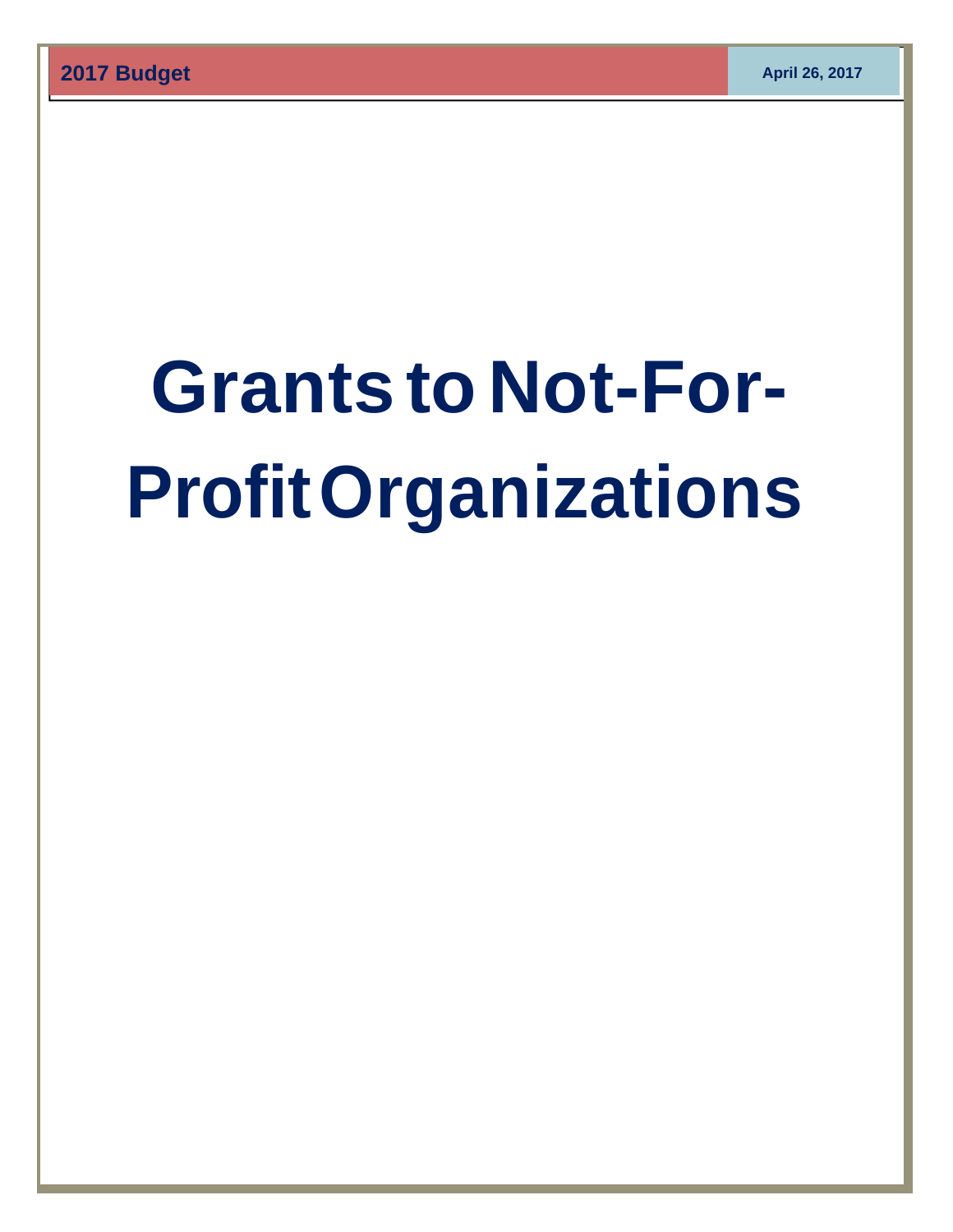# **Grants to Not-For-Profit Organizations**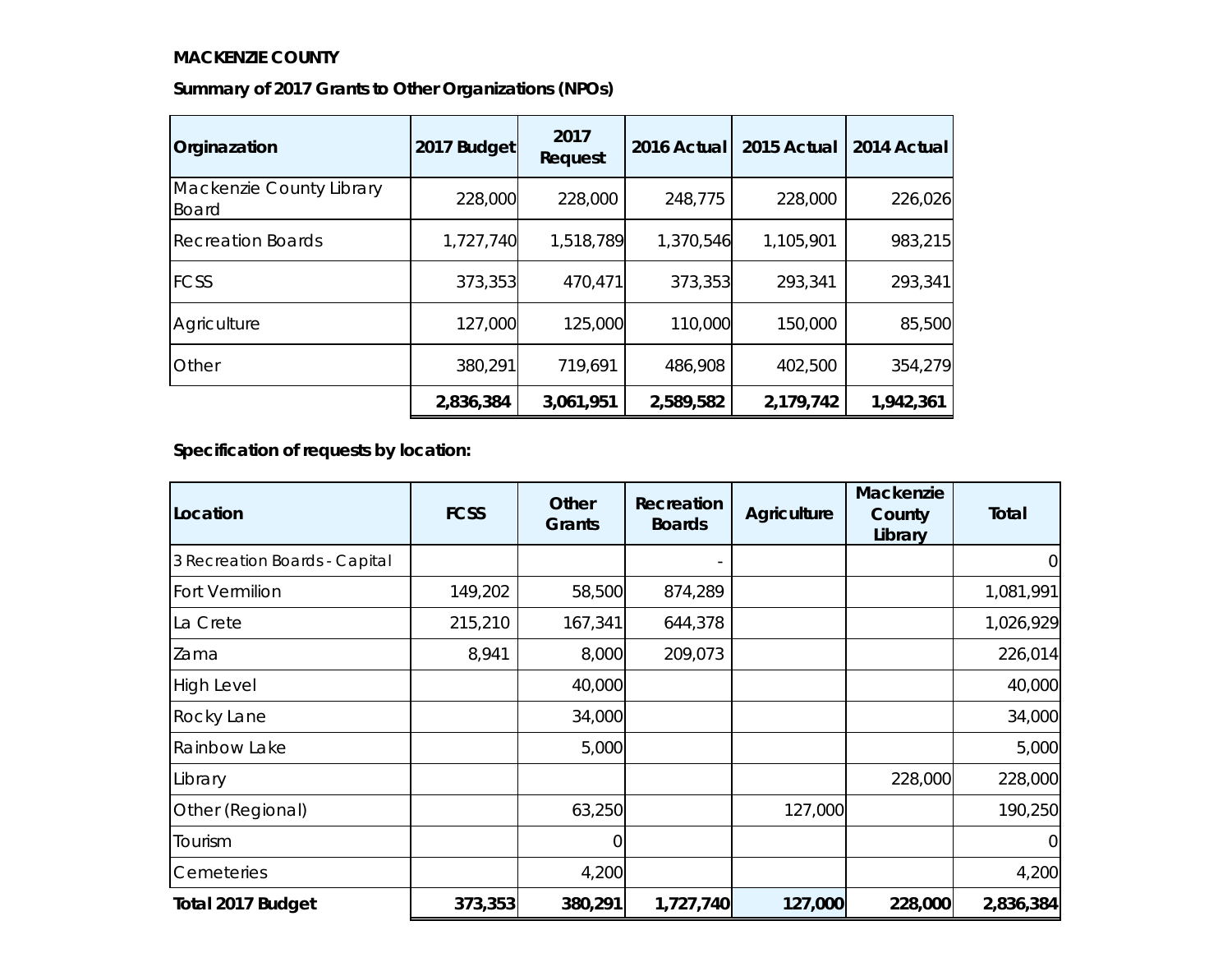#### **MACKENZIE COUNTY**

| Summary of 2017 Grants to Other Organizations (NPOs) |  |  |
|------------------------------------------------------|--|--|
|                                                      |  |  |

| Orginazation                             | 2017 Budget | 2017<br>Request | 2016 Actual | 2015 Actual | 2014 Actual |
|------------------------------------------|-------------|-----------------|-------------|-------------|-------------|
| Mackenzie County Library<br><b>Board</b> | 228,000     | 228,000         | 248,775     | 228,000     | 226,026     |
| <b>Recreation Boards</b>                 | 1,727,740   | 1,518,789       | 1,370,546   | 1,105,901   | 983,215     |
| <b>FCSS</b>                              | 373,353     | 470,471         | 373,353     | 293,341     | 293,341     |
| Agriculture                              | 127,000     | 125,000         | 110,000     | 150,000     | 85,500      |
| Other                                    | 380,291     | 719,691         | 486,908     | 402,500     | 354,279     |
|                                          | 2,836,384   | 3,061,951       | 2,589,582   | 2,179,742   | 1,942,361   |

**Specification of requests by location:**

| Location                      | <b>FCSS</b> | Other<br><b>Grants</b> | Recreation<br><b>Boards</b> | Agriculture | Mackenzie<br>County<br>Library | <b>Total</b>   |
|-------------------------------|-------------|------------------------|-----------------------------|-------------|--------------------------------|----------------|
| 3 Recreation Boards - Capital |             |                        |                             |             |                                | $\overline{0}$ |
| Fort Vermilion                | 149,202     | 58,500                 | 874,289                     |             |                                | 1,081,991      |
| La Crete                      | 215,210     | 167,341                | 644,378                     |             |                                | 1,026,929      |
| Zama                          | 8,941       | 8,000                  | 209,073                     |             |                                | 226,014        |
| <b>High Level</b>             |             | 40,000                 |                             |             |                                | 40,000         |
| Rocky Lane                    |             | 34,000                 |                             |             |                                | 34,000         |
| Rainbow Lake                  |             | 5,000                  |                             |             |                                | 5,000          |
| Library                       |             |                        |                             |             | 228,000                        | 228,000        |
| Other (Regional)              |             | 63,250                 |                             | 127,000     |                                | 190,250        |
| Tourism                       |             | 0                      |                             |             |                                | $\overline{0}$ |
| Cemeteries                    |             | 4,200                  |                             |             |                                | 4,200          |
| <b>Total 2017 Budget</b>      | 373,353     | 380,291                | 1,727,740                   | 127,000     | 228,000                        | 2,836,384      |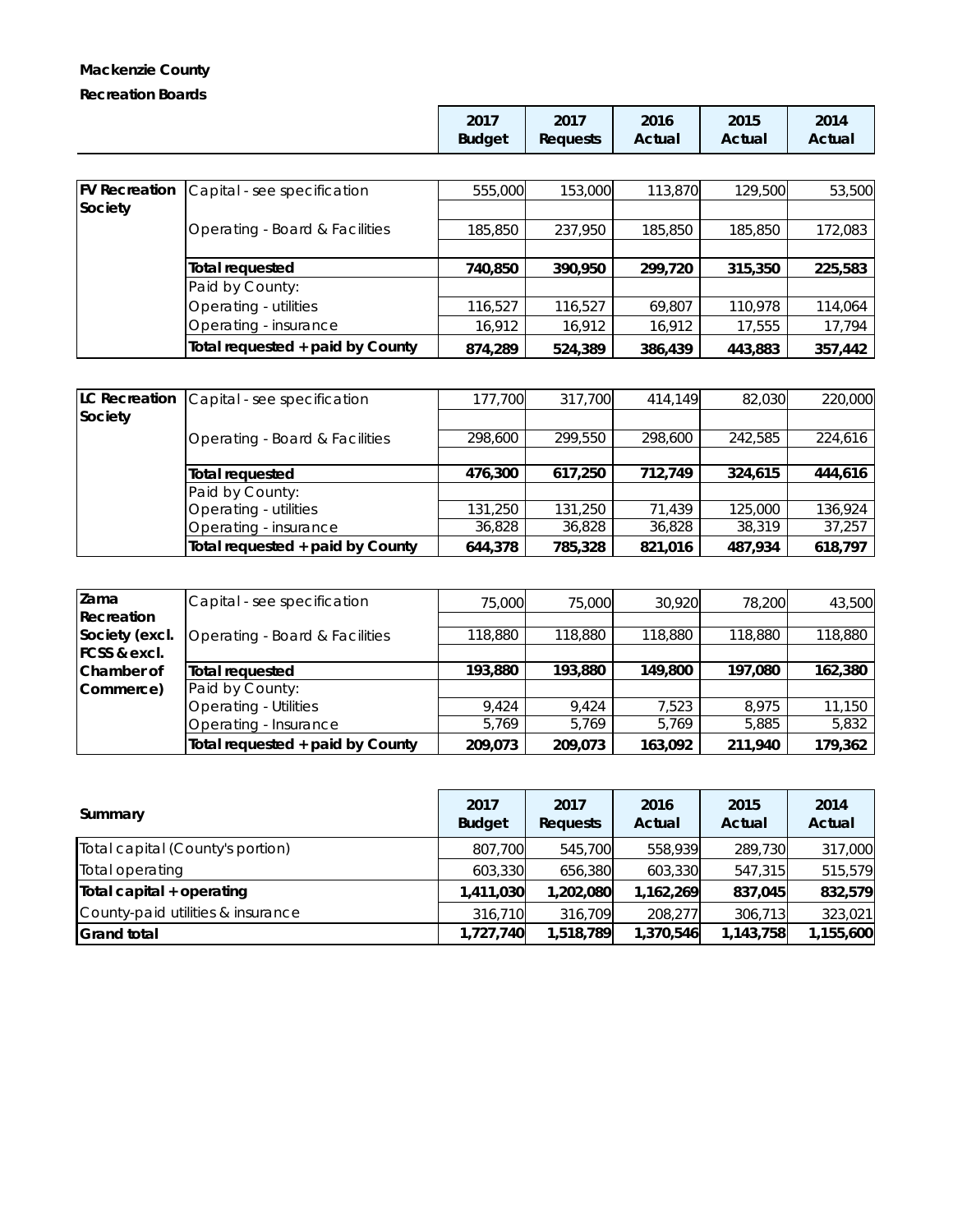# **Mackenzie County Recreation Boards**

| 2017          | 2017            | 2016   | 2015   | 2014   |
|---------------|-----------------|--------|--------|--------|
| <b>Budget</b> | <b>Requests</b> | Actual | Actual | Actual |

| <b>FV Recreation</b> | Capital - see specification      | 555,000 | 153,000 | 113,870 | 129,500 | 53,500  |
|----------------------|----------------------------------|---------|---------|---------|---------|---------|
| Society              |                                  |         |         |         |         |         |
|                      | Operating - Board & Facilities   | 185,850 | 237,950 | 185,850 | 185,850 | 172,083 |
|                      |                                  |         |         |         |         |         |
|                      | Total requested                  | 740,850 | 390.950 | 299.720 | 315,350 | 225,583 |
|                      | Paid by County:                  |         |         |         |         |         |
|                      | Operating - utilities            | 116,527 | 116,527 | 69,807  | 110,978 | 114,064 |
|                      | Operating - insurance            | 16.912  | 16,912  | 16,912  | 17,555  | 17,794  |
|                      | Total requested + paid by County | 874,289 | 524,389 | 386,439 | 443.883 | 357,442 |

| <b>LC Recreation</b> | Capital - see specification      | 177.700 | 317,700 | 414.149 | 82,030  | 220,000 |
|----------------------|----------------------------------|---------|---------|---------|---------|---------|
| Society              |                                  |         |         |         |         |         |
|                      | Operating - Board & Facilities   | 298,600 | 299,550 | 298,600 | 242,585 | 224,616 |
|                      |                                  |         |         |         |         |         |
|                      | <b>Total requested</b>           | 476,300 | 617,250 | 712,749 | 324,615 | 444,616 |
|                      | Paid by County:                  |         |         |         |         |         |
|                      | Operating - utilities            | 131,250 | 131,250 | 71.439  | 125,000 | 136,924 |
|                      | Operating - insurance            | 36,828  | 36,828  | 36,828  | 38,319  | 37,257  |
|                      | Total requested + paid by County | 644,378 | 785,328 | 821,016 | 487.934 | 618,797 |

| Zama                    | Capital - see specification      | 75,000  | 75,000  | 30.920  | 78,200  | 43,500  |
|-------------------------|----------------------------------|---------|---------|---------|---------|---------|
| Recreation              |                                  |         |         |         |         |         |
| Society (excl.          | Operating - Board & Facilities   | 118,880 | 118,880 | 118,880 | 118,880 | 118,880 |
| <b>FCSS &amp; excl.</b> |                                  |         |         |         |         |         |
| Chamber of              | Total requested                  | 193,880 | 193.880 | 149,800 | 197,080 | 162,380 |
| Commerce)               | Paid by County:                  |         |         |         |         |         |
|                         | <b>Operating - Utilities</b>     | 9.424   | 9.424   | 7.523   | 8.975   | 11,150  |
|                         | Operating - Insurance            | 5.769   | 5.769   | 5,769   | 5,885   | 5,832   |
|                         | Total requested + paid by County | 209,073 | 209,073 | 163,092 | 211,940 | 179,362 |

| Summary                           | 2017<br><b>Budget</b> | 2017<br><b>Requests</b> | 2016<br>Actual | 2015<br>Actual | 2014<br>Actual |
|-----------------------------------|-----------------------|-------------------------|----------------|----------------|----------------|
| Total capital (County's portion)  | 807,700               | 545,700                 | 558,939        | 289,730        | 317,000        |
| Total operating                   | 603,330               | 656,380                 | 603,330        | 547,315        | 515,579        |
| Total capital + operating         | 1,411,030             | 1,202,080               | 1,162,269      | 837,045        | 832,579        |
| County-paid utilities & insurance | 316,710               | 316,709                 | 208,277        | 306,713        | 323,021        |
| <b>Grand total</b>                | 1,727,740             | 1,518,789               | 1,370,546      | 1,143,758      | 1,155,600      |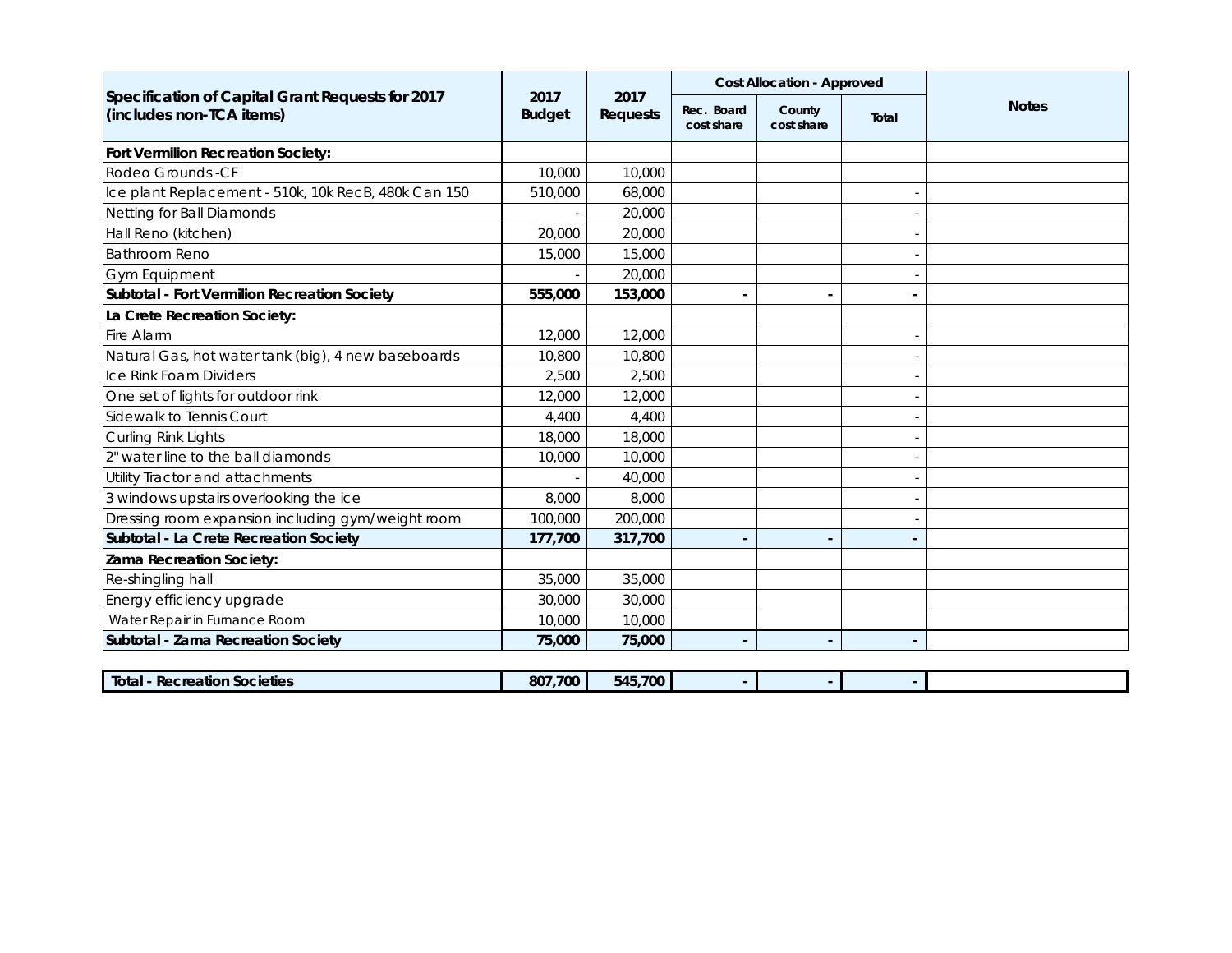|                                                                              |                       |                         |                          | <b>Cost Allocation - Approved</b> |                |              |
|------------------------------------------------------------------------------|-----------------------|-------------------------|--------------------------|-----------------------------------|----------------|--------------|
| Specification of Capital Grant Requests for 2017<br>(includes non-TCA items) | 2017<br><b>Budget</b> | 2017<br><b>Requests</b> | Rec. Board<br>cost share | County<br>cost share              | Total          | <b>Notes</b> |
| Fort Vermilion Recreation Society:                                           |                       |                         |                          |                                   |                |              |
| Rodeo Grounds - CF                                                           | 10,000                | 10,000                  |                          |                                   |                |              |
| Ice plant Replacement - 510k, 10k RecB, 480k Can 150                         | 510,000               | 68,000                  |                          |                                   |                |              |
| Netting for Ball Diamonds                                                    |                       | 20,000                  |                          |                                   |                |              |
| Hall Reno (kitchen)                                                          | 20,000                | 20,000                  |                          |                                   |                |              |
| <b>Bathroom Reno</b>                                                         | 15,000                | 15,000                  |                          |                                   |                |              |
| <b>Gym Equipment</b>                                                         |                       | 20,000                  |                          |                                   |                |              |
| Subtotal - Fort Vermilion Recreation Society                                 | 555,000               | 153,000                 |                          | $\blacksquare$                    |                |              |
| La Crete Recreation Society:                                                 |                       |                         |                          |                                   |                |              |
| Fire Alarm                                                                   | 12,000                | 12,000                  |                          |                                   |                |              |
| Natural Gas, hot water tank (big), 4 new baseboards                          | 10,800                | 10,800                  |                          |                                   |                |              |
| Ice Rink Foam Dividers                                                       | 2,500                 | 2,500                   |                          |                                   |                |              |
| One set of lights for outdoor rink                                           | 12,000                | 12,000                  |                          |                                   |                |              |
| Sidewalk to Tennis Court                                                     | 4,400                 | 4,400                   |                          |                                   |                |              |
| Curling Rink Lights                                                          | 18,000                | 18,000                  |                          |                                   |                |              |
| 2" water line to the ball diamonds                                           | 10,000                | 10,000                  |                          |                                   |                |              |
| Utility Tractor and attachments                                              |                       | 40,000                  |                          |                                   |                |              |
| 3 windows upstairs overlooking the ice                                       | 8,000                 | 8,000                   |                          |                                   |                |              |
| Dressing room expansion including gym/weight room                            | 100,000               | 200,000                 |                          |                                   |                |              |
| Subtotal - La Crete Recreation Society                                       | 177,700               | 317,700                 |                          | $\overline{\phantom{a}}$          |                |              |
| <b>Zama Recreation Society:</b>                                              |                       |                         |                          |                                   |                |              |
| Re-shingling hall                                                            | 35,000                | 35,000                  |                          |                                   |                |              |
| Energy efficiency upgrade                                                    | 30,000                | 30,000                  |                          |                                   |                |              |
| Water Repair in Furnance Room                                                | 10,000                | 10,000                  |                          |                                   |                |              |
| Subtotal - Zama Recreation Society                                           | 75,000                | 75,000                  |                          | $\overline{\phantom{a}}$          | $\blacksquare$ |              |
|                                                                              |                       |                         |                          |                                   |                |              |

| <b>Total</b><br>ı Societies<br>Recreation | .700<br>807 | 15,700<br>545 |  |  |
|-------------------------------------------|-------------|---------------|--|--|
|                                           |             |               |  |  |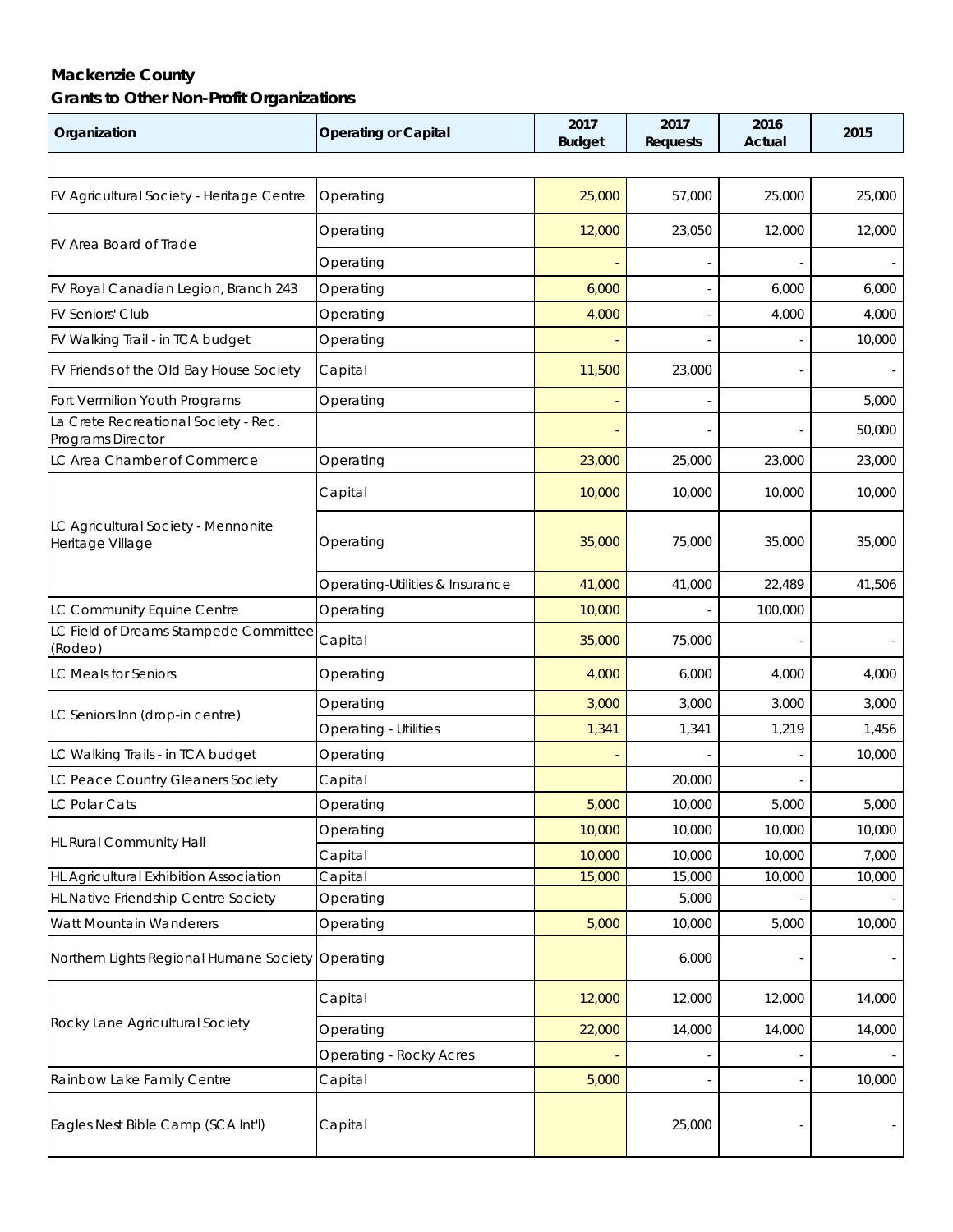# **Mackenzie County Grants to Other Non-Profit Organizations**

| Organization                                              | <b>Operating or Capital</b>     | 2017<br><b>Budget</b> | 2017<br><b>Requests</b> | 2016<br>Actual | 2015   |  |
|-----------------------------------------------------------|---------------------------------|-----------------------|-------------------------|----------------|--------|--|
|                                                           |                                 |                       |                         |                |        |  |
| FV Agricultural Society - Heritage Centre                 | Operating                       | 25,000                | 57,000                  | 25,000         | 25,000 |  |
| FV Area Board of Trade                                    | Operating                       | 12,000                | 23,050                  | 12,000         | 12,000 |  |
|                                                           | Operating                       |                       |                         |                |        |  |
| FV Royal Canadian Legion, Branch 243                      | Operating                       | 6,000                 |                         | 6,000          | 6,000  |  |
| <b>FV Seniors' Club</b>                                   | Operating                       | 4,000                 |                         | 4,000          | 4,000  |  |
| FV Walking Trail - in TCA budget                          | Operating                       |                       |                         |                | 10,000 |  |
| FV Friends of the Old Bay House Society                   | Capital                         | 11,500                | 23,000                  |                |        |  |
| Fort Vermilion Youth Programs                             | Operating                       |                       |                         |                | 5,000  |  |
| La Crete Recreational Society - Rec.<br>Programs Director |                                 |                       |                         |                | 50,000 |  |
| LC Area Chamber of Commerce                               | Operating                       | 23,000                | 25,000                  | 23,000         | 23,000 |  |
|                                                           | Capital                         | 10,000                | 10,000                  | 10,000         | 10,000 |  |
| LC Agricultural Society - Mennonite<br>Heritage Village   | Operating                       | 35,000                | 75,000                  | 35,000         | 35,000 |  |
|                                                           | Operating-Utilities & Insurance | 41,000                | 41,000                  | 22,489         | 41,506 |  |
| LC Community Equine Centre                                | Operating                       | 10,000                |                         | 100,000        |        |  |
| LC Field of Dreams Stampede Committee<br>(Rodeo)          | Capital                         | 35,000                | 75,000                  |                |        |  |
| LC Meals for Seniors                                      | Operating                       | 4,000                 | 6,000                   | 4,000          | 4,000  |  |
| LC Seniors Inn (drop-in centre)                           | Operating                       | 3,000                 | 3,000                   | 3,000          | 3,000  |  |
|                                                           | Operating - Utilities           | 1,341                 | 1,341                   | 1,219          | 1,456  |  |
| LC Walking Trails - in TCA budget                         | Operating                       |                       |                         |                | 10,000 |  |
| LC Peace Country Gleaners Society                         | Capital                         |                       | 20,000                  |                |        |  |
| <b>LC Polar Cats</b>                                      | Operating                       | 5,000                 | 10,000                  | 5,000          | 5,000  |  |
|                                                           | Operating                       | 10,000                | 10,000                  | 10,000         | 10,000 |  |
| <b>HL Rural Community Hall</b>                            | Capital                         | 10,000                | 10,000                  | 10,000         | 7,000  |  |
| HL Agricultural Exhibition Association                    | Capital                         | 15,000                | 15,000                  | 10,000         | 10,000 |  |
| HL Native Friendship Centre Society                       | Operating                       |                       | 5,000                   |                |        |  |
| Watt Mountain Wanderers                                   | Operating                       | 5,000                 | 10,000                  | 5,000          | 10,000 |  |
| Northern Lights Regional Humane Society Operating         |                                 |                       | 6,000                   |                |        |  |
|                                                           | Capital                         | 12,000                | 12,000                  | 12,000         | 14,000 |  |
| Rocky Lane Agricultural Society                           | Operating                       | 22,000                | 14,000                  | 14,000         | 14,000 |  |
|                                                           | <b>Operating - Rocky Acres</b>  |                       |                         |                |        |  |
| Rainbow Lake Family Centre                                | Capital                         | 5,000                 |                         |                | 10,000 |  |
| Eagles Nest Bible Camp (SCA Int'l)                        | Capital                         |                       | 25,000                  |                |        |  |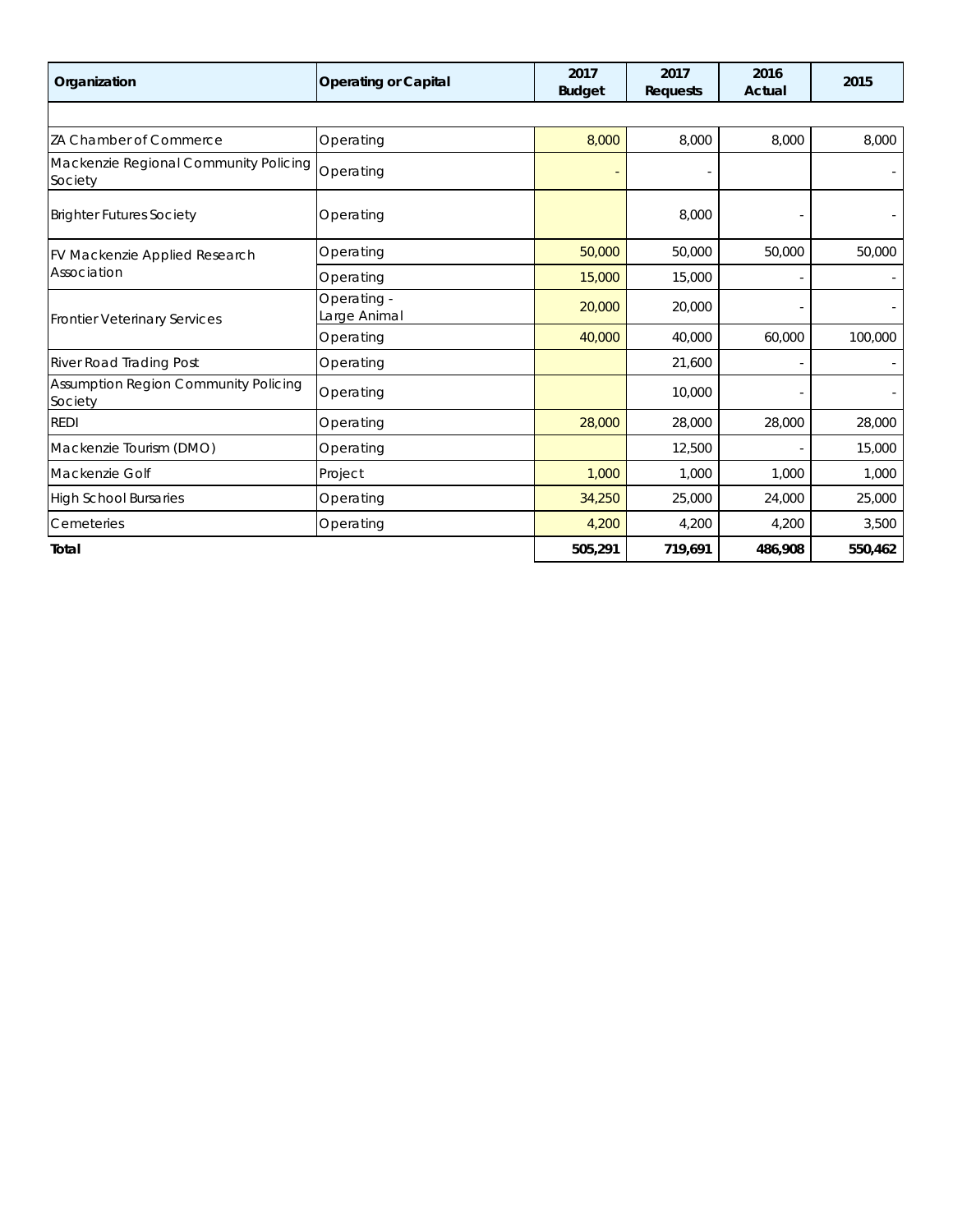| Organization                                     | <b>Operating or Capital</b> | 2017<br><b>Budget</b> | 2017<br><b>Requests</b> | 2016<br>Actual | 2015    |
|--------------------------------------------------|-----------------------------|-----------------------|-------------------------|----------------|---------|
|                                                  |                             |                       |                         |                |         |
| ZA Chamber of Commerce                           | Operating                   | 8,000                 | 8,000                   | 8,000          | 8,000   |
| Mackenzie Regional Community Policing<br>Society | Operating                   |                       |                         |                |         |
| <b>Brighter Futures Society</b>                  | Operating                   |                       | 8,000                   |                |         |
| FV Mackenzie Applied Research                    | Operating                   | 50,000                | 50,000                  | 50,000         | 50,000  |
| Association                                      | Operating                   | 15,000                | 15,000                  |                |         |
| <b>Frontier Veterinary Services</b>              | Operating -<br>Large Animal | 20,000                | 20,000                  |                |         |
|                                                  | Operating                   | 40,000                | 40,000                  | 60,000         | 100,000 |
| <b>River Road Trading Post</b>                   | Operating                   |                       | 21,600                  |                |         |
| Assumption Region Community Policing<br>Society  | Operating                   |                       | 10,000                  |                |         |
| <b>REDI</b>                                      | Operating                   | 28,000                | 28,000                  | 28,000         | 28,000  |
| Mackenzie Tourism (DMO)                          | Operating                   |                       | 12,500                  |                | 15,000  |
| Mackenzie Golf                                   | Project                     | 1,000                 | 1,000                   | 1,000          | 1,000   |
| <b>High School Bursaries</b>                     | Operating                   | 34,250                | 25,000                  | 24,000         | 25,000  |
| Cemeteries                                       | Operating                   | 4,200                 | 4,200                   | 4,200          | 3,500   |
| Total                                            |                             | 505,291               | 719,691                 | 486,908        | 550,462 |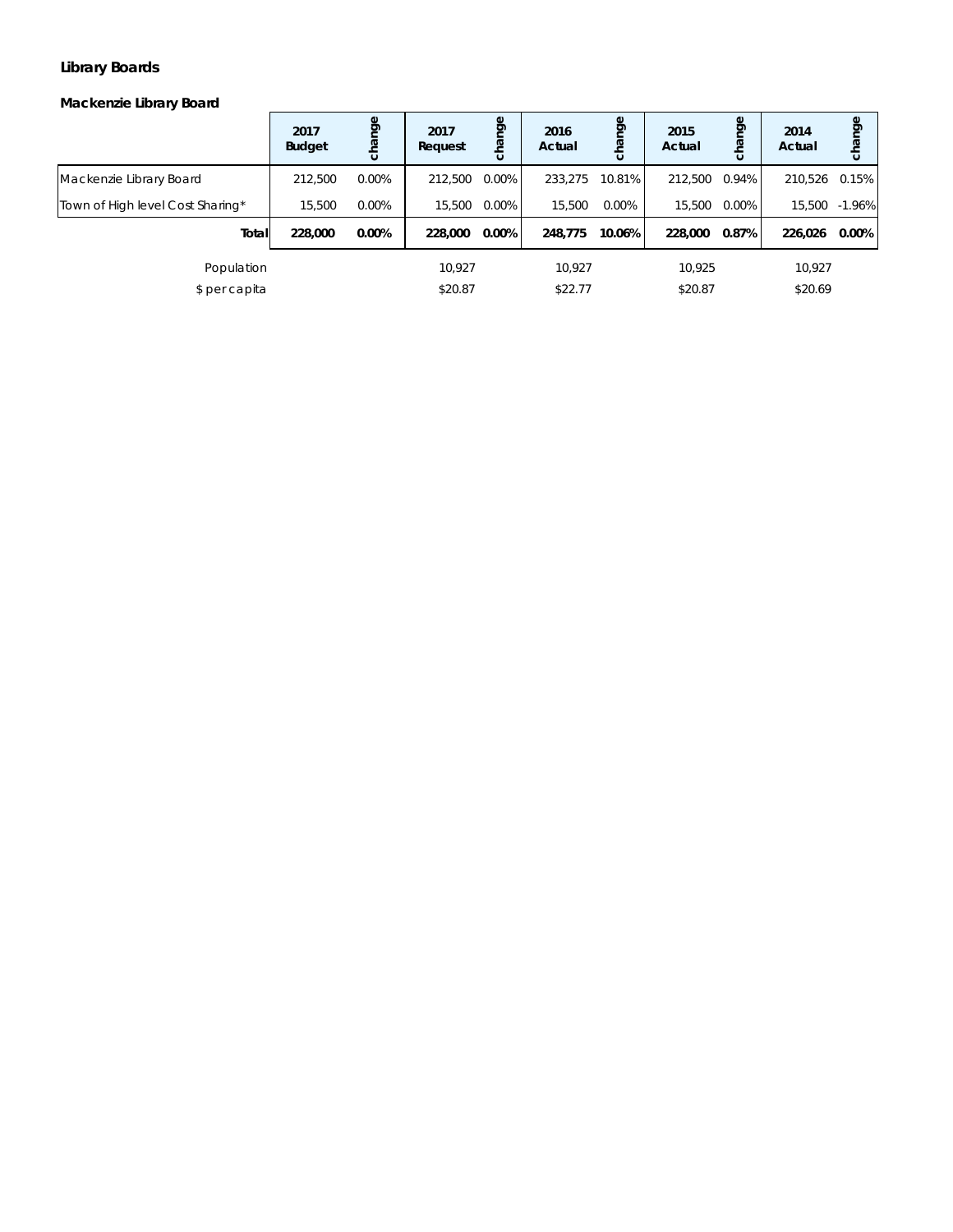### **Library Boards**

#### *Mackenzie Library Board*

|                                  | 2017<br><b>Budget</b> | pou<br>cha | 2017<br>Request | change   | 2016<br>Actual | epu<br>Бq | 2015<br>Actual | nge<br>cha | 2014<br>Actual | change    |
|----------------------------------|-----------------------|------------|-----------------|----------|----------------|-----------|----------------|------------|----------------|-----------|
| Mackenzie Library Board          | 212.500               | $0.00\%$   | 212,500         | 0.00%    | 233.275        | 10.81%    | 212,500        | $0.94\%$   | 210,526 0.15%  |           |
| Town of High level Cost Sharing* | 15,500                | 0.00%      | 15.500          | $0.00\%$ | 15.500         | 0.00%     | 15.500         | 0.00%      | 15,500         | $-1.96\%$ |
| Total                            | 228,000               | 0.00%      | 228,000         | 0.00%    | 248.775        | 10.06%    | 228,000        | 0.87%      | 226,026        | $0.00\%$  |
| Population                       |                       |            | 10.927          |          | 10.927         |           | 10.925         |            | 10,927         |           |
| \$ per capita                    |                       |            | \$20.87         |          | \$22.77        |           | \$20.87        |            | \$20.69        |           |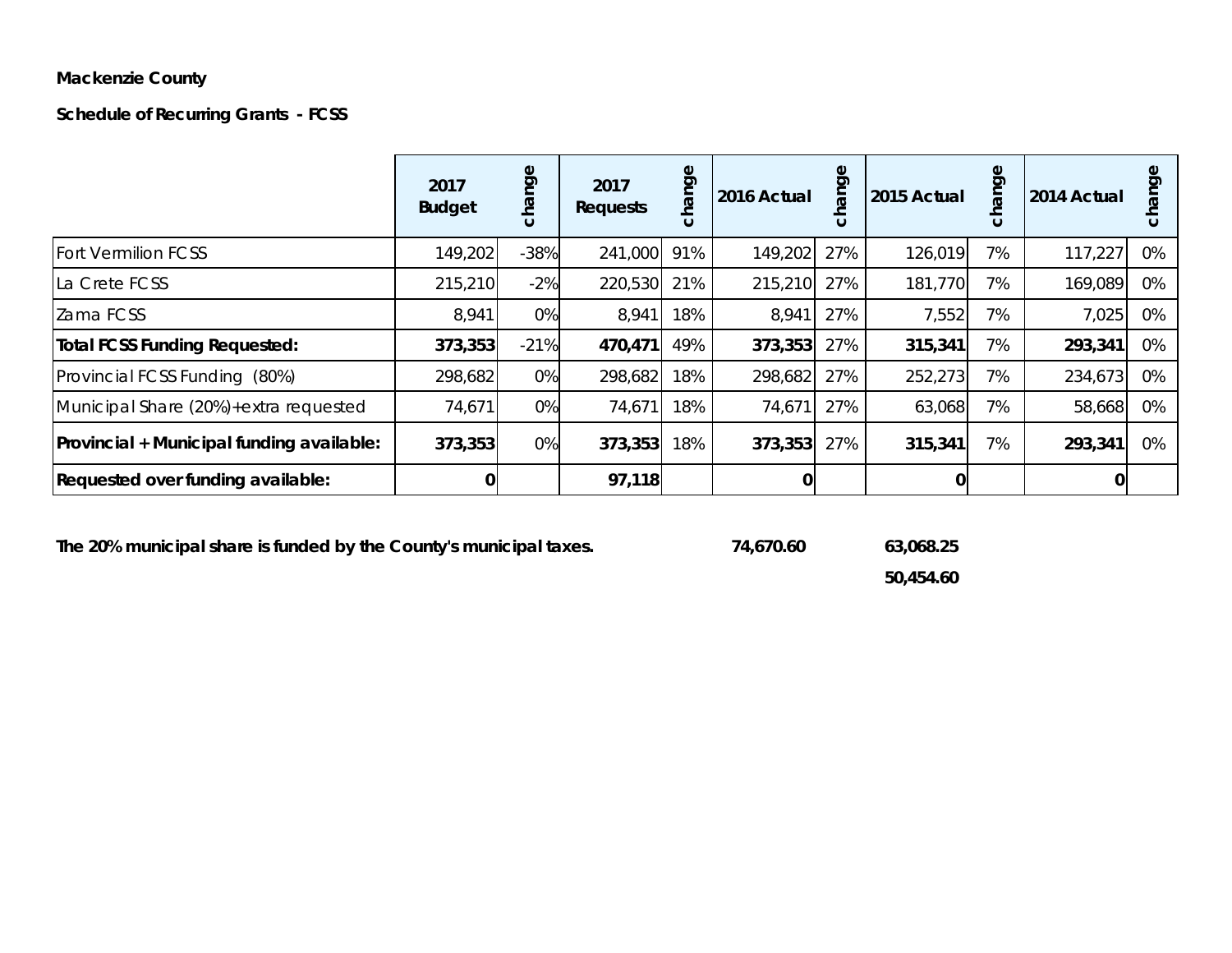# **Mackenzie County**

**Schedule of Recurring Grants - FCSS**

|                                           | 2017<br><b>Budget</b> | nge<br>cha | 2017<br><b>Requests</b> | hange<br>$\overline{c}$ | 2016 Actual | ange<br>$\circ$ | 2015 Actual | Φ<br>Ō<br>$\circ$ | 2014 Actual | ರಾ |
|-------------------------------------------|-----------------------|------------|-------------------------|-------------------------|-------------|-----------------|-------------|-------------------|-------------|----|
| <b>Fort Vermilion FCSS</b>                | 149,202               | $-38%$     | 241,000                 | 91%                     | 149,202     | 27%             | 126,019     | 7%                | 117,227     | 0% |
| La Crete FCSS                             | 215,210               | $-2%$      | 220,530                 | 21%                     | 215,210     | 27%             | 181,770     | 7%                | 169,089     | 0% |
| Zama FCSS                                 | 8,941                 | 0%         | 8,941                   | 18%                     | 8,941       | 27%             | 7,552       | 7%                | 7,025       | 0% |
| <b>Total FCSS Funding Requested:</b>      | 373,353               | $-21%$     | 470,471                 | 49%                     | 373,353     | 27%             | 315,341     | 7%                | 293,341     | 0% |
| Provincial FCSS Funding (80%)             | 298,682               | 0%         | 298,682                 | 18%                     | 298,682     | 27%             | 252,273     | 7%                | 234,673     | 0% |
| Municipal Share (20%)+extra requested     | 74,671                | 0%         | 74,671                  | 18%                     | 74,671      | 27%             | 63,068      | 7%                | 58,668      | 0% |
| Provincial + Municipal funding available: | 373,353               | 0%         | 373,353                 | 18%                     | 373,353     | 27%             | 315,341     | 7%                | 293,341     | 0% |
| Requested over funding available:         |                       |            | 97,118                  |                         | 0           |                 | 0           |                   |             |    |

**The 20% municipal share is funded by the County's municipal taxes. 74,670.60 63,068.25**

**50,454.60**